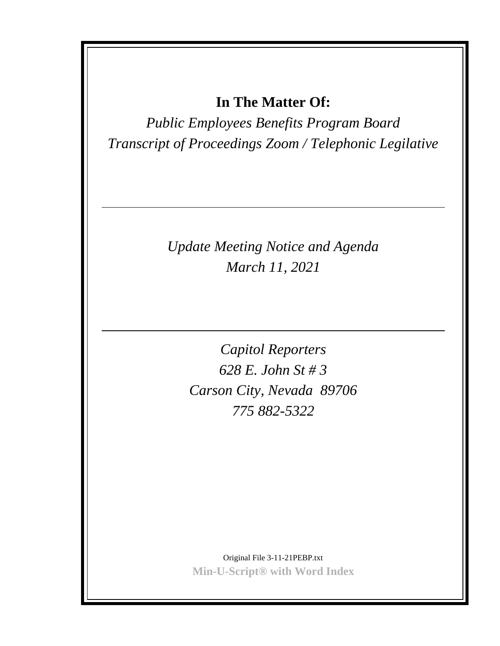# **In The Matter Of:**

*Public Employees Benefits Program Board Transcript of Proceedings Zoom / Telephonic Legilative*

> *Update Meeting Notice and Agenda March 11, 2021*

> > *Capitol Reporters 628 E. John St # 3 Carson City, Nevada 89706 775 882-5322*

Original File 3-11-21PEBP.txt **Min-U-Script® with Word Index**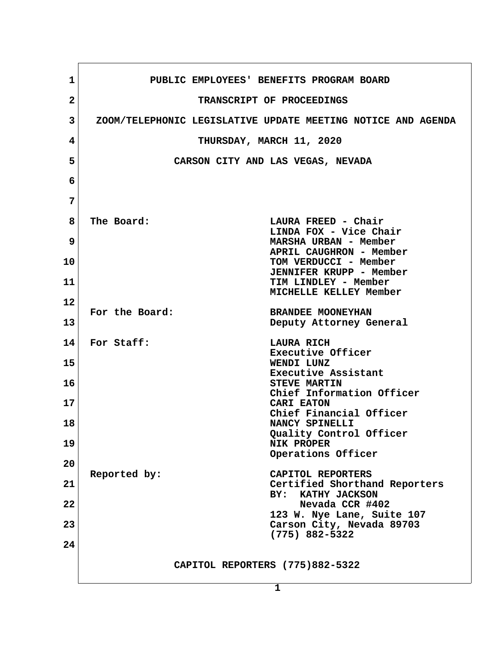| 1               | PUBLIC EMPLOYEES' BENEFITS PROGRAM BOARD                              |  |  |  |  |  |
|-----------------|-----------------------------------------------------------------------|--|--|--|--|--|
| $\overline{2}$  | TRANSCRIPT OF PROCEEDINGS                                             |  |  |  |  |  |
| $\mathbf{3}$    | ZOOM/TELEPHONIC LEGISLATIVE UPDATE MEETING NOTICE AND AGENDA          |  |  |  |  |  |
| 4               | THURSDAY, MARCH 11, 2020                                              |  |  |  |  |  |
| 5               | CARSON CITY AND LAS VEGAS, NEVADA                                     |  |  |  |  |  |
| 6               |                                                                       |  |  |  |  |  |
| 7               |                                                                       |  |  |  |  |  |
| 8               | The Board:<br>LAURA FREED - Chair                                     |  |  |  |  |  |
| $\overline{9}$  | LINDA FOX - Vice Chair<br>MARSHA URBAN - Member                       |  |  |  |  |  |
| 10              | APRIL CAUGHRON - Member<br>TOM VERDUCCI - Member                      |  |  |  |  |  |
| 11              | <b>JENNIFER KRUPP - Member</b><br>TIM LINDLEY - Member                |  |  |  |  |  |
| 12              | MICHELLE KELLEY Member                                                |  |  |  |  |  |
| 13              | For the Board:<br><b>BRANDEE MOONEYHAN</b><br>Deputy Attorney General |  |  |  |  |  |
| 14 <sup>1</sup> | For Staff:<br><b>LAURA RICH</b>                                       |  |  |  |  |  |
| 15              | Executive Officer<br>WENDI LUNZ                                       |  |  |  |  |  |
| 16              | Executive Assistant<br><b>STEVE MARTIN</b>                            |  |  |  |  |  |
| 17              | Chief Information Officer<br>CARI EATON                               |  |  |  |  |  |
| 18              | Chief Financial Officer<br>NANCY SPINELLI                             |  |  |  |  |  |
| 19              | Quality Control Officer<br><b>NIK PROPER</b>                          |  |  |  |  |  |
| 20              | Operations Officer                                                    |  |  |  |  |  |
| 21              | Reported by:<br>CAPITOL REPORTERS<br>Certified Shorthand Reporters    |  |  |  |  |  |
| 22              | BY:<br>KATHY JACKSON<br>Nevada CCR #402                               |  |  |  |  |  |
| 23              | 123 W. Nye Lane, Suite 107<br>Carson City, Nevada 89703               |  |  |  |  |  |
|                 | $(775)$ 882-5322                                                      |  |  |  |  |  |
| 24              |                                                                       |  |  |  |  |  |
|                 | CAPITOL REPORTERS (775)882-5322                                       |  |  |  |  |  |
|                 | 1                                                                     |  |  |  |  |  |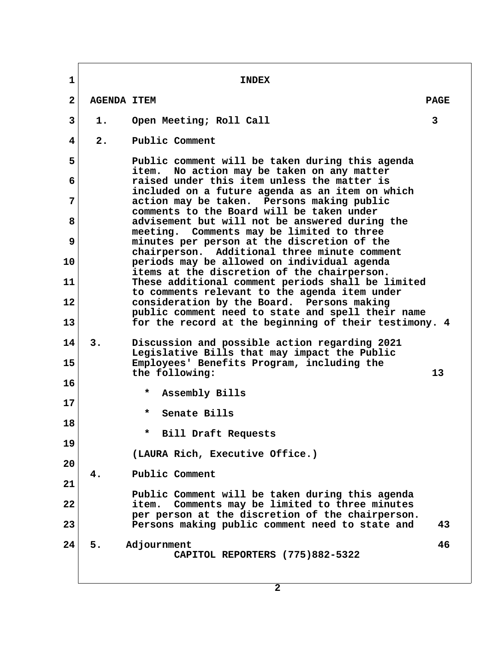**1** INDEX  **2 AGENDA ITEM PAGE 3 1. Open Meeting; Roll Call 3 4 2. Public Comment 5 Public comment will be taken during this agenda item. No action may be taken on any matter 6 raised under this item unless the matter is included on a future agenda as an item on which 7 action may be taken. Persons making public comments to the Board will be taken under 8 advisement but will not be answered during the meeting. Comments may be limited to three 9 minutes per person at the discretion of the chairperson. Additional three minute comment 10 periods may be allowed on individual agenda items at the discretion of the chairperson. 11 These additional comment periods shall be limited to comments relevant to the agenda item under 12 consideration by the Board. Persons making public comment need to state and spell their name 13 for the record at the beginning of their testimony. 4 14 3. Discussion and possible action regarding 2021 Legislative Bills that may impact the Public 15 Employees' Benefits Program, including the the following: 13 16** Assembly Bills **17 Senate Bills 18 \* Bill Draft Requests 19 (LAURA Rich, Executive Office.) 20 4. Public Comment 21 Public Comment will be taken during this agenda 22 item. Comments may be limited to three minutes per person at the discretion of the chairperson. 23 Persons making public comment need to state and 43 24 5. Adjournment 46 CAPITOL REPORTERS (775)882-5322**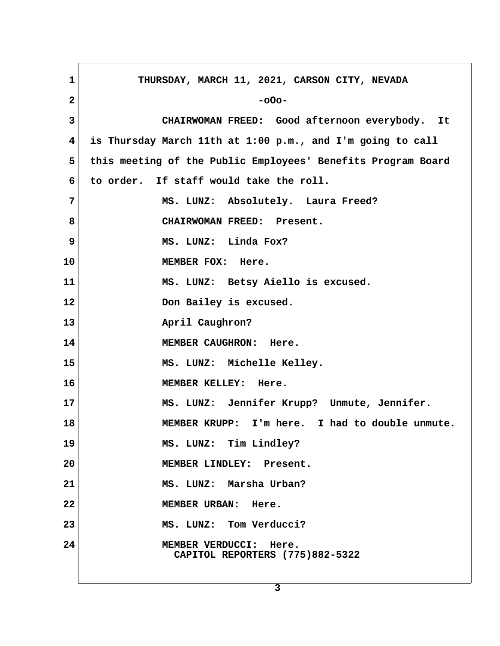| 1            | THURSDAY, MARCH 11, 2021, CARSON CITY, NEVADA                |
|--------------|--------------------------------------------------------------|
| $\mathbf{2}$ | $-000-$                                                      |
| 3            | CHAIRWOMAN FREED: Good afternoon everybody. It               |
| 4            | is Thursday March 11th at 1:00 p.m., and I'm going to call   |
|              |                                                              |
| 5            | this meeting of the Public Employees' Benefits Program Board |
| 6            | to order. If staff would take the roll.                      |
| 7            | MS. LUNZ: Absolutely. Laura Freed?                           |
| 8            | CHAIRWOMAN FREED: Present.                                   |
| 9            | MS. LUNZ: Linda Fox?                                         |
| 10           | MEMBER FOX: Here.                                            |
| 11           | MS. LUNZ: Betsy Aiello is excused.                           |
| 12           | Don Bailey is excused.                                       |
| 13           | April Caughron?                                              |
| 14           | MEMBER CAUGHRON: Here.                                       |
| 15           | MS. LUNZ: Michelle Kelley.                                   |
| 16           | MEMBER KELLEY: Here.                                         |
| 17           | MS. LUNZ: Jennifer Krupp? Unmute, Jennifer.                  |
| 18           | MEMBER KRUPP: I'm here. I had to double unmute.              |
| 19           | MS. LUNZ: Tim Lindley?                                       |
| 20           | MEMBER LINDLEY: Present.                                     |
| 21           | MS. LUNZ: Marsha Urban?                                      |
| 22           | MEMBER URBAN: Here.                                          |
| 23           | MS. LUNZ: Tom Verducci?                                      |
| 24           | MEMBER VERDUCCI: Here.<br>CAPITOL REPORTERS (775)882-5322    |
|              |                                                              |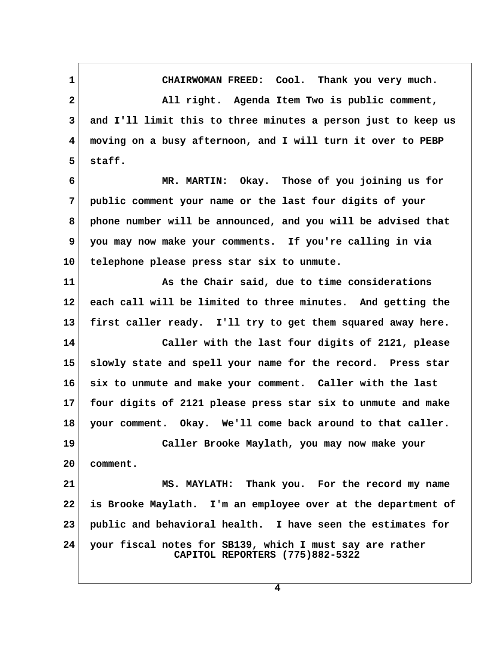**1 CHAIRWOMAN FREED: Cool. Thank you very much. 2 All right. Agenda Item Two is public comment, 3 and I'll limit this to three minutes a person just to keep us 4 moving on a busy afternoon, and I will turn it over to PEBP** 5 staff.  **6 MR. MARTIN: Okay. Those of you joining us for 7 public comment your name or the last four digits of your 8 phone number will be announced, and you will be advised that 9 you may now make your comments. If you're calling in via 10 telephone please press star six to unmute. 11 As the Chair said, due to time considerations 12 each call will be limited to three minutes. And getting the 13 first caller ready. I'll try to get them squared away here. 14 Caller with the last four digits of 2121, please 15 slowly state and spell your name for the record. Press star 16 six to unmute and make your comment. Caller with the last 17 four digits of 2121 please press star six to unmute and make 18 your comment. Okay. We'll come back around to that caller. 19 Caller Brooke Maylath, you may now make your 20 comment. 21 MS. MAYLATH: Thank you. For the record my name 22 is Brooke Maylath. I'm an employee over at the department of 23 public and behavioral health. I have seen the estimates for 24 your fiscal notes for SB139, which I must say are rather CAPITOL REPORTERS (775)882-5322**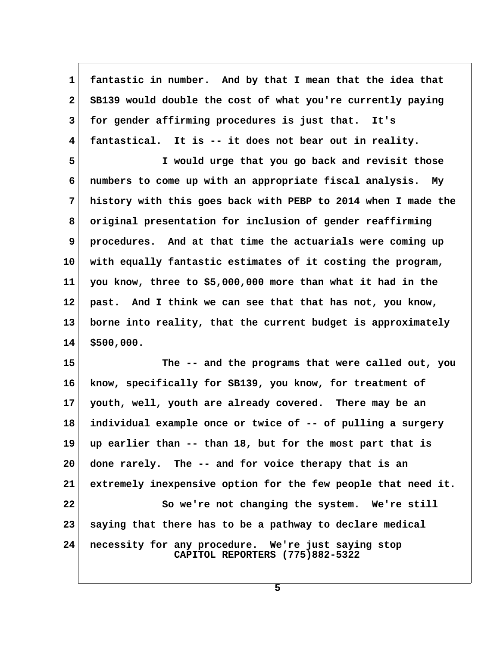**1 fantastic in number. And by that I mean that the idea that 2 SB139 would double the cost of what you're currently paying 3 for gender affirming procedures is just that. It's 4 fantastical. It is -- it does not bear out in reality.**

 **5 I would urge that you go back and revisit those 6 numbers to come up with an appropriate fiscal analysis. My 7 history with this goes back with PEBP to 2014 when I made the 8 original presentation for inclusion of gender reaffirming 9 procedures. And at that time the actuarials were coming up 10 with equally fantastic estimates of it costing the program, 11 you know, three to \$5,000,000 more than what it had in the 12 past. And I think we can see that that has not, you know, 13 borne into reality, that the current budget is approximately 14 \$500,000.**

**15 The -- and the programs that were called out, you 16 know, specifically for SB139, you know, for treatment of 17 youth, well, youth are already covered. There may be an 18 individual example once or twice of -- of pulling a surgery 19 up earlier than -- than 18, but for the most part that is 20 done rarely. The -- and for voice therapy that is an 21 extremely inexpensive option for the few people that need it.** 22 So we're not changing the system. We're still **23 saying that there has to be a pathway to declare medical 24 necessity for any procedure. We're just saying stop CAPITOL REPORTERS (775)882-5322**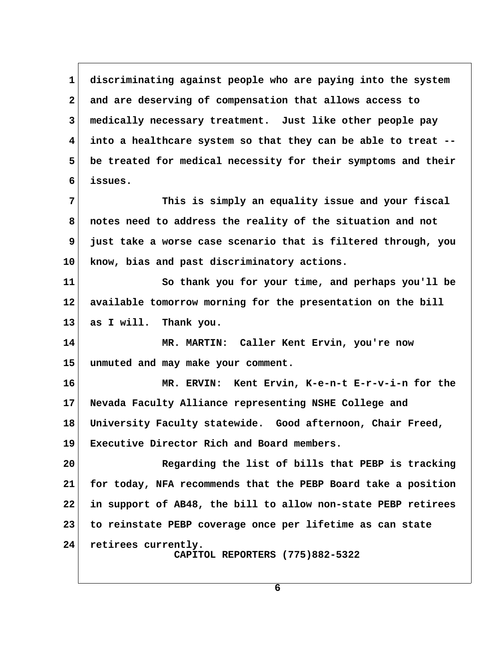**1 discriminating against people who are paying into the system 2 and are deserving of compensation that allows access to 3 medically necessary treatment. Just like other people pay 4 into a healthcare system so that they can be able to treat -- 5 be treated for medical necessity for their symptoms and their 6 issues. 7 This is simply an equality issue and your fiscal 8 notes need to address the reality of the situation and not 9 just take a worse case scenario that is filtered through, you 10 know, bias and past discriminatory actions.** 11 So thank you for your time, and perhaps you'll be **12 available tomorrow morning for the presentation on the bill 13 as I will. Thank you. 14 MR. MARTIN: Caller Kent Ervin, you're now 15 unmuted and may make your comment. 16 MR. ERVIN: Kent Ervin, K-e-n-t E-r-v-i-n for the 17 Nevada Faculty Alliance representing NSHE College and 18 University Faculty statewide. Good afternoon, Chair Freed, 19 Executive Director Rich and Board members. 20 Regarding the list of bills that PEBP is tracking 21 for today, NFA recommends that the PEBP Board take a position 22 in support of AB48, the bill to allow non-state PEBP retirees 23 to reinstate PEBP coverage once per lifetime as can state 24 retirees currently. CAPITOL REPORTERS (775)882-5322**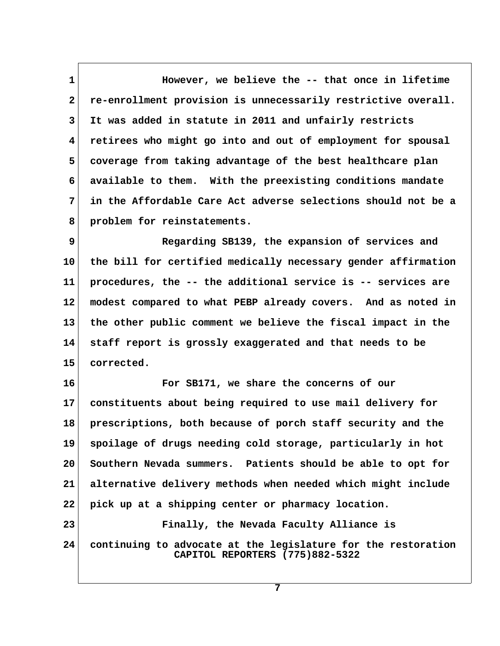**1 1** However, we believe the -- that once in lifetime  **2 re-enrollment provision is unnecessarily restrictive overall. 3 It was added in statute in 2011 and unfairly restricts 4 retirees who might go into and out of employment for spousal 5 coverage from taking advantage of the best healthcare plan 6 available to them. With the preexisting conditions mandate 7 in the Affordable Care Act adverse selections should not be a 8 problem for reinstatements.**

 **9 Regarding SB139, the expansion of services and 10 the bill for certified medically necessary gender affirmation 11 procedures, the -- the additional service is -- services are 12 modest compared to what PEBP already covers. And as noted in 13 the other public comment we believe the fiscal impact in the 14 staff report is grossly exaggerated and that needs to be 15 corrected.**

**16 For SB171, we share the concerns of our 17 constituents about being required to use mail delivery for 18 prescriptions, both because of porch staff security and the 19 spoilage of drugs needing cold storage, particularly in hot 20 Southern Nevada summers. Patients should be able to opt for 21 alternative delivery methods when needed which might include 22 pick up at a shipping center or pharmacy location. 23 Finally, the Nevada Faculty Alliance is**

**24 continuing to advocate at the legislature for the restoration CAPITOL REPORTERS (775)882-5322**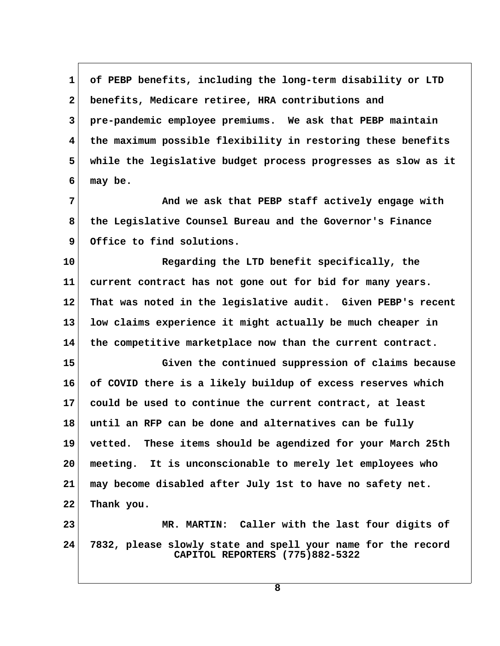**1 of PEBP benefits, including the long-term disability or LTD 2 benefits, Medicare retiree, HRA contributions and 3 pre-pandemic employee premiums. We ask that PEBP maintain 4 the maximum possible flexibility in restoring these benefits 5 while the legislative budget process progresses as slow as it 6 may be.**

 **7 And we ask that PEBP staff actively engage with 8 the Legislative Counsel Bureau and the Governor's Finance 9 Office to find solutions.**

**10 Regarding the LTD benefit specifically, the 11 current contract has not gone out for bid for many years. 12 That was noted in the legislative audit. Given PEBP's recent 13 low claims experience it might actually be much cheaper in 14 the competitive marketplace now than the current contract.**

**15 Given the continued suppression of claims because 16 of COVID there is a likely buildup of excess reserves which 17 could be used to continue the current contract, at least 18 until an RFP can be done and alternatives can be fully 19 vetted. These items should be agendized for your March 25th 20 meeting. It is unconscionable to merely let employees who 21 may become disabled after July 1st to have no safety net. 22 Thank you.**

**23 MR. MARTIN: Caller with the last four digits of 24 7832, please slowly state and spell your name for the record CAPITOL REPORTERS (775)882-5322**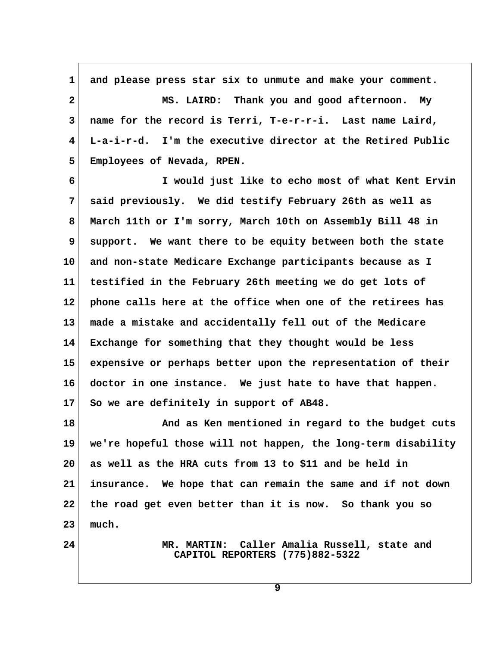1 and please press star six to unmute and make your comment.  **2 MS. LAIRD: Thank you and good afternoon. My 3 name for the record is Terri, T-e-r-r-i. Last name Laird, 4 L-a-i-r-d. I'm the executive director at the Retired Public 5 Employees of Nevada, RPEN.**

 **6 I would just like to echo most of what Kent Ervin 7 said previously. We did testify February 26th as well as 8 March 11th or I'm sorry, March 10th on Assembly Bill 48 in 9 support. We want there to be equity between both the state 10 and non-state Medicare Exchange participants because as I 11 testified in the February 26th meeting we do get lots of 12 phone calls here at the office when one of the retirees has 13 made a mistake and accidentally fell out of the Medicare 14 Exchange for something that they thought would be less 15 expensive or perhaps better upon the representation of their 16 doctor in one instance. We just hate to have that happen. 17 So we are definitely in support of AB48.**

**18 And as Ken mentioned in regard to the budget cuts 19 we're hopeful those will not happen, the long-term disability 20 as well as the HRA cuts from 13 to \$11 and be held in 21 insurance. We hope that can remain the same and if not down 22 the road get even better than it is now. So thank you so 23 much.**

**24 MR. MARTIN: Caller Amalia Russell, state and CAPITOL REPORTERS (775)882-5322**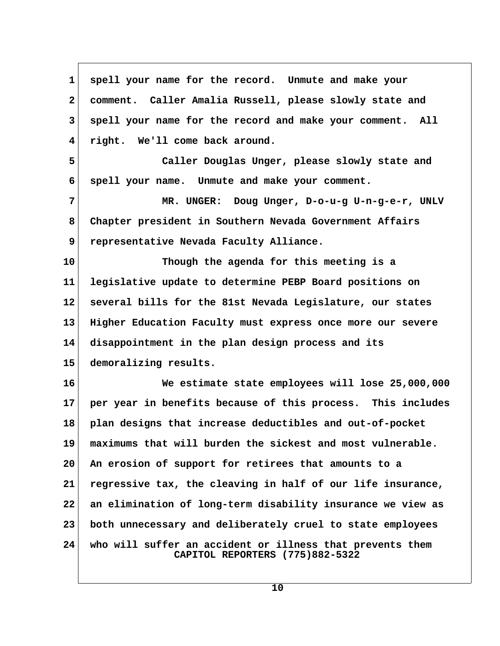| 1            | spell your name for the record. Unmute and make your                                         |  |
|--------------|----------------------------------------------------------------------------------------------|--|
| $\mathbf{2}$ | comment. Caller Amalia Russell, please slowly state and                                      |  |
| 3            | spell your name for the record and make your comment. All                                    |  |
| 4            | right. We'll come back around.                                                               |  |
| 5            | Caller Douglas Unger, please slowly state and                                                |  |
| 6            | spell your name. Unmute and make your comment.                                               |  |
| 7            | MR. UNGER: Doug Unger, D-o-u-g U-n-g-e-r, UNLV                                               |  |
| 8            | Chapter president in Southern Nevada Government Affairs                                      |  |
| 9            | representative Nevada Faculty Alliance.                                                      |  |
| 10           | Though the agenda for this meeting is a                                                      |  |
| 11           | legislative update to determine PEBP Board positions on                                      |  |
| 12           | several bills for the 81st Nevada Legislature, our states                                    |  |
| 13           | Higher Education Faculty must express once more our severe                                   |  |
| 14           | disappointment in the plan design process and its                                            |  |
| 15           | demoralizing results.                                                                        |  |
| 16           | We estimate state employees will lose 25,000,000                                             |  |
| $17\,$       | per year in benefits because of this process. This includes                                  |  |
| 18           | plan designs that increase deductibles and out-of-pocket                                     |  |
| 19           | maximums that will burden the sickest and most vulnerable.                                   |  |
| 20           | An erosion of support for retirees that amounts to a                                         |  |
| 21           | regressive tax, the cleaving in half of our life insurance,                                  |  |
| 22           | an elimination of long-term disability insurance we view as                                  |  |
| 23           | both unnecessary and deliberately cruel to state employees                                   |  |
| 24           | who will suffer an accident or illness that prevents them<br>CAPITOL REPORTERS (775)882-5322 |  |

 $\sqrt{2}$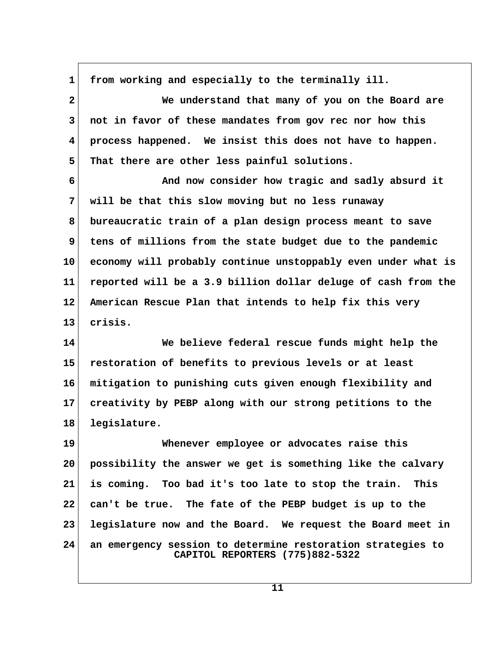1 from working and especially to the terminally ill.

 **2 We understand that many of you on the Board are 3 not in favor of these mandates from gov rec nor how this 4 process happened. We insist this does not have to happen. 5 That there are other less painful solutions.**

 **6 And now consider how tragic and sadly absurd it 7 will be that this slow moving but no less runaway 8 bureaucratic train of a plan design process meant to save 9 tens of millions from the state budget due to the pandemic 10 economy will probably continue unstoppably even under what is 11 reported will be a 3.9 billion dollar deluge of cash from the 12 American Rescue Plan that intends to help fix this very 13 crisis.**

**14 We believe federal rescue funds might help the 15 restoration of benefits to previous levels or at least 16 mitigation to punishing cuts given enough flexibility and 17 creativity by PEBP along with our strong petitions to the 18 legislature.**

**19 Whenever employee or advocates raise this 20 possibility the answer we get is something like the calvary 21 is coming. Too bad it's too late to stop the train. This 22 can't be true. The fate of the PEBP budget is up to the 23 legislature now and the Board. We request the Board meet in 24 an emergency session to determine restoration strategies to CAPITOL REPORTERS (775)882-5322**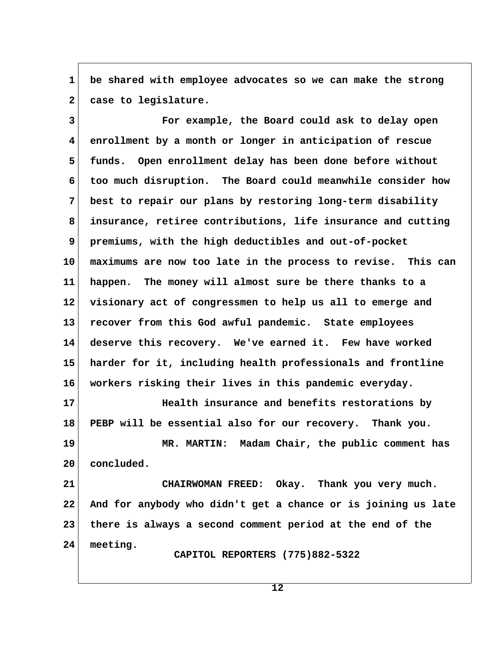**1 be shared with employee advocates so we can make the strong** 2 case to legislature.

 **3 For example, the Board could ask to delay open 4 enrollment by a month or longer in anticipation of rescue 5 funds. Open enrollment delay has been done before without 6 too much disruption. The Board could meanwhile consider how 7 best to repair our plans by restoring long-term disability 8 insurance, retiree contributions, life insurance and cutting 9 premiums, with the high deductibles and out-of-pocket 10 maximums are now too late in the process to revise. This can 11 happen. The money will almost sure be there thanks to a 12 visionary act of congressmen to help us all to emerge and 13 recover from this God awful pandemic. State employees 14 deserve this recovery. We've earned it. Few have worked 15 harder for it, including health professionals and frontline 16 workers risking their lives in this pandemic everyday. 17 Health insurance and benefits restorations by 18 PEBP will be essential also for our recovery. Thank you. 19 MR. MARTIN: Madam Chair, the public comment has**

**20 concluded.**

**21 CHAIRWOMAN FREED: Okay. Thank you very much. 22 And for anybody who didn't get a chance or is joining us late 23 there is always a second comment period at the end of the 24 meeting.**

 **CAPITOL REPORTERS (775)882-5322**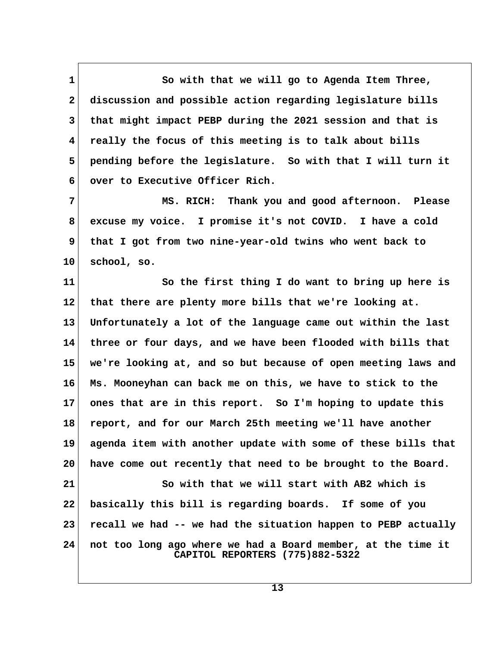1 So with that we will go to Agenda Item Three,  **2 discussion and possible action regarding legislature bills 3 that might impact PEBP during the 2021 session and that is 4 really the focus of this meeting is to talk about bills 5 pending before the legislature. So with that I will turn it 6 over to Executive Officer Rich.**

 **7 MS. RICH: Thank you and good afternoon. Please 8 excuse my voice. I promise it's not COVID. I have a cold 9 that I got from two nine-year-old twins who went back to 10 school, so.**

**11 So the first thing I do want to bring up here is 12 that there are plenty more bills that we're looking at. 13 Unfortunately a lot of the language came out within the last 14 three or four days, and we have been flooded with bills that 15 we're looking at, and so but because of open meeting laws and 16 Ms. Mooneyhan can back me on this, we have to stick to the 17 ones that are in this report. So I'm hoping to update this 18 report, and for our March 25th meeting we'll have another 19 agenda item with another update with some of these bills that 20 have come out recently that need to be brought to the Board. 21 So with that we will start with AB2 which is 22 basically this bill is regarding boards. If some of you 23 recall we had -- we had the situation happen to PEBP actually 24 not too long ago where we had a Board member, at the time it**

 **CAPITOL REPORTERS (775)882-5322**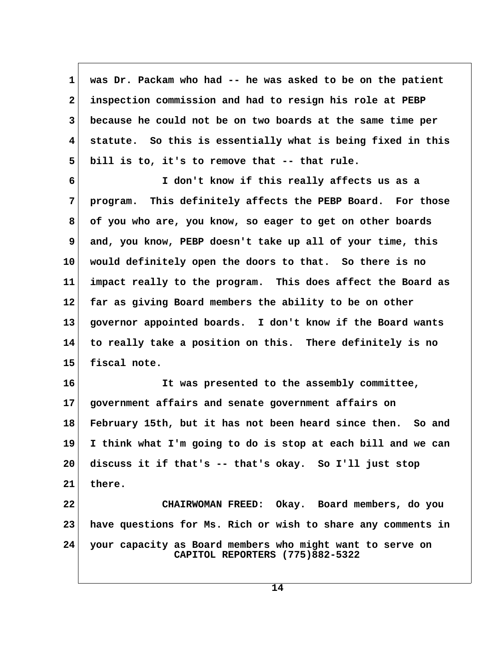**1 was Dr. Packam who had -- he was asked to be on the patient 2 inspection commission and had to resign his role at PEBP 3 because he could not be on two boards at the same time per 4 statute. So this is essentially what is being fixed in this 5 bill is to, it's to remove that -- that rule.**

 **6 I don't know if this really affects us as a 7 program. This definitely affects the PEBP Board. For those 8 of you who are, you know, so eager to get on other boards 9 and, you know, PEBP doesn't take up all of your time, this 10 would definitely open the doors to that. So there is no 11 impact really to the program. This does affect the Board as 12 far as giving Board members the ability to be on other 13 governor appointed boards. I don't know if the Board wants 14 to really take a position on this. There definitely is no 15 fiscal note.**

**16 It was presented to the assembly committee, 17 government affairs and senate government affairs on 18 February 15th, but it has not been heard since then. So and 19 I think what I'm going to do is stop at each bill and we can 20 discuss it if that's -- that's okay. So I'll just stop 21 there. 22 CHAIRWOMAN FREED: Okay. Board members, do you 23 have questions for Ms. Rich or wish to share any comments in**

**24 your capacity as Board members who might want to serve on CAPITOL REPORTERS (775)882-5322**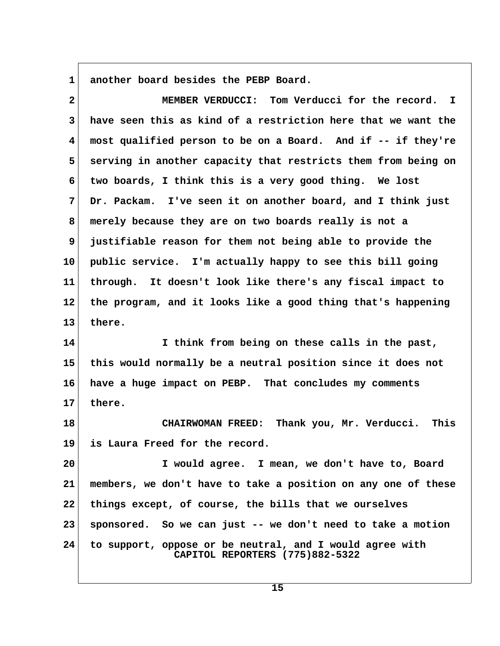**1 another board besides the PEBP Board.**

 **2 MEMBER VERDUCCI: Tom Verducci for the record. I 3 have seen this as kind of a restriction here that we want the 4 most qualified person to be on a Board. And if -- if they're 5 serving in another capacity that restricts them from being on 6 two boards, I think this is a very good thing. We lost 7 Dr. Packam. I've seen it on another board, and I think just 8 merely because they are on two boards really is not a 9 justifiable reason for them not being able to provide the 10 public service. I'm actually happy to see this bill going 11 through. It doesn't look like there's any fiscal impact to 12 the program, and it looks like a good thing that's happening 13 there. 14 I think from being on these calls in the past, 15 this would normally be a neutral position since it does not 16 have a huge impact on PEBP. That concludes my comments 17 there. 18 CHAIRWOMAN FREED: Thank you, Mr. Verducci. This 19 is Laura Freed for the record. 20 I would agree. I mean, we don't have to, Board 21 members, we don't have to take a position on any one of these 22 things except, of course, the bills that we ourselves 23 sponsored. So we can just -- we don't need to take a motion**

**24 to support, oppose or be neutral, and I would agree with CAPITOL REPORTERS (775)882-5322**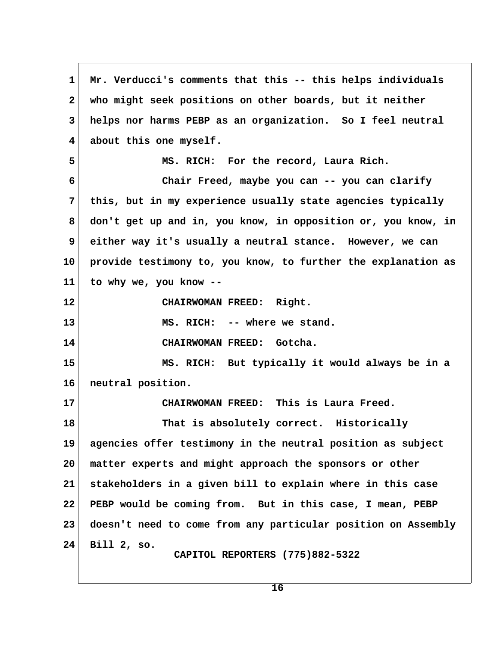**1 Mr. Verducci's comments that this -- this helps individuals 2 who might seek positions on other boards, but it neither 3 helps nor harms PEBP as an organization. So I feel neutral 4 about this one myself. 5 MS. RICH: For the record, Laura Rich. 6 Chair Freed, maybe you can -- you can clarify 7 this, but in my experience usually state agencies typically 8 don't get up and in, you know, in opposition or, you know, in 9 either way it's usually a neutral stance. However, we can 10 provide testimony to, you know, to further the explanation as 11 to why we, you know -- 12 CHAIRWOMAN FREED: Right. 13 MS. RICH: -- where we stand. 14 CHAIRWOMAN FREED: Gotcha. 15 MS. RICH: But typically it would always be in a 16 neutral position. 17 CHAIRWOMAN FREED: This is Laura Freed. 18 That is absolutely correct. Historically 19 agencies offer testimony in the neutral position as subject 20 matter experts and might approach the sponsors or other 21 stakeholders in a given bill to explain where in this case 22 PEBP would be coming from. But in this case, I mean, PEBP 23 doesn't need to come from any particular position on Assembly 24 Bill 2, so. CAPITOL REPORTERS (775)882-5322**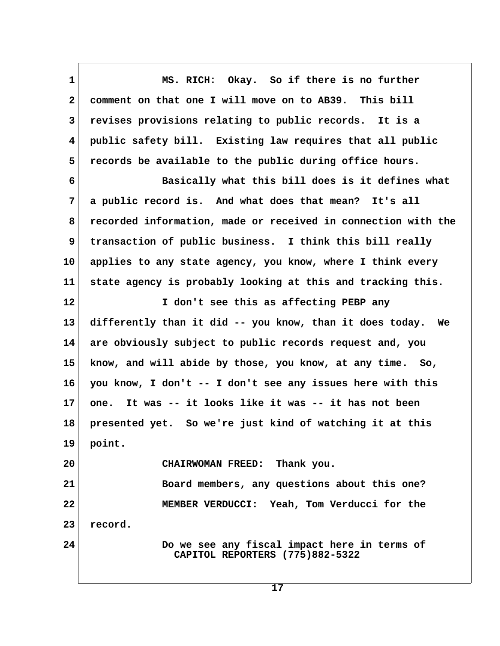**1 MS. RICH: Okay. So if there is no further 2 comment on that one I will move on to AB39. This bill 3 revises provisions relating to public records. It is a 4 public safety bill. Existing law requires that all public 5 records be available to the public during office hours. 6 Basically what this bill does is it defines what 7 a public record is. And what does that mean? It's all 8 recorded information, made or received in connection with the 9 transaction of public business. I think this bill really 10 applies to any state agency, you know, where I think every 11 state agency is probably looking at this and tracking this. 12 I don't see this as affecting PEBP any 13 differently than it did -- you know, than it does today. We 14 are obviously subject to public records request and, you 15 know, and will abide by those, you know, at any time. So, 16 you know, I don't -- I don't see any issues here with this 17 one. It was -- it looks like it was -- it has not been 18 presented yet. So we're just kind of watching it at this 19 point. 20 CHAIRWOMAN FREED: Thank you. 21 Board members, any questions about this one? 22 MEMBER VERDUCCI: Yeah, Tom Verducci for the 23 record. 24 Do we see any fiscal impact here in terms of CAPITOL REPORTERS (775)882-5322**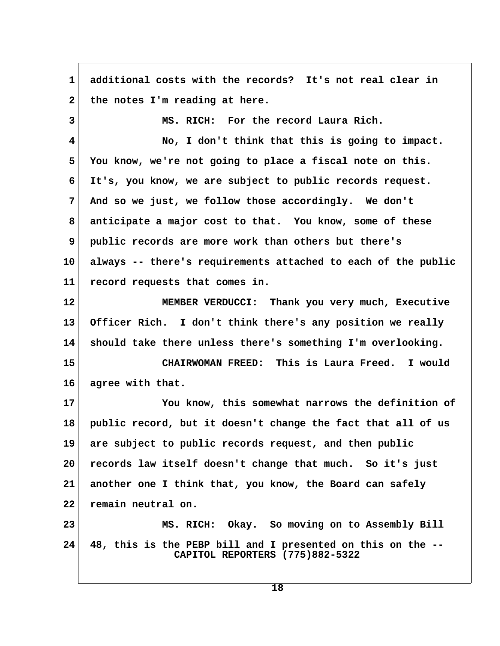**1 additional costs with the records? It's not real clear in** 2 the notes I'm reading at here.  **3 MS. RICH: For the record Laura Rich. 4 No, I don't think that this is going to impact. 5 You know, we're not going to place a fiscal note on this. 6 It's, you know, we are subject to public records request. 7 And so we just, we follow those accordingly. We don't 8 anticipate a major cost to that. You know, some of these 9 public records are more work than others but there's 10 always -- there's requirements attached to each of the public 11 record requests that comes in. 12 MEMBER VERDUCCI: Thank you very much, Executive 13 Officer Rich. I don't think there's any position we really 14 should take there unless there's something I'm overlooking. 15 CHAIRWOMAN FREED: This is Laura Freed. I would 16 agree with that. 17 You know, this somewhat narrows the definition of 18 public record, but it doesn't change the fact that all of us 19 are subject to public records request, and then public 20 records law itself doesn't change that much. So it's just 21 another one I think that, you know, the Board can safely 22 remain neutral on. 23 MS. RICH: Okay. So moving on to Assembly Bill 24 48, this is the PEBP bill and I presented on this on the -- CAPITOL REPORTERS (775)882-5322**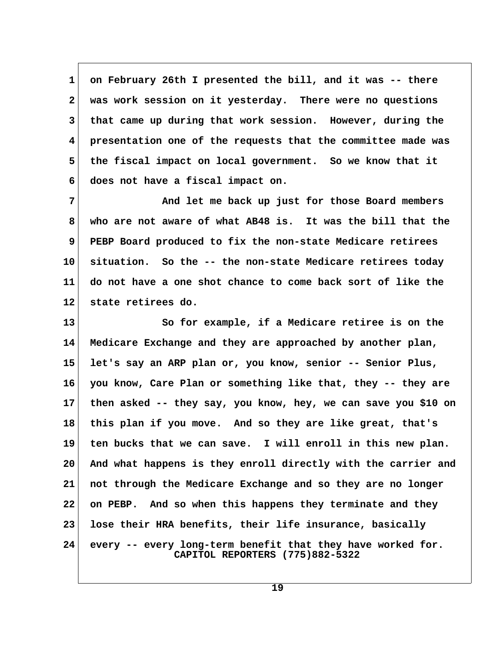**1 on February 26th I presented the bill, and it was -- there 2 was work session on it yesterday. There were no questions 3 that came up during that work session. However, during the 4 presentation one of the requests that the committee made was 5 the fiscal impact on local government. So we know that it 6 does not have a fiscal impact on.**

 **7 And let me back up just for those Board members 8 who are not aware of what AB48 is. It was the bill that the 9 PEBP Board produced to fix the non-state Medicare retirees 10 situation. So the -- the non-state Medicare retirees today 11 do not have a one shot chance to come back sort of like the 12 state retirees do.**

**13 So for example, if a Medicare retiree is on the 14 Medicare Exchange and they are approached by another plan, 15 let's say an ARP plan or, you know, senior -- Senior Plus, 16 you know, Care Plan or something like that, they -- they are 17 then asked -- they say, you know, hey, we can save you \$10 on 18 this plan if you move. And so they are like great, that's 19 ten bucks that we can save. I will enroll in this new plan. 20 And what happens is they enroll directly with the carrier and 21 not through the Medicare Exchange and so they are no longer 22 on PEBP. And so when this happens they terminate and they 23 lose their HRA benefits, their life insurance, basically 24 every -- every long-term benefit that they have worked for. CAPITOL REPORTERS (775)882-5322**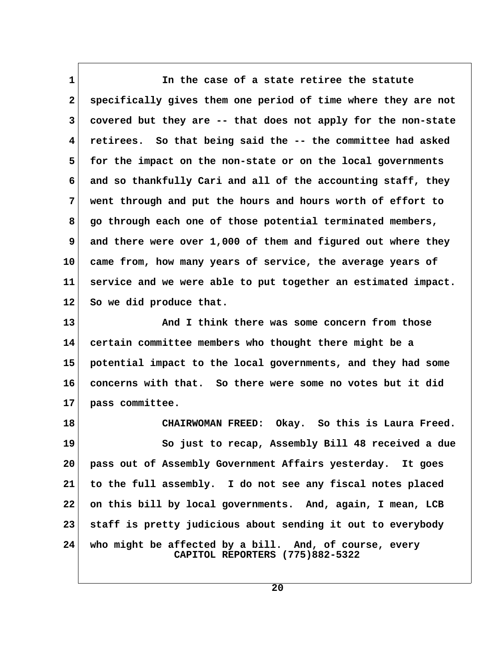**1 In the case of a state retiree the statute 2 specifically gives them one period of time where they are not 3 covered but they are -- that does not apply for the non-state 4 retirees. So that being said the -- the committee had asked 5 for the impact on the non-state or on the local governments 6 and so thankfully Cari and all of the accounting staff, they 7 went through and put the hours and hours worth of effort to 8 go through each one of those potential terminated members, 9 and there were over 1,000 of them and figured out where they 10 came from, how many years of service, the average years of 11 service and we were able to put together an estimated impact. 12 So we did produce that.**

**13 And I think there was some concern from those 14 certain committee members who thought there might be a 15 potential impact to the local governments, and they had some 16 concerns with that. So there were some no votes but it did 17 pass committee.**

**18 CHAIRWOMAN FREED: Okay. So this is Laura Freed. 19 So just to recap, Assembly Bill 48 received a due 20 pass out of Assembly Government Affairs yesterday. It goes 21 to the full assembly. I do not see any fiscal notes placed 22 on this bill by local governments. And, again, I mean, LCB 23 staff is pretty judicious about sending it out to everybody 24 who might be affected by a bill. And, of course, every CAPITOL REPORTERS (775)882-5322**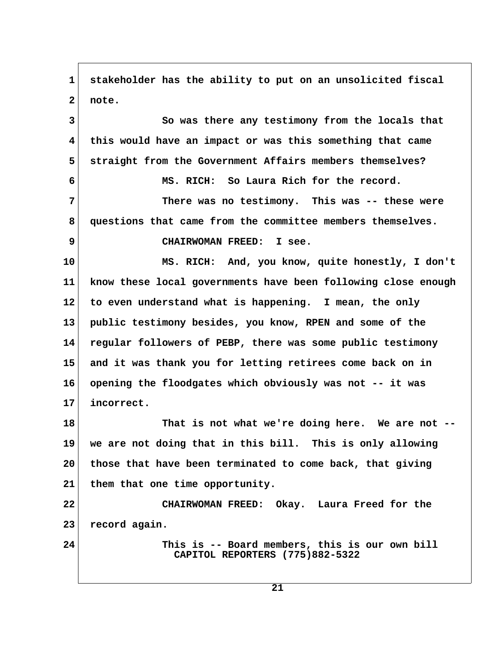**1 stakeholder has the ability to put on an unsolicited fiscal 2 note. 3 So was there any testimony from the locals that 4 this would have an impact or was this something that came 5 straight from the Government Affairs members themselves? 6 MS. RICH: So Laura Rich for the record. 7 There was no testimony. This was -- these were 8 questions that came from the committee members themselves. 9 CHAIRWOMAN FREED: I see. 10 MS. RICH: And, you know, quite honestly, I don't 11 know these local governments have been following close enough 12 to even understand what is happening. I mean, the only 13 public testimony besides, you know, RPEN and some of the 14 regular followers of PEBP, there was some public testimony 15 and it was thank you for letting retirees come back on in 16 opening the floodgates which obviously was not -- it was 17 incorrect. 18 That is not what we're doing here. We are not -- 19 we are not doing that in this bill. This is only allowing 20 those that have been terminated to come back, that giving 21 them that one time opportunity. 22 CHAIRWOMAN FREED: Okay. Laura Freed for the 23 record again. 24 This is -- Board members, this is our own bill CAPITOL REPORTERS (775)882-5322**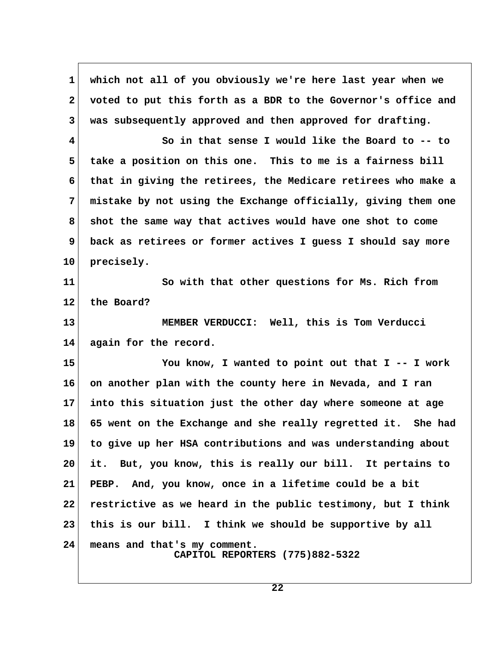**1 which not all of you obviously we're here last year when we 2 voted to put this forth as a BDR to the Governor's office and 3 was subsequently approved and then approved for drafting. 4 So in that sense I would like the Board to -- to 5 take a position on this one. This to me is a fairness bill 6 that in giving the retirees, the Medicare retirees who make a 7 mistake by not using the Exchange officially, giving them one 8 shot the same way that actives would have one shot to come 9 back as retirees or former actives I guess I should say more 10 precisely. 11 So with that other questions for Ms. Rich from 12 the Board? 13 MEMBER VERDUCCI: Well, this is Tom Verducci 14 again for the record. 15 You know, I wanted to point out that I -- I work 16 on another plan with the county here in Nevada, and I ran 17 into this situation just the other day where someone at age 18 65 went on the Exchange and she really regretted it. She had 19 to give up her HSA contributions and was understanding about 20 it. But, you know, this is really our bill. It pertains to 21 PEBP. And, you know, once in a lifetime could be a bit 22 restrictive as we heard in the public testimony, but I think 23 this is our bill. I think we should be supportive by all 24 means and that's my comment. CAPITOL REPORTERS (775)882-5322**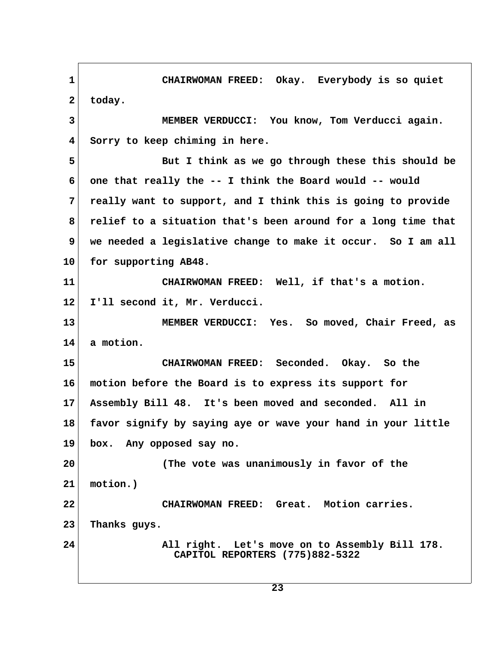**1 CHAIRWOMAN FREED: Okay. Everybody is so quiet** 2 today.  **3 MEMBER VERDUCCI: You know, Tom Verducci again. 4 Sorry to keep chiming in here. 5 But I think as we go through these this should be 6 one that really the -- I think the Board would -- would 7 really want to support, and I think this is going to provide 8 relief to a situation that's been around for a long time that 9 we needed a legislative change to make it occur. So I am all 10 for supporting AB48. 11 CHAIRWOMAN FREED: Well, if that's a motion. 12 I'll second it, Mr. Verducci. 13 MEMBER VERDUCCI: Yes. So moved, Chair Freed, as 14 a motion. 15 CHAIRWOMAN FREED: Seconded. Okay. So the 16 motion before the Board is to express its support for 17 Assembly Bill 48. It's been moved and seconded. All in 18 favor signify by saying aye or wave your hand in your little 19 box. Any opposed say no. 20 (The vote was unanimously in favor of the 21 motion.) 22 CHAIRWOMAN FREED: Great. Motion carries. 23 Thanks guys. 24 All right. Let's move on to Assembly Bill 178. CAPITOL REPORTERS (775)882-5322**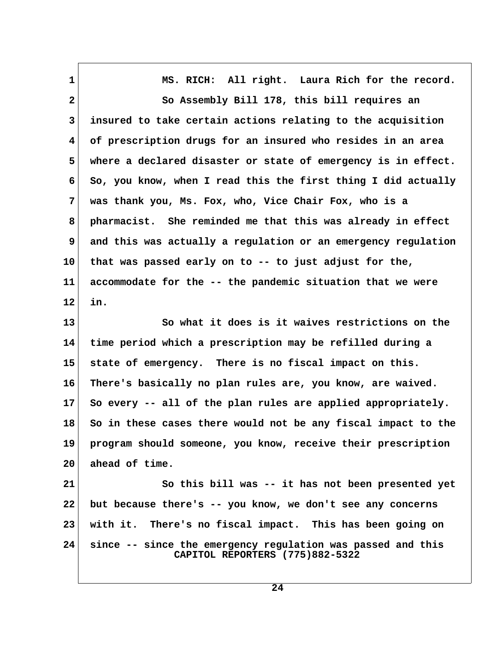| 1            | MS. RICH: All right. Laura Rich for the record.                                                |  |
|--------------|------------------------------------------------------------------------------------------------|--|
| $\mathbf{2}$ | So Assembly Bill 178, this bill requires an                                                    |  |
| 3            | insured to take certain actions relating to the acquisition                                    |  |
| 4            | of prescription drugs for an insured who resides in an area                                    |  |
| 5            | where a declared disaster or state of emergency is in effect.                                  |  |
| 6            | So, you know, when I read this the first thing I did actually                                  |  |
| 7            | was thank you, Ms. Fox, who, Vice Chair Fox, who is a                                          |  |
| 8            | pharmacist. She reminded me that this was already in effect                                    |  |
| 9            | and this was actually a regulation or an emergency regulation                                  |  |
| 10           | that was passed early on to -- to just adjust for the,                                         |  |
| 11           | accommodate for the -- the pandemic situation that we were                                     |  |
| 12           | in.                                                                                            |  |
| 13           | So what it does is it waives restrictions on the                                               |  |
| 14           | time period which a prescription may be refilled during a                                      |  |
| 15           | state of emergency. There is no fiscal impact on this.                                         |  |
| 16           | There's basically no plan rules are, you know, are waived.                                     |  |
| $17\,$       | So every -- all of the plan rules are applied appropriately.                                   |  |
| 18           | So in these cases there would not be any fiscal impact to the                                  |  |
| 19           | program should someone, you know, receive their prescription                                   |  |
| 20           | ahead of time.                                                                                 |  |
| 21           | So this bill was -- it has not been presented yet                                              |  |
| 22           | but because there's -- you know, we don't see any concerns                                     |  |
| 23           | with it. There's no fiscal impact. This has been going on                                      |  |
| 24           | since -- since the emergency regulation was passed and this<br>CAPITOL REPORTERS (775)882-5322 |  |

 $\sqrt{ }$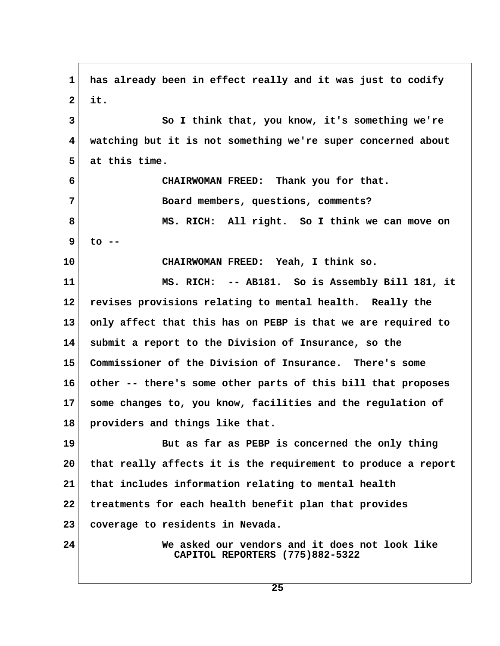**1 has already been in effect really and it was just to codify 2 it. 3 So I think that, you know, it's something we're 4 watching but it is not something we're super concerned about 5 at this time. 6 CHAIRWOMAN FREED: Thank you for that. 7 Board members, questions, comments? 8 MS. RICH: All right. So I think we can move on 9 to -- 10 CHAIRWOMAN FREED: Yeah, I think so. 11 MS. RICH: -- AB181. So is Assembly Bill 181, it 12 revises provisions relating to mental health. Really the 13 only affect that this has on PEBP is that we are required to 14 submit a report to the Division of Insurance, so the 15 Commissioner of the Division of Insurance. There's some 16 other -- there's some other parts of this bill that proposes 17 some changes to, you know, facilities and the regulation of 18 providers and things like that. 19 But as far as PEBP is concerned the only thing 20 that really affects it is the requirement to produce a report 21 that includes information relating to mental health 22 treatments for each health benefit plan that provides 23 coverage to residents in Nevada. 24 We asked our vendors and it does not look like CAPITOL REPORTERS (775)882-5322**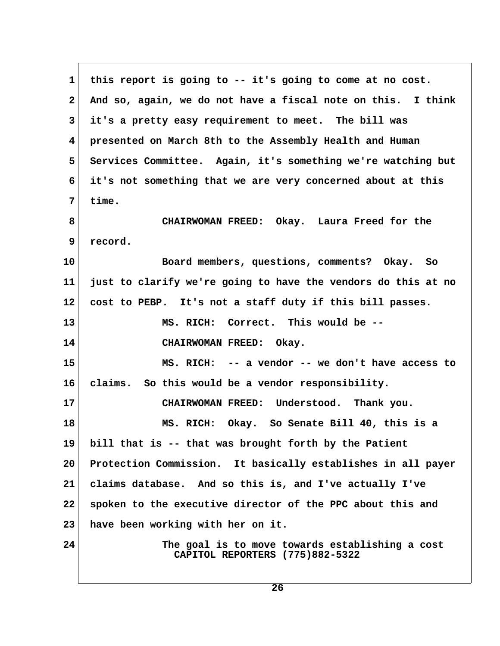**1 this report is going to -- it's going to come at no cost. 2 And so, again, we do not have a fiscal note on this. I think 3 it's a pretty easy requirement to meet. The bill was 4 presented on March 8th to the Assembly Health and Human 5 Services Committee. Again, it's something we're watching but 6 it's not something that we are very concerned about at this 7 time. 8 CHAIRWOMAN FREED: Okay. Laura Freed for the 9 record. 10 Board members, questions, comments? Okay. So 11 just to clarify we're going to have the vendors do this at no 12 cost to PEBP. It's not a staff duty if this bill passes. 13 MS. RICH: Correct. This would be -- 14 CHAIRWOMAN FREED: Okay. 15 MS. RICH: -- a vendor -- we don't have access to 16 claims. So this would be a vendor responsibility. 17 CHAIRWOMAN FREED: Understood. Thank you. 18 MS. RICH: Okay. So Senate Bill 40, this is a 19 bill that is -- that was brought forth by the Patient 20 Protection Commission. It basically establishes in all payer 21 claims database. And so this is, and I've actually I've 22 spoken to the executive director of the PPC about this and 23 have been working with her on it. 24 The goal is to move towards establishing a cost CAPITOL REPORTERS (775)882-5322**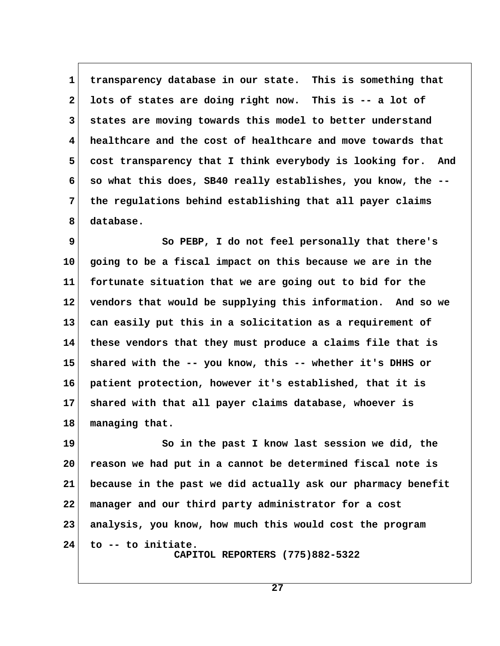1 transparency database in our state. This is something that  **2 lots of states are doing right now. This is -- a lot of 3 states are moving towards this model to better understand 4 healthcare and the cost of healthcare and move towards that 5 cost transparency that I think everybody is looking for. And 6 so what this does, SB40 really establishes, you know, the -- 7 the regulations behind establishing that all payer claims 8 database.**

 **9 So PEBP, I do not feel personally that there's 10 going to be a fiscal impact on this because we are in the 11 fortunate situation that we are going out to bid for the 12 vendors that would be supplying this information. And so we 13 can easily put this in a solicitation as a requirement of 14 these vendors that they must produce a claims file that is 15 shared with the -- you know, this -- whether it's DHHS or 16 patient protection, however it's established, that it is 17 shared with that all payer claims database, whoever is 18 managing that.**

**19 So in the past I know last session we did, the 20 reason we had put in a cannot be determined fiscal note is 21 because in the past we did actually ask our pharmacy benefit 22 manager and our third party administrator for a cost 23 analysis, you know, how much this would cost the program 24 to -- to initiate. CAPITOL REPORTERS (775)882-5322**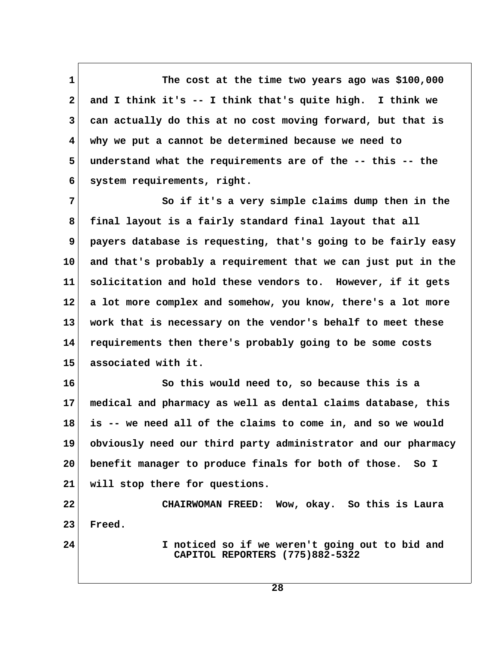**1** The cost at the time two years ago was \$100,000  **2 and I think it's -- I think that's quite high. I think we 3 can actually do this at no cost moving forward, but that is 4 why we put a cannot be determined because we need to 5 understand what the requirements are of the -- this -- the 6 system requirements, right.**

**7** So if it's a very simple claims dump then in the  **8 final layout is a fairly standard final layout that all 9 payers database is requesting, that's going to be fairly easy 10 and that's probably a requirement that we can just put in the 11 solicitation and hold these vendors to. However, if it gets 12 a lot more complex and somehow, you know, there's a lot more 13 work that is necessary on the vendor's behalf to meet these 14 requirements then there's probably going to be some costs 15 associated with it.**

**16 So this would need to, so because this is a 17 medical and pharmacy as well as dental claims database, this 18 is -- we need all of the claims to come in, and so we would 19 obviously need our third party administrator and our pharmacy 20 benefit manager to produce finals for both of those. So I 21 will stop there for questions.**

**22 CHAIRWOMAN FREED: Wow, okay. So this is Laura 23 Freed.**

**24 I noticed so if we weren't going out to bid and CAPITOL REPORTERS (775)882-5322**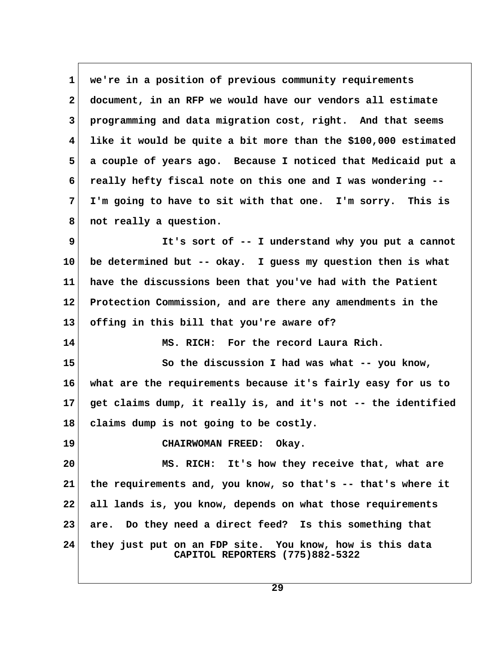**1 we're in a position of previous community requirements 2 document, in an RFP we would have our vendors all estimate 3 programming and data migration cost, right. And that seems 4 like it would be quite a bit more than the \$100,000 estimated 5 a couple of years ago. Because I noticed that Medicaid put a 6 really hefty fiscal note on this one and I was wondering -- 7 I'm going to have to sit with that one. I'm sorry. This is 8 not really a question. 9 It's sort of -- I understand why you put a cannot 10 be determined but -- okay. I guess my question then is what 11 have the discussions been that you've had with the Patient 12 Protection Commission, and are there any amendments in the 13 offing in this bill that you're aware of? 14 MS. RICH: For the record Laura Rich. 15 So the discussion I had was what -- you know, 16 what are the requirements because it's fairly easy for us to 17 get claims dump, it really is, and it's not -- the identified 18 claims dump is not going to be costly. 19 CHAIRWOMAN FREED: Okay. 20 MS. RICH: It's how they receive that, what are 21 the requirements and, you know, so that's -- that's where it 22 all lands is, you know, depends on what those requirements 23 are. Do they need a direct feed? Is this something that 24 they just put on an FDP site. You know, how is this data CAPITOL REPORTERS (775)882-5322**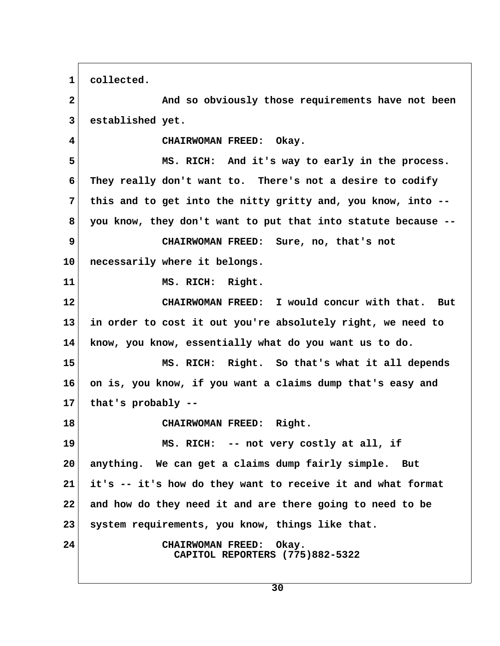**1 collected.**

 **2 And so obviously those requirements have not been 3 established yet. 4 CHAIRWOMAN FREED: Okay. 5 MS. RICH: And it's way to early in the process. 6 They really don't want to. There's not a desire to codify 7 this and to get into the nitty gritty and, you know, into -- 8 you know, they don't want to put that into statute because -- 9 CHAIRWOMAN FREED: Sure, no, that's not 10 necessarily where it belongs. 11 MS. RICH: Right. 12 CHAIRWOMAN FREED: I would concur with that. But 13 in order to cost it out you're absolutely right, we need to 14 know, you know, essentially what do you want us to do. 15 MS. RICH: Right. So that's what it all depends 16 on is, you know, if you want a claims dump that's easy and 17 that's probably -- 18 CHAIRWOMAN FREED: Right. 19 MS. RICH: -- not very costly at all, if 20 anything. We can get a claims dump fairly simple. But 21 it's -- it's how do they want to receive it and what format 22 and how do they need it and are there going to need to be 23 system requirements, you know, things like that. 24 CHAIRWOMAN FREED: Okay. CAPITOL REPORTERS (775)882-5322**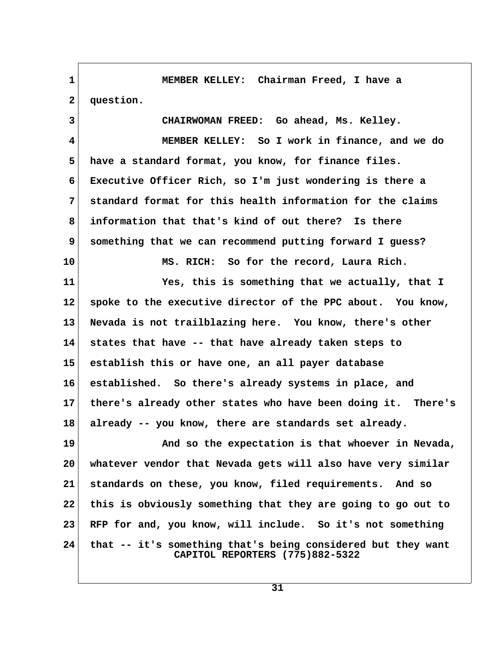**1 MEMBER KELLEY: Chairman Freed, I have a** 2 question.  **3 CHAIRWOMAN FREED: Go ahead, Ms. Kelley. 4 MEMBER KELLEY: So I work in finance, and we do 5 have a standard format, you know, for finance files. 6 Executive Officer Rich, so I'm just wondering is there a 7 standard format for this health information for the claims 8 information that that's kind of out there? Is there 9 something that we can recommend putting forward I guess? 10 MS. RICH: So for the record, Laura Rich. 11 Yes, this is something that we actually, that I 12 spoke to the executive director of the PPC about. You know, 13 Nevada is not trailblazing here. You know, there's other 14 states that have -- that have already taken steps to 15 establish this or have one, an all payer database 16 established. So there's already systems in place, and 17 there's already other states who have been doing it. There's 18 already -- you know, there are standards set already. 19 And so the expectation is that whoever in Nevada, 20 whatever vendor that Nevada gets will also have very similar 21 standards on these, you know, filed requirements. And so 22 this is obviously something that they are going to go out to 23 RFP for and, you know, will include. So it's not something 24 that -- it's something that's being considered but they want CAPITOL REPORTERS (775)882-5322**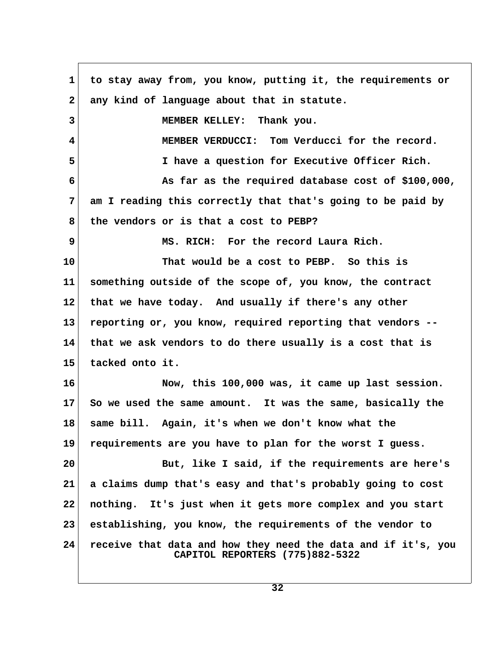**1 to stay away from, you know, putting it, the requirements or** 2 any kind of language about that in statute.  **3 MEMBER KELLEY: Thank you. 4 MEMBER VERDUCCI: Tom Verducci for the record. 5 I have a question for Executive Officer Rich. 6 As far as the required database cost of \$100,000, 7 am I reading this correctly that that's going to be paid by 8 the vendors or is that a cost to PEBP? 9 MS. RICH: For the record Laura Rich. 10 That would be a cost to PEBP. So this is 11 something outside of the scope of, you know, the contract 12 that we have today. And usually if there's any other 13 reporting or, you know, required reporting that vendors -- 14 that we ask vendors to do there usually is a cost that is 15 tacked onto it. 16 Now, this 100,000 was, it came up last session. 17 So we used the same amount. It was the same, basically the 18 same bill. Again, it's when we don't know what the 19 requirements are you have to plan for the worst I guess. 20 But, like I said, if the requirements are here's 21 a claims dump that's easy and that's probably going to cost 22 nothing. It's just when it gets more complex and you start 23 establishing, you know, the requirements of the vendor to 24 receive that data and how they need the data and if it's, you CAPITOL REPORTERS (775)882-5322**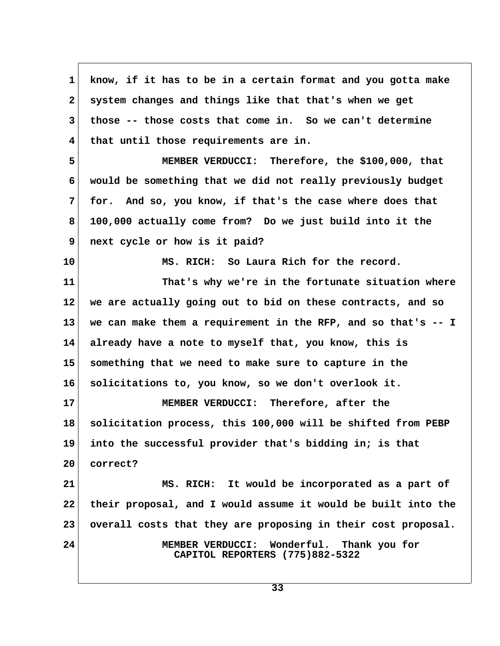**1 know, if it has to be in a certain format and you gotta make 2 system changes and things like that that's when we get 3 those -- those costs that come in. So we can't determine 4 that until those requirements are in. 5 MEMBER VERDUCCI: Therefore, the \$100,000, that 6 would be something that we did not really previously budget 7 for. And so, you know, if that's the case where does that 8 100,000 actually come from? Do we just build into it the 9 next cycle or how is it paid? 10 MS. RICH: So Laura Rich for the record. 11 That's why we're in the fortunate situation where 12 we are actually going out to bid on these contracts, and so 13 we can make them a requirement in the RFP, and so that's -- I 14 already have a note to myself that, you know, this is 15 something that we need to make sure to capture in the 16 solicitations to, you know, so we don't overlook it. 17 MEMBER VERDUCCI: Therefore, after the 18 solicitation process, this 100,000 will be shifted from PEBP 19 into the successful provider that's bidding in; is that 20 correct? 21 MS. RICH: It would be incorporated as a part of 22 their proposal, and I would assume it would be built into the 23 overall costs that they are proposing in their cost proposal. 24 MEMBER VERDUCCI: Wonderful. Thank you for CAPITOL REPORTERS (775)882-5322**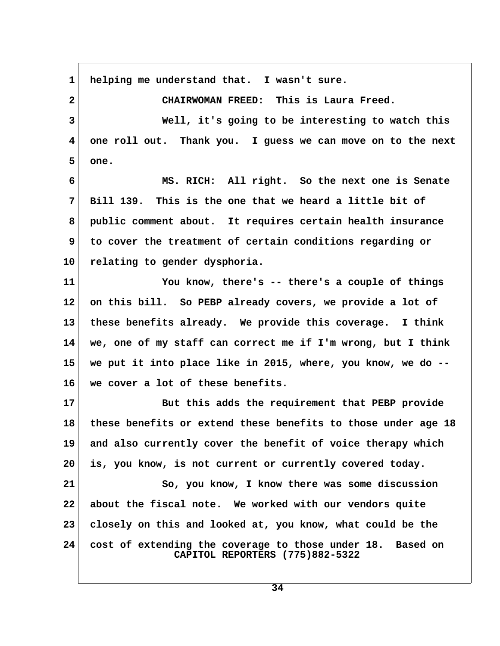**1 helping me understand that. I wasn't sure. 2 CHAIRWOMAN FREED: This is Laura Freed. 3 Well, it's going to be interesting to watch this 4 one roll out. Thank you. I guess we can move on to the next 5 one. 6 MS. RICH: All right. So the next one is Senate 7 Bill 139. This is the one that we heard a little bit of 8 public comment about. It requires certain health insurance 9 to cover the treatment of certain conditions regarding or 10 relating to gender dysphoria. 11 You know, there's -- there's a couple of things 12 on this bill. So PEBP already covers, we provide a lot of 13 these benefits already. We provide this coverage. I think 14 we, one of my staff can correct me if I'm wrong, but I think 15 we put it into place like in 2015, where, you know, we do -- 16 we cover a lot of these benefits. 17 But this adds the requirement that PEBP provide 18 these benefits or extend these benefits to those under age 18 19 and also currently cover the benefit of voice therapy which 20 is, you know, is not current or currently covered today. 21 So, you know, I know there was some discussion 22 about the fiscal note. We worked with our vendors quite 23 closely on this and looked at, you know, what could be the 24 cost of extending the coverage to those under 18. Based on CAPITOL REPORTERS (775)882-5322**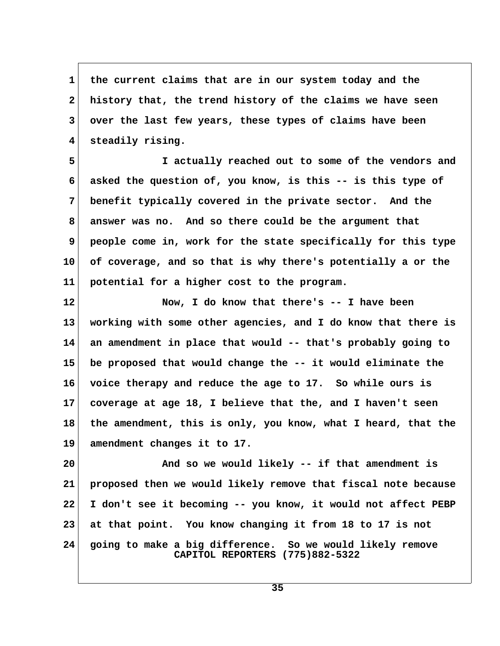1 the current claims that are in our system today and the  **2 history that, the trend history of the claims we have seen 3 over the last few years, these types of claims have been 4 steadily rising.**

 **5 I actually reached out to some of the vendors and 6 asked the question of, you know, is this -- is this type of 7 benefit typically covered in the private sector. And the 8 answer was no. And so there could be the argument that 9 people come in, work for the state specifically for this type 10 of coverage, and so that is why there's potentially a or the 11 potential for a higher cost to the program.**

**12 Now, I do know that there's -- I have been 13 working with some other agencies, and I do know that there is 14 an amendment in place that would -- that's probably going to 15 be proposed that would change the -- it would eliminate the 16 voice therapy and reduce the age to 17. So while ours is 17 coverage at age 18, I believe that the, and I haven't seen 18 the amendment, this is only, you know, what I heard, that the 19 amendment changes it to 17.**

**20 And so we would likely -- if that amendment is 21 proposed then we would likely remove that fiscal note because 22 I don't see it becoming -- you know, it would not affect PEBP 23 at that point. You know changing it from 18 to 17 is not 24 going to make a big difference. So we would likely remove CAPITOL REPORTERS (775)882-5322**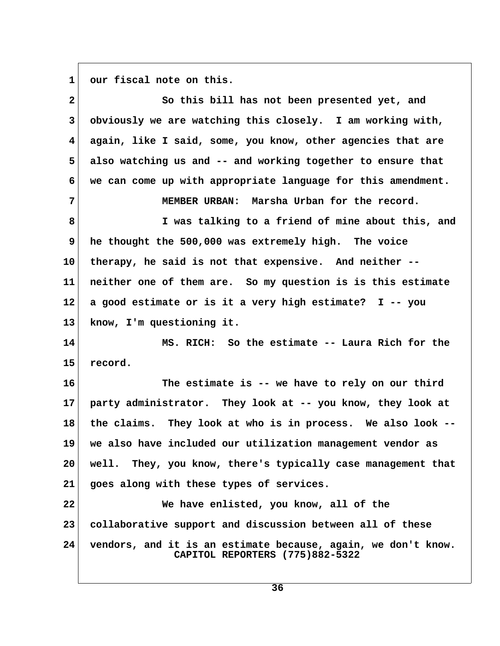1 our fiscal note on this.

| $\mathbf{2}$ | So this bill has not been presented yet, and                                                     |  |
|--------------|--------------------------------------------------------------------------------------------------|--|
| $\mathbf{3}$ | obviously we are watching this closely. I am working with,                                       |  |
| 4            | again, like I said, some, you know, other agencies that are                                      |  |
| 5            | also watching us and -- and working together to ensure that                                      |  |
| 6            | we can come up with appropriate language for this amendment.                                     |  |
| 7            | MEMBER URBAN: Marsha Urban for the record.                                                       |  |
| 8            | I was talking to a friend of mine about this, and                                                |  |
| 9            | he thought the 500,000 was extremely high. The voice                                             |  |
| 10           | therapy, he said is not that expensive. And neither --                                           |  |
| 11           | neither one of them are. So my question is is this estimate                                      |  |
| $12 \,$      | a good estimate or is it a very high estimate? I -- you                                          |  |
| 13           | know, I'm questioning it.                                                                        |  |
| 14           | MS. RICH: So the estimate -- Laura Rich for the                                                  |  |
| 15           | record.                                                                                          |  |
| 16           | The estimate is -- we have to rely on our third                                                  |  |
| 17           | party administrator. They look at -- you know, they look at                                      |  |
| 18           | the claims. They look at who is in process. We also look --                                      |  |
| 19           | we also have included our utilization management vendor as                                       |  |
| 20           | well. They, you know, there's typically case management that                                     |  |
| 21           | goes along with these types of services.                                                         |  |
| 22           | We have enlisted, you know, all of the                                                           |  |
| 23           | collaborative support and discussion between all of these                                        |  |
| 24           | vendors, and it is an estimate because, again, we don't know.<br>CAPITOL REPORTERS (775)882-5322 |  |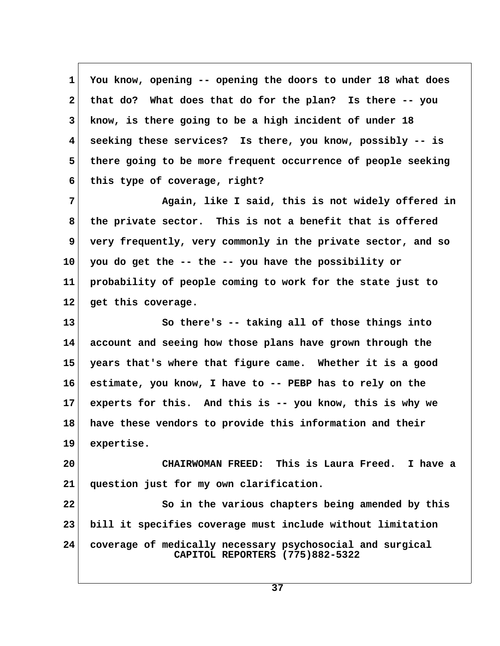**1 You know, opening -- opening the doors to under 18 what does 2 that do? What does that do for the plan? Is there -- you 3 know, is there going to be a high incident of under 18 4 seeking these services? Is there, you know, possibly -- is 5 there going to be more frequent occurrence of people seeking 6 this type of coverage, right? 7 Again, like I said, this is not widely offered in 8 the private sector. This is not a benefit that is offered 9 very frequently, very commonly in the private sector, and so 10 you do get the -- the -- you have the possibility or 11 probability of people coming to work for the state just to 12 get this coverage. 13 So there's -- taking all of those things into 14 account and seeing how those plans have grown through the 15 years that's where that figure came. Whether it is a good 16 estimate, you know, I have to -- PEBP has to rely on the 17 experts for this. And this is -- you know, this is why we 18 have these vendors to provide this information and their 19 expertise. 20 CHAIRWOMAN FREED: This is Laura Freed. I have a 21 question just for my own clarification. 22 So in the various chapters being amended by this 23 bill it specifies coverage must include without limitation 24 coverage of medically necessary psychosocial and surgical CAPITOL REPORTERS (775)882-5322**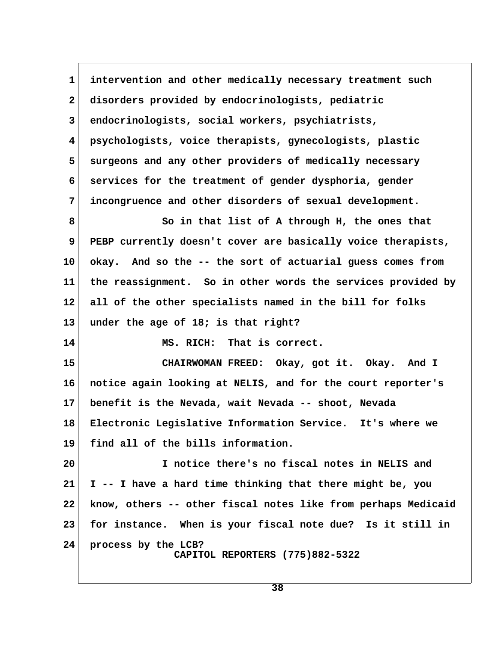**1 intervention and other medically necessary treatment such 2 disorders provided by endocrinologists, pediatric 3 endocrinologists, social workers, psychiatrists, 4 psychologists, voice therapists, gynecologists, plastic 5 surgeons and any other providers of medically necessary 6 services for the treatment of gender dysphoria, gender 7 incongruence and other disorders of sexual development. 8 So in that list of A through H, the ones that 9 PEBP currently doesn't cover are basically voice therapists, 10 okay. And so the -- the sort of actuarial guess comes from 11 the reassignment. So in other words the services provided by 12 all of the other specialists named in the bill for folks 13 under the age of 18; is that right? 14 MS. RICH: That is correct. 15 CHAIRWOMAN FREED: Okay, got it. Okay. And I 16 notice again looking at NELIS, and for the court reporter's 17 benefit is the Nevada, wait Nevada -- shoot, Nevada 18 Electronic Legislative Information Service. It's where we 19 find all of the bills information. 20 I notice there's no fiscal notes in NELIS and 21 I -- I have a hard time thinking that there might be, you 22 know, others -- other fiscal notes like from perhaps Medicaid 23 for instance. When is your fiscal note due? Is it still in 24 process by the LCB? CAPITOL REPORTERS (775)882-5322**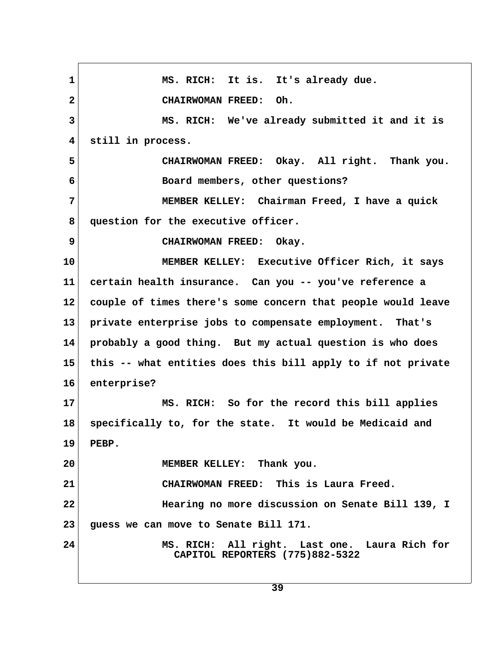1 MS. RICH: It is. It's already due.  **2 CHAIRWOMAN FREED: Oh. 3 MS. RICH: We've already submitted it and it is 4 still in process. 5 CHAIRWOMAN FREED: Okay. All right. Thank you. 6 Board members, other questions? 7 MEMBER KELLEY: Chairman Freed, I have a quick** 8 question for the executive officer.  **9 CHAIRWOMAN FREED: Okay. 10 MEMBER KELLEY: Executive Officer Rich, it says 11 certain health insurance. Can you -- you've reference a 12 couple of times there's some concern that people would leave 13 private enterprise jobs to compensate employment. That's 14 probably a good thing. But my actual question is who does 15 this -- what entities does this bill apply to if not private 16 enterprise? 17 MS. RICH: So for the record this bill applies 18 specifically to, for the state. It would be Medicaid and 19 PEBP. 20 MEMBER KELLEY: Thank you. 21 CHAIRWOMAN FREED: This is Laura Freed. 22 Hearing no more discussion on Senate Bill 139, I 23 guess we can move to Senate Bill 171. 24 MS. RICH: All right. Last one. Laura Rich for CAPITOL REPORTERS (775)882-5322**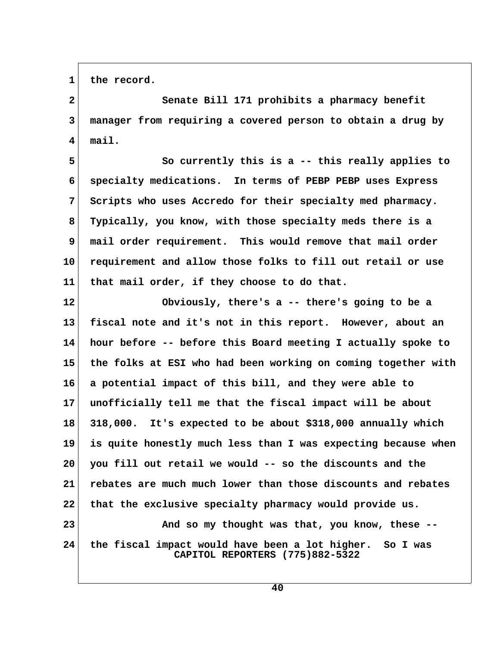1 the record.

 **2 Senate Bill 171 prohibits a pharmacy benefit 3 manager from requiring a covered person to obtain a drug by 4 mail.**

5 So currently this is a -- this really applies to  **6 specialty medications. In terms of PEBP PEBP uses Express 7 Scripts who uses Accredo for their specialty med pharmacy. 8 Typically, you know, with those specialty meds there is a 9 mail order requirement. This would remove that mail order 10 requirement and allow those folks to fill out retail or use 11 that mail order, if they choose to do that.**

**12 Obviously, there's a -- there's going to be a 13 fiscal note and it's not in this report. However, about an 14 hour before -- before this Board meeting I actually spoke to 15 the folks at ESI who had been working on coming together with 16 a potential impact of this bill, and they were able to 17 unofficially tell me that the fiscal impact will be about 18 318,000. It's expected to be about \$318,000 annually which 19 is quite honestly much less than I was expecting because when 20 you fill out retail we would -- so the discounts and the 21 rebates are much much lower than those discounts and rebates 22 that the exclusive specialty pharmacy would provide us. 23 And so my thought was that, you know, these -- 24 the fiscal impact would have been a lot higher. So I was CAPITOL REPORTERS (775)882-5322**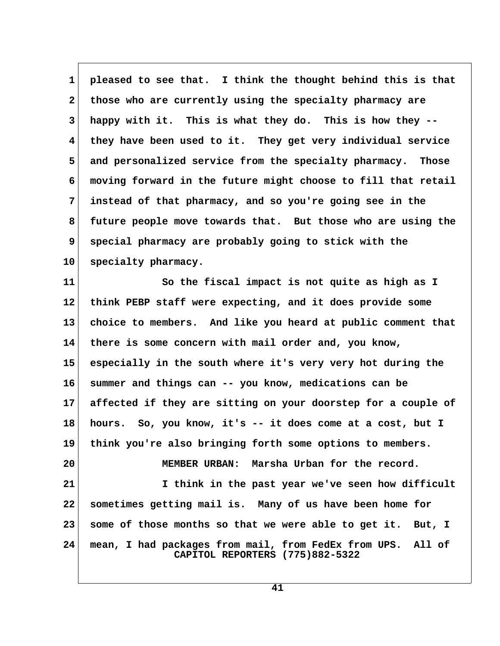**1 pleased to see that. I think the thought behind this is that 2 those who are currently using the specialty pharmacy are 3 happy with it. This is what they do. This is how they -- 4 they have been used to it. They get very individual service 5 and personalized service from the specialty pharmacy. Those 6 moving forward in the future might choose to fill that retail 7 instead of that pharmacy, and so you're going see in the 8 future people move towards that. But those who are using the 9 special pharmacy are probably going to stick with the 10 specialty pharmacy.**

**11 So the fiscal impact is not quite as high as I 12 think PEBP staff were expecting, and it does provide some 13 choice to members. And like you heard at public comment that 14 there is some concern with mail order and, you know, 15 especially in the south where it's very very hot during the 16 summer and things can -- you know, medications can be 17 affected if they are sitting on your doorstep for a couple of 18 hours. So, you know, it's -- it does come at a cost, but I 19 think you're also bringing forth some options to members. 20 MEMBER URBAN: Marsha Urban for the record. 21 I think in the past year we've seen how difficult 22 sometimes getting mail is. Many of us have been home for 23 some of those months so that we were able to get it. But, I 24 mean, I had packages from mail, from FedEx from UPS. All of CAPITOL REPORTERS (775)882-5322**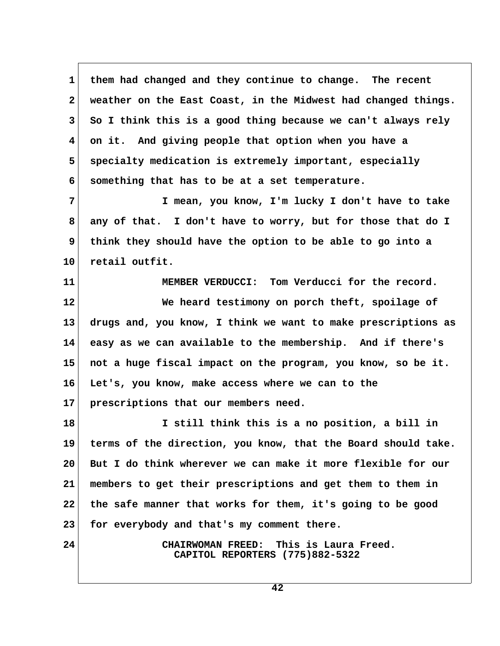1 them had changed and they continue to change. The recent  **2 weather on the East Coast, in the Midwest had changed things. 3 So I think this is a good thing because we can't always rely 4 on it. And giving people that option when you have a 5 specialty medication is extremely important, especially 6 something that has to be at a set temperature.**

 **7 I mean, you know, I'm lucky I don't have to take 8 any of that. I don't have to worry, but for those that do I 9 think they should have the option to be able to go into a 10 retail outfit.**

**11 MEMBER VERDUCCI: Tom Verducci for the record. 12 We heard testimony on porch theft, spoilage of 13 drugs and, you know, I think we want to make prescriptions as 14 easy as we can available to the membership. And if there's 15 not a huge fiscal impact on the program, you know, so be it. 16 Let's, you know, make access where we can to the 17 prescriptions that our members need.**

**18 I still think this is a no position, a bill in 19 terms of the direction, you know, that the Board should take. 20 But I do think wherever we can make it more flexible for our 21 members to get their prescriptions and get them to them in 22 the safe manner that works for them, it's going to be good 23 for everybody and that's my comment there.**

**24 CHAIRWOMAN FREED: This is Laura Freed. CAPITOL REPORTERS (775)882-5322**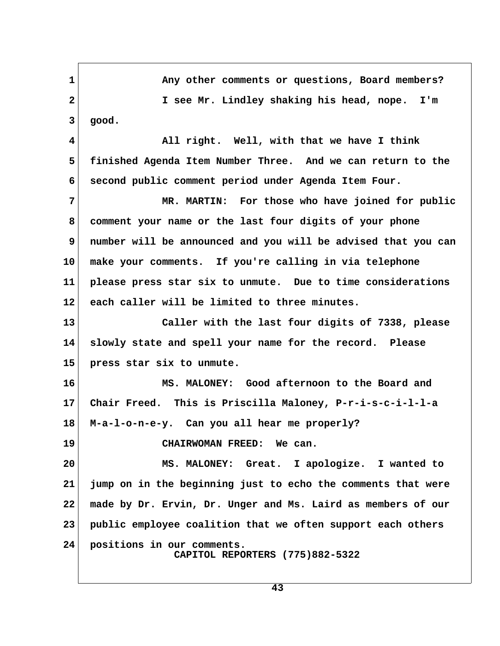1 Any other comments or questions, Board members?  **2 I see Mr. Lindley shaking his head, nope. I'm 3 good. 4 All right. Well, with that we have I think 5 finished Agenda Item Number Three. And we can return to the 6 second public comment period under Agenda Item Four. 7 MR. MARTIN: For those who have joined for public 8 comment your name or the last four digits of your phone 9 number will be announced and you will be advised that you can 10 make your comments. If you're calling in via telephone 11 please press star six to unmute. Due to time considerations 12 each caller will be limited to three minutes. 13 Caller with the last four digits of 7338, please 14 slowly state and spell your name for the record. Please 15 press star six to unmute. 16 MS. MALONEY: Good afternoon to the Board and 17 Chair Freed. This is Priscilla Maloney, P-r-i-s-c-i-l-l-a 18 M-a-l-o-n-e-y. Can you all hear me properly? 19 CHAIRWOMAN FREED: We can. 20 MS. MALONEY: Great. I apologize. I wanted to 21 jump on in the beginning just to echo the comments that were 22 made by Dr. Ervin, Dr. Unger and Ms. Laird as members of our 23 public employee coalition that we often support each others 24 positions in our comments. CAPITOL REPORTERS (775)882-5322**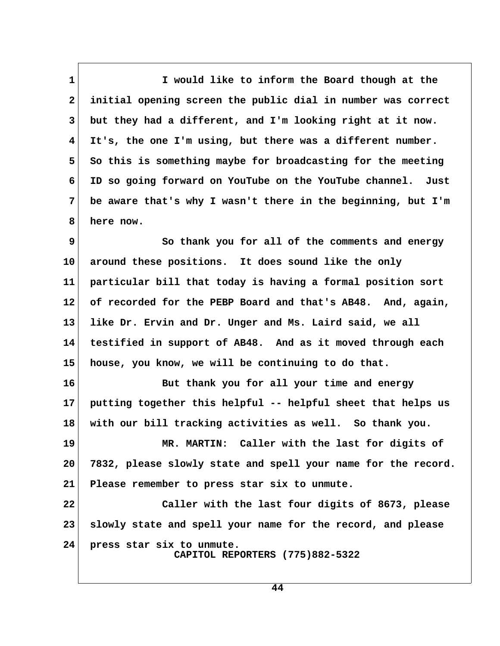**1 I would like to inform the Board though at the 2 initial opening screen the public dial in number was correct 3 but they had a different, and I'm looking right at it now. 4 It's, the one I'm using, but there was a different number.** 5 So this is something maybe for broadcasting for the meeting  **6 ID so going forward on YouTube on the YouTube channel. Just 7 be aware that's why I wasn't there in the beginning, but I'm 8 here now.**

**9** So thank you for all of the comments and energy **10 around these positions. It does sound like the only 11 particular bill that today is having a formal position sort 12 of recorded for the PEBP Board and that's AB48. And, again, 13 like Dr. Ervin and Dr. Unger and Ms. Laird said, we all 14 testified in support of AB48. And as it moved through each 15 house, you know, we will be continuing to do that.**

**16 But thank you for all your time and energy 17 putting together this helpful -- helpful sheet that helps us 18 with our bill tracking activities as well. So thank you.**

**19 MR. MARTIN: Caller with the last for digits of 20 7832, please slowly state and spell your name for the record. 21 Please remember to press star six to unmute.**

**22 Caller with the last four digits of 8673, please 23 slowly state and spell your name for the record, and please 24 press star six to unmute. CAPITOL REPORTERS (775)882-5322**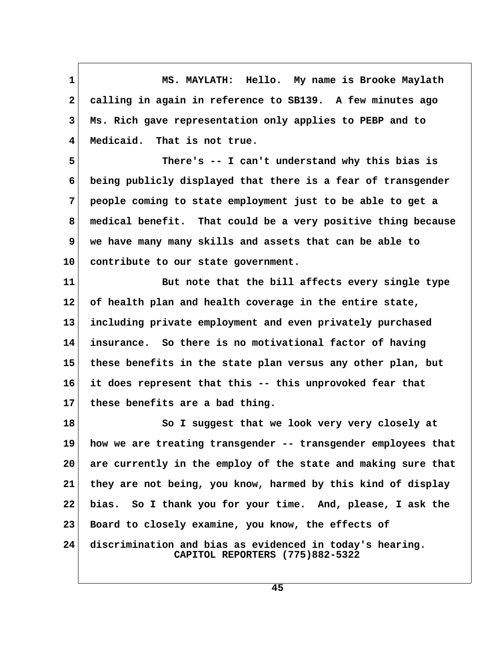**1 MS. MAYLATH: Hello. My name is Brooke Maylath 2 calling in again in reference to SB139. A few minutes ago 3 Ms. Rich gave representation only applies to PEBP and to 4 Medicaid. That is not true.**

 **5 There's -- I can't understand why this bias is 6 being publicly displayed that there is a fear of transgender 7 people coming to state employment just to be able to get a 8 medical benefit. That could be a very positive thing because 9 we have many many skills and assets that can be able to 10 contribute to our state government.**

**11 But note that the bill affects every single type 12 of health plan and health coverage in the entire state, 13 including private employment and even privately purchased 14 insurance. So there is no motivational factor of having 15 these benefits in the state plan versus any other plan, but 16 it does represent that this -- this unprovoked fear that 17 these benefits are a bad thing.**

18 So I suggest that we look very very closely at **19 how we are treating transgender -- transgender employees that 20 are currently in the employ of the state and making sure that 21 they are not being, you know, harmed by this kind of display 22 bias. So I thank you for your time. And, please, I ask the 23 Board to closely examine, you know, the effects of 24 discrimination and bias as evidenced in today's hearing. CAPITOL REPORTERS (775)882-5322**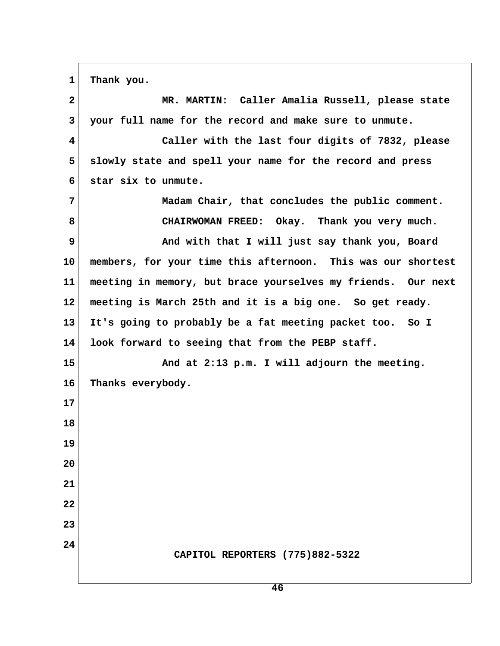1 Thank you.

| $\mathbf{2}$ | MR. MARTIN: Caller Amalia Russell, please state              |  |
|--------------|--------------------------------------------------------------|--|
| 3            | your full name for the record and make sure to unmute.       |  |
| 4            | Caller with the last four digits of 7832, please             |  |
| 5            | slowly state and spell your name for the record and press    |  |
| 6            | star six to unmute.                                          |  |
| 7            | Madam Chair, that concludes the public comment.              |  |
| 8            | CHAIRWOMAN FREED: Okay. Thank you very much.                 |  |
| 9            | And with that I will just say thank you, Board               |  |
| 10           | members, for your time this afternoon. This was our shortest |  |
| 11           | meeting in memory, but brace yourselves my friends. Our next |  |
| 12           | meeting is March 25th and it is a big one. So get ready.     |  |
| 13           | It's going to probably be a fat meeting packet too. So I     |  |
| 14           | look forward to seeing that from the PEBP staff.             |  |
| 15           | And at 2:13 p.m. I will adjourn the meeting.                 |  |
| 16           | Thanks everybody.                                            |  |
| 17           |                                                              |  |
| 18           |                                                              |  |
| 19           |                                                              |  |
| 20           |                                                              |  |
| 21           |                                                              |  |
| 22           |                                                              |  |
| 23           |                                                              |  |
| 24           | CAPITOL REPORTERS (775)882-5322                              |  |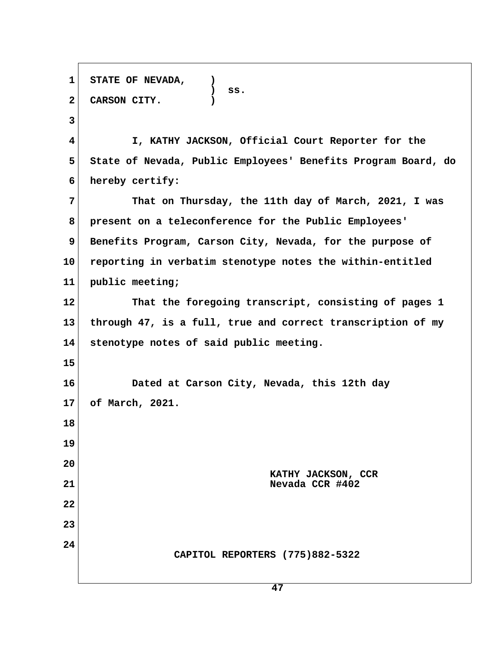**1 STATE OF NEVADA, ) ) ss. 2 CARSON CITY. ) 3 4 I, KATHY JACKSON, Official Court Reporter for the 5 State of Nevada, Public Employees' Benefits Program Board, do 6 hereby certify: 7 That on Thursday, the 11th day of March, 2021, I was 8 present on a teleconference for the Public Employees'** 9 Benefits Program, Carson City, Nevada, for the purpose of **10 reporting in verbatim stenotype notes the within-entitled 11 public meeting; 12 That the foregoing transcript, consisting of pages 1 13 through 47, is a full, true and correct transcription of my 14 stenotype notes of said public meeting. 15 16 Dated at Carson City, Nevada, this 12th day 17 of March, 2021. 18 19 20 KATHY JACKSON, CCR 21 Nevada CCR #402 22 23 24 CAPITOL REPORTERS (775)882-5322**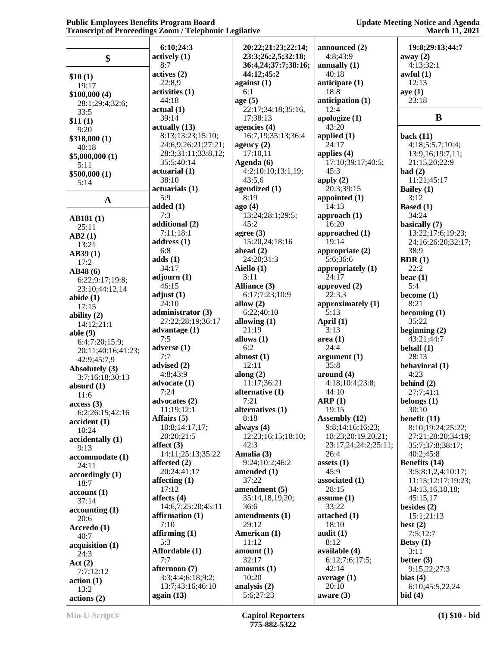|                    | 6:10;24:3           | 20:22;21:23;22:14;  | announced (2)                | 19:8;29:13;44:7      |
|--------------------|---------------------|---------------------|------------------------------|----------------------|
|                    | actively(1)         | 23:3;26:2,5;32:18;  | 4:8;43:9                     | away $(2)$           |
| \$                 | 8:7                 | 36:4,24;37:7;38:16; | annually $(1)$               | 4:13;32:1            |
|                    | actives(2)          | 44:12;45:2          | 40:18                        | awful(1)             |
| \$10(1)            | 22:8,9              | against $(1)$       | anticipate (1)               | 12:13                |
| 19:17              | activities (1)      | 6:1                 | 18:8                         | aye(1)               |
| \$100,000(4)       |                     | age $(5)$           |                              | 23:18                |
| 28:1;29:4;32:6;    | 44:18               |                     | anticipation (1)             |                      |
| 33:5               | actual(1)           | 22:17;34:18;35:16,  | 12:4                         |                      |
| \$11(1)            | 39:14               | 17;38:13            | apologize $(1)$              | B                    |
| 9:20               | actually (13)       | agencies (4)        | 43:20                        |                      |
| \$318,000 (1)      | 8:13:13:23:15:10;   | 16:7,19;35:13;36:4  | applied $(1)$                | back $(11)$          |
| 40:18              | 24:6,9;26:21;27:21; | agency $(2)$        | 24:17                        | 4:18;5:5,7;10:4;     |
| \$5,000,000 (1)    | 28:3;31:11;33:8,12; | 17:10,11            | applies $(4)$                | 13:9,16;19:7,11;     |
| 5:11               | 35:5;40:14          | Agenda (6)          | 17:10;39:17;40:5;            | 21:15,20;22:9        |
| \$500,000 (1)      | actual(1)           | 4:2;10:10;13:1,19;  | 45:3                         | bad(2)               |
| 5:14               | 38:10               | 43:5,6              | apply $(2)$                  | 11:21;45:17          |
|                    | actuarials (1)      | agendized (1)       | 20:3;39:15                   | Bailey (1)           |
| $\mathbf A$        | 5:9                 | 8:19                | appointed $(1)$              | 3:12                 |
|                    | added(1)            | ago(4)              | 14:13                        | <b>Based</b> (1)     |
|                    | 7:3                 | 13:24;28:1;29:5;    | approach $(1)$               | 34:24                |
| <b>AB181(1)</b>    | additional (2)      | 45:2                | 16:20                        | basically (7)        |
| 25:11              | 7:11;18:1           | agree $(3)$         | approached (1)               | 13:22;17:6;19:23;    |
| AB2(1)             | address $(1)$       | 15:20,24;18:16      | 19:14                        | 24:16;26:20;32:17;   |
| 13:21              | 6:8                 | ahead $(2)$         | appropriate $(2)$            | 38:9                 |
| AB39(1)            | adds(1)             | 24:20:31:3          | 5:6;36:6                     | BDR(1)               |
| 17:2               |                     |                     |                              |                      |
| AB48(6)            | 34:17               | Aiello (1)          | appropriately (1)            | 22:2                 |
| 6:22;9:17;19:8;    | adjourn $(1)$       | 3:11                | 24:17                        | bear $(1)$           |
| 23:10;44:12,14     | 46:15               | Alliance (3)        | approved (2)                 | 5:4                  |
| abide $(1)$        | adjust $(1)$        | 6:17;7:23;10:9      | 22:3,3                       | become $(1)$         |
| 17:15              | 24:10               | allow $(2)$         | approximately (1)            | 8:21                 |
| ability $(2)$      | administrator (3)   | 6:22;40:10          | 5:13                         | becoming $(1)$       |
| 14:12:21:1         | 27:22;28:19;36:17   | allowing $(1)$      | April (1)                    | 35:22                |
| able $(9)$         | advantage $(1)$     | 21:19               | 3:13                         | beginning $(2)$      |
| 6:4;7:20;15:9;     | 7:5                 | allows $(1)$        | area(1)                      | 43:21;44:7           |
| 20:11;40:16;41:23; | adverse $(1)$       | 6:2                 | 24:4                         | behalf $(1)$         |
| 42:9;45:7,9        | 7:7                 | almost $(1)$        | argument(1)                  | 28:13                |
| Absolutely (3)     | advised (2)         | 12:11               | 35:8                         | behavioral (1)       |
|                    | 4:8;43:9            | along $(2)$         | around (4)                   | 4:23                 |
| 3:7;16:18;30:13    | advocate $(1)$      | 11:17;36:21         | 4:18;10:4;23:8;              | behind $(2)$         |
| absurd $(1)$       | 7:24                | alternative (1)     | 44:10                        | 27:7;41:1            |
| 11:6               | advocates (2)       | 7:21                | ARP(1)                       | belongs (1)          |
| access(3)          | 11:19;12:1          | alternatives (1)    | 19:15                        | 30:10                |
| 6:2;26:15;42:16    | Affairs (5)         | 8:18                | Assembly (12)                | benefit $(11)$       |
| accident(1)        | 10:8;14:17,17;      | always $(4)$        | 9:8;14:16;16:23;             | 8:10;19:24;25:22;    |
| 10:24              | 20:20:21:5          | 12:23;16:15;18:10;  | 18:23;20:19,20,21;           |                      |
| accidentally (1)   |                     | 42:3                |                              | 27:21;28:20;34:19;   |
| 9:13               | affect $(3)$        |                     | 23:17,24;24:2;25:11;<br>26:4 | 35:7;37:8;38:17;     |
| accommodate (1)    | 14:11;25:13;35:22   | Amalia (3)          |                              | 40:2;45:8            |
| 24:11              | affected $(2)$      | 9:24;10:2;46:2      | assets $(1)$                 | <b>Benefits</b> (14) |
| accordingly(1)     | 20:24;41:17         | amended (1)         | 45:9                         | 3:5;8:1,2,4;10:17;   |
| 18:7               | affecting $(1)$     | 37:22               | associated (1)               | 11:15;12:17;19:23;   |
| account(1)         | 17:12               | amendment (5)       | 28:15                        | 34:13,16,18,18;      |
| 37:14              | affects $(4)$       | 35:14,18,19,20;     | assume $(1)$                 | 45:15,17             |
| accounting(1)      | 14:6,7;25:20;45:11  | 36:6                | 33:22                        | besides $(2)$        |
| 20:6               | affirmation $(1)$   | amendments (1)      | attached $(1)$               | 15:1;21:13           |
| Accredo (1)        | 7:10                | 29:12               | 18:10                        | best $(2)$           |
| 40:7               | affirming $(1)$     | American (1)        | audit $(1)$                  | 7:5;12:7             |
|                    | 5:3                 | 11:12               | 8:12                         | Betsy $(1)$          |
| acquisition (1)    | Affordable (1)      | amount(1)           | available (4)                | 3:11                 |
| 24:3               | 7:7                 | 32:17               | 6:12;7:6;17:5;               | better $(3)$         |
| Act(2)             | afternoon (7)       | amounts $(1)$       | 42:14                        | 9:15,22;27:3         |
| 7:7;12:12          | 3:3;4:4;6:18;9:2;   | 10:20               |                              |                      |
| action(1)          |                     |                     | average $(1)$                | bias $(4)$           |
| 13:2               | 13:7;43:16;46:10    | analysis (2)        | 20:10                        | 6:10;45:5,22,24      |
| actions (2)        | again $(13)$        | 5:6;27:23           | aware $(3)$                  | bid(4)               |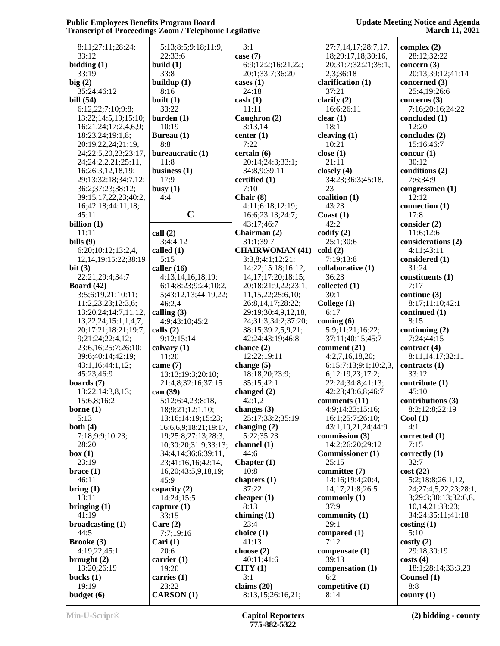| 8:11;27:11;28:24;          | 5:13;8:5;9:18;11:9,       | 3:1                     | 27:7,14,17;28:7,17,     | complex $(2)$         |
|----------------------------|---------------------------|-------------------------|-------------------------|-----------------------|
| 33:12                      | 22;33:6                   | case $(7)$              | 18;29:17,18;30:16,      | 28:12;32:22           |
| bidding(1)                 | build $(1)$               | 6:9;12:2;16:21,22;      | 20;31:7;32:21;35:1,     | concern $(3)$         |
| 33:19                      | 33:8                      | 20:1;33:7;36:20         | 2,3;36:18               | 20:13;39:12;41:14     |
| big(2)                     | buildup (1)               | cases $(1)$             | clarification (1)       | concerned (3)         |
| 35:24;46:12                | 8:16                      | 24:18                   | 37:21                   | 25:4,19;26:6          |
| bill $(54)$                | built $(1)$               | $\cosh(1)$              | clarify $(2)$           | concerns $(3)$        |
| 6:12,22;7:10;9:8;          | 33:22                     | 11:11                   | 16:6;26:11              | 7:16;20:16;24:22      |
| 13:22;14:5,19;15:10;       | burden(1)                 | Caughron (2)            | clear(1)                | concluded (1)         |
| 16:21,24;17:2,4,6,9;       | 10:19                     | 3:13,14                 | 18:1                    | 12:20                 |
| 18:23,24;19:1,8;           | Bureau (1)                | center $(1)$            | cleaving $(1)$          | concludes (2)         |
| 20:19,22,24;21:19,         | 8:8                       | 7:22                    | 10:21                   | 15:16;46:7            |
| 24;22:5,20,23;23:17,       | bureaucratic (1)          | certain(6)              | close $(1)$             | concur(1)             |
| 24;24:2,2,21;25:11,        | 11:8                      | 20:14;24:3;33:1;        | 21:11                   | 30:12                 |
| 16;26:3,12,18,19;          | business $(1)$            | 34:8,9;39:11            | closely $(4)$           | conditions (2)        |
| 29:13;32:18;34:7,12;       | 17:9                      | certified (1)           | 34:23;36:3;45:18,       | 7:6;34:9              |
| 36:2;37:23;38:12;          | busy $(1)$                | 7:10                    | 23                      | congressmen (1)       |
| 39:15,17,22,23;40:2,       | 4:4                       | Chair $(8)$             | coalition (1)           | 12:12                 |
| 16;42:18;44:11,18;         |                           | 4:11;6:18;12:19;        | 43:23                   | connection (1)        |
| 45:11                      | $\mathbf C$               | 16:6;23:13;24:7;        | $\text{Coast}(1)$       | 17:8                  |
| billion $(1)$              |                           | 43:17;46:7              | 42:2                    | consider $(2)$        |
| 11:11                      | call(2)                   | Chairman (2)            | codify $(2)$            | 11:6;12:6             |
| bills $(9)$                | 3:4:4:12                  | 31:1;39:7               | 25:1;30:6               | considerations (2)    |
| 6:20;10:12;13:2,4,         | called (1)                | <b>CHAIRWOMAN (41)</b>  | cold(2)                 | 4:11:43:11            |
| 12, 14, 19; 15: 22; 38: 19 | 5:15                      | 3:3,8;4:1;12:21;        | 7:19:13:8               | considered (1)        |
| bit $(3)$                  | caller $(16)$             | 14:22;15:18;16:12,      | collaborative (1)       | 31:24                 |
| 22:21;29:4;34:7            | 4:13,14,16,18,19;         | 14, 17; 17: 20; 18: 15; | 36:23                   | constituents (1)      |
| Board $(42)$               | 6:14;8:23;9:24;10:2,      | 20:18;21:9,22;23:1,     | collected (1)           | 7:17                  |
| 3:5;6:19,21;10:11;         | 5;43:12,13;44:19,22;      | 11,15,22;25:6,10;       | 30:1                    | continue (3)          |
| 11:2,23,23;12:3,6;         | 46:2,4                    | 26:8,14,17;28:22;       | College (1)             | 8:17;11:10;42:1       |
| 13:20,24;14:7,11,12,       | calling $(3)$             | 29:19;30:4,9,12,18,     | 6:17                    | continued (1)         |
| 13,22,24;15:1,1,4,7,       | 4:9;43:10;45:2            | 24;31:3;34:2;37:20;     | coming $(6)$            | 8:15                  |
| 20;17:21;18:21;19:7,       | calls $(2)$               | 38:15;39:2,5,9,21;      | 5:9;11:21;16:22;        | continuing $(2)$      |
| 9;21:24;22:4,12;           | 9:12;15:14                | 42:24;43:19;46:8        | 37:11;40:15;45:7        | 7:24;44:15            |
| 23:6,16;25:7;26:10;        | calvary $(1)$             | chance $(2)$            | comment (21)            | contract $(4)$        |
| 39:6;40:14;42:19;          | 11:20                     | 12:22;19:11             | 4:2,7,16,18,20;         | 8:11,14,17;32:11      |
| 43:1,16;44:1,12;           | came $(7)$                | change (5)              | 6:15;7:13;9:1;10:2,3    | contracts (1)         |
| 45:23;46:9                 | 13:13;19:3;20:10;         | 18:18,20;23:9;          | 6;12:19,23;17:2;        | 33:12                 |
| boards $(7)$               | 21:4,8;32:16;37:15        | 35:15;42:1              | 22:24;34:8;41:13;       | contribute (1)        |
| 13:22;14:3,8,13;           | can (39)                  | changed $(2)$           | 42:23;43:6,8;46:7       | 45:10                 |
| 15:6,8;16:2                | 5:12;6:4,23;8:18,         | 42:1,2                  | comments (11)           | contributions (3)     |
| borne $(1)$                | 18;9:21;12:1,10;          | changes $(3)$           | 4:9;14:23;15:16;        | 8:2;12:8;22:19        |
| 5:13                       | 13:16;14:19;15:23;        | 25:17;33:2;35:19        | 16:1;25:7;26:10;        | $\text{Cool}(1)$      |
| both $(4)$                 | 16:6,6,9;18:21;19:17,     | changing $(2)$          | 43:1,10,21,24;44:9      | 4:1                   |
| 7:18;9:9;10:23;            | 19;25:8;27:13;28:3,       | 5:22;35:23              | commission (3)          | corrected (1)         |
| 28:20                      | 10;30:20;31:9;33:13;      | channel (1)             | 14:2;26:20;29:12        | 7:15                  |
| box(1)                     | 34:4,14;36:6;39:11,       | 44:6                    | <b>Commissioner</b> (1) | correctly (1)         |
| 23:19                      | 23;41:16,16;42:14,        | Chapter $(1)$           | 25:15                   | 32:7                  |
| brace(1)                   | 16, 20; 43: 5, 9, 18, 19; | 10:8                    | committee (7)           | cost(22)              |
| 46:11                      | 45:9                      | chapters (1)<br>37:22   | 14:16;19:4;20:4,        | 5:2;18:8;26:1,12,     |
| bring(1)                   | capacity (2)              |                         | 14, 17; 21: 8; 26: 5    | 24;27:4,5,22,23;28:1, |
| 13:11<br>bringing $(1)$    | 14:24;15:5                | cheaper $(1)$<br>8:13   | commonly $(1)$<br>37:9  | 3;29:3;30:13;32:6,8,  |
| 41:19                      | capture $(1)$<br>33:15    |                         |                         | 10, 14, 21; 33: 23;   |
|                            | Care $(2)$                | chiming $(1)$<br>23:4   | community $(1)$<br>29:1 | 34:24;35:11;41:18     |
| broadcasting $(1)$<br>44:5 | 7:7;19:16                 |                         | compared $(1)$          | costing(1)<br>5:10    |
| <b>Brooke</b> (3)          |                           | choice $(1)$<br>41:13   | 7:12                    | costly(2)             |
| 4:19,22;45:1               | Cari $(1)$<br>20:6        | choose $(2)$            | compensate (1)          | 29:18;30:19           |
| brought $(2)$              | carrier $(1)$             | 40:11;41:6              | 39:13                   | costs(4)              |
| 13:20;26:19                | 19:20                     | CITY(1)                 | compensation (1)        | 18:1;28:14;33:3,23    |
| bucks $(1)$                | carries $(1)$             | 3:1                     | 6:2                     | Counsel (1)           |
| 19:19                      | 23:22                     | claims $(20)$           | competitive (1)         | 8:8                   |
| budget $(6)$               | <b>CARSON</b> (1)         | 8:13,15;26:16,21;       | 8:14                    | county $(1)$          |
|                            |                           |                         |                         |                       |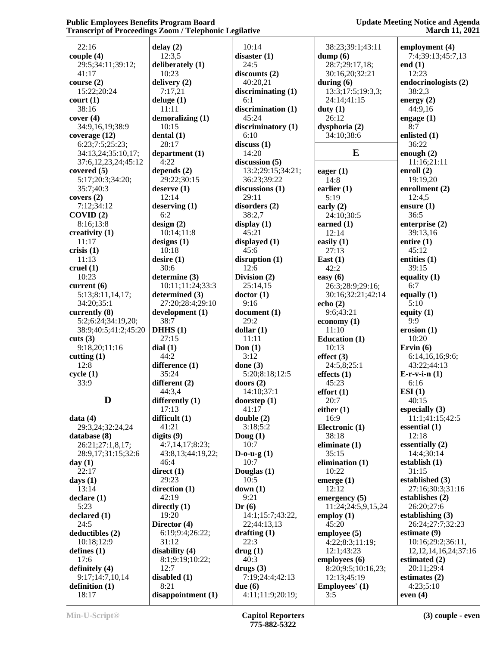| 22:16                  | delay(2)           | 10:14                | 38:23;39:1;43:11     | employment (4)             |
|------------------------|--------------------|----------------------|----------------------|----------------------------|
| couple $(4)$           | 12:3,5             | disaster(1)          | dump(6)              | 7:4;39:13;45:7,13          |
| 29:5;34:11;39:12;      | deliberately (1)   | 24:5                 | 28:7;29:17,18;       | end $(1)$                  |
| 41:17                  | 10:23              | discounts(2)         | 30:16,20;32:21       | 12:23                      |
| course $(2)$           | delivery (2)       | 40:20,21             | during $(6)$         | endocrinologists (2)       |
| 15:22;20:24            | 7:17,21            | discriminating $(1)$ | 13:3;17:5;19:3,3;    | 38:2,3                     |
| court(1)               | deluge $(1)$       | 6:1                  | 24:14;41:15          | energy $(2)$               |
| 38:16                  | 11:11              | discrimination (1)   | duty $(1)$           | 44:9,16                    |
| cover(4)               | demoralizing $(1)$ | 45:24                | 26:12                | engage $(1)$               |
| 34:9,16,19;38:9        | 10:15              | discriminatory (1)   | dysphoria (2)        | 8:7                        |
|                        |                    |                      |                      | enlisted (1)               |
| coverage $(12)$        | dental(1)          | 6:10                 | 34:10;38:6           |                            |
| 6:23;7:5;25:23;        | 28:17              | discuss(1)           |                      | 36:22                      |
| 34:13,24;35:10,17;     | department $(1)$   | 14:20                | E                    | enough $(2)$               |
| 37:6,12,23,24;45:12    | 4:22               | discussion (5)       |                      | 11:16;21:11                |
| covered $(5)$          | depends $(2)$      | 13:2;29:15;34:21;    | eager $(1)$          | enroll $(2)$               |
| 5:17;20:3;34:20;       | 29:22;30:15        | 36:23;39:22          | 14:8                 | 19:19,20                   |
| 35:7;40:3              | degree(1)          | discussions $(1)$    | earlier $(1)$        | enrollment $(2)$           |
| covers (2)             | 12:14              | 29:11                | 5:19                 | 12:4,5                     |
| 7:12;34:12             | deserving(1)       | disorders (2)        | early $(2)$          | ensure $(1)$               |
| COVID(2)               | 6:2                | 38:2,7               | 24:10;30:5           | 36:5                       |
| 8:16;13:8              | design(2)          | display $(1)$        | earned $(1)$         | enterprise (2)             |
| creativity (1)         | 10:14;11:8         | 45:21                | 12:14                | 39:13,16                   |
| 11:17                  | designs $(1)$      | displayed $(1)$      | easily $(1)$         | entire $(1)$               |
| crisis $(1)$           | 10:18              | 45:6                 | 27:13                | 45:12                      |
| 11:13                  | desire(1)          | disruption $(1)$     | East $(1)$           | entities $(1)$             |
| cruel $(1)$            | 30:6               | 12:6                 | 42:2                 | 39:15                      |
| 10:23                  | determine (3)      | Division (2)         | easy $(6)$           | equality $(1)$             |
| current $(6)$          | 10:11;11:24;33:3   | 25:14,15             | 26:3;28:9;29:16;     | 6:7                        |
| 5:13;8:11,14,17;       | determined (3)     | doctor(1)            | 30:16;32:21;42:14    | equally $(1)$              |
| 34:20;35:1             | 27:20;28:4;29:10   | 9:16                 | echo $(2)$           | 5:10                       |
|                        |                    |                      |                      |                            |
| currently $(8)$        | development (1)    | document(1)          | 9:6;43:21            | equity $(1)$               |
| 5:2;6:24;34:19,20;     | 38:7               | 29:2                 | economy $(1)$        | 9:9                        |
| 38:9;40:5;41:2;45:20   | DHHS(1)            | dollar(1)            | 11:10                | erosion(1)                 |
| cuts (3)               | 27:15              | 11:11                | <b>Education (1)</b> | 10:20                      |
| 9:18,20;11:16          | dial(1)            | Don $(1)$            | 10:13                | Ervin $(6)$                |
| cutting $(1)$          | 44:2               | 3:12                 | effect $(3)$         | 6:14,16,16;9:6;            |
| 12:8                   | difference (1)     | done $(3)$           | 24:5,8;25:1          | 43:22;44:13                |
| cycle(1)               | 35:24              | 5:20;8:18;12:5       | effects $(1)$        | $E-r-v-i-n(1)$             |
| 33:9                   | different (2)      | doors $(2)$          | 45:23                | 6:16                       |
|                        | 44:3,4             | 14:10;37:1           | effort(1)            | ESI(1)                     |
| D                      | differently (1)    | doorstep (1)         | 20:7                 | 40:15                      |
|                        | 17:13              | 41:17                | either $(1)$         | especially $(3)$           |
| data(4)                | difficult (1)      | double (2)           | 16:9                 | 11:1;41:15;42:5            |
| 29:3,24;32:24,24       | 41:21              | 3:18;5:2             | Electronic (1)       | essential $(1)$            |
| database (8)           | digits $(9)$       | Doug $(1)$           | 38:18                | 12:18                      |
| 26:21;27:1,8,17;       | 4:7,14,17;8:23;    | 10:7                 | eliminate $(1)$      | essentially (2)            |
| 28:9,17;31:15;32:6     | 43:8,13;44:19,22;  | $D$ -0-u-g $(1)$     | 35:15                | 14:4;30:14                 |
| day(1)                 | 46:4               | 10:7                 | elimination $(1)$    | establish $(1)$            |
| 22:17                  | direct(1)          | Douglas (1)          | 10:22                | 31:15                      |
|                        | 29:23              | 10:5                 |                      | established (3)            |
| days $(1)$             |                    | down(1)              | emerge $(1)$         | 27:16;30:3;31:16           |
| 13:14                  | direction $(1)$    |                      | 12:12                |                            |
| $\text{ declare } (1)$ | 42:19              | 9:21                 | emergency $(5)$      | establishes (2)            |
| 5:23                   | directly $(1)$     | Dr(6)                | 11:24:24:5,9,15,24   | 26:20;27:6                 |
| declared (1)           | 19:20              | 14:1;15:7;43:22,     | employ $(1)$         | establishing $(3)$         |
| 24:5                   | Director (4)       | 22;44:13,13          | 45:20                | 26:24;27:7;32:23           |
| deductibles (2)        | 6:19;9:4;26:22;    | drafting $(1)$       | employee $(5)$       | estimate $(9)$             |
| 10:18;12:9             | 31:12              | 22:3                 | 4:22;8:3;11:19;      | 10:16;29:2;36:11,          |
| defines $(1)$          | disability (4)     | array(1)             | 12:1;43:23           | 12, 12, 14, 16, 24; 37: 16 |
| 17:6                   | 8:1;9:19;10:22;    | 40:3                 | employees (6)        | estimated $(2)$            |
| definitely $(4)$       | 12:7               | drugs(3)             | 8:20;9:5;10:16,23;   | 20:11;29:4                 |
| 9:17;14:7,10,14        | disabled $(1)$     | 7:19;24:4;42:13      | 12:13;45:19          | estimates $(2)$            |
| definition $(1)$       | 8:21               | due(6)               | Employees' (1)       | 4:23;5:10                  |
| 18:17                  | disappointment (1) | 4:11;11:9;20:19;     | 3:5                  | even $(4)$                 |
|                        |                    |                      |                      |                            |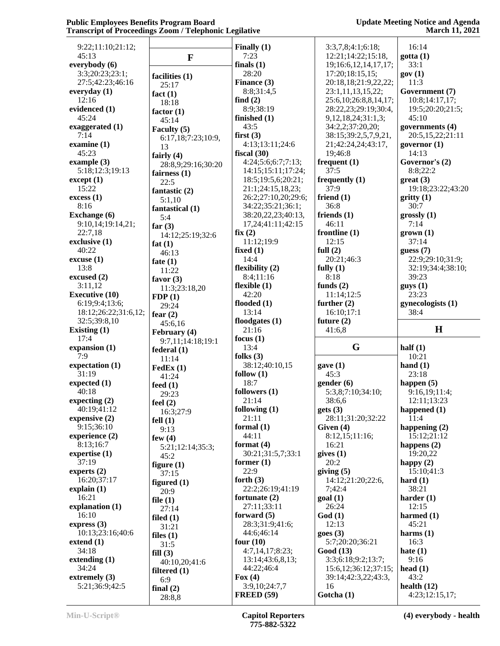| 9:22;11:10;21:12;     |                       | Finally $(1)$                      | 3:3,7,8;4:1;6:18;        | 16:14                           |
|-----------------------|-----------------------|------------------------------------|--------------------------|---------------------------------|
| 45:13                 | $\mathbf{F}$          | 7:23                               | 12:21;14:22;15:18,       | gotta(1)                        |
| everybody (6)         |                       | finals $(1)$                       | 19;16:6,12,14,17,17;     | 33:1                            |
| 3:3;20:23;23:1;       | facilities (1)        | 28:20                              | 17:20;18:15,15;          | gov(1)                          |
| 27:5;42:23;46:16      |                       | Finance (3)                        | 20:18,18;21:9,22,22;     | 11:3                            |
| everyday (1)          | 25:17                 | 8:8;31:4,5                         | 23:1,11,13,15,22;        | Government (7)                  |
| 12:16                 | fact $(1)$            | find $(2)$                         | 25:6,10;26:8,8,14,17;    | 10:8;14:17,17;                  |
|                       | 18:18                 |                                    |                          |                                 |
| evidenced (1)         | factor $(1)$          | 8:9;38:19                          | 28:22,23;29:19;30:4,     | 19:5;20:20;21:5;                |
| 45:24                 | 45:14                 | finished $(1)$                     | 9, 12, 18, 24; 31: 1, 3; | 45:10                           |
| exaggerated (1)       | Faculty (5)           | 43:5                               | 34:2,2;37:20,20;         | governments (4)                 |
| 7:14                  | 6:17,18;7:23;10:9,    | first $(3)$                        | 38:15;39:2,5,7,9,21,     | 20:5,15,22;21:11                |
| examine $(1)$         |                       | 4:13;13:11;24:6                    | 21;42:24,24;43:17,       | governor $(1)$                  |
| 45:23                 | 13                    | fiscal $(30)$                      | 19;46:8                  | 14:13                           |
| example $(3)$         | fairly $(4)$          | 4:24;5:6;6:7;7:13;                 | frequent $(1)$           | Governor's (2)                  |
|                       | 28:8,9;29:16;30:20    |                                    |                          |                                 |
| 5:18;12:3;19:13       | fairness $(1)$        | 14:15;15:11;17:24;                 | 37:5                     | 8:8;22:2                        |
| except (1)            | 22:5                  | 18:5;19:5,6;20:21;                 | frequently $(1)$         | $gr(3)$                         |
| 15:22                 | fantastic (2)         | 21:1;24:15,18,23;                  | 37:9                     | 19:18;23:22;43:20               |
| excess(1)             | 5:1,10                | 26:2;27:10,20;29:6;                | friend $(1)$             | gritty(1)                       |
| 8:16                  |                       | 34:22;35:21;36:1;                  | 36:8                     | 30:7                            |
| <b>Exchange</b> (6)   | fantastical (1)       | 38:20,22,23;40:13,                 | friends $(1)$            | grossly(1)                      |
| 9:10,14;19:14,21;     | 5:4                   | 17,24;41:11;42:15                  | 46:11                    | 7:14                            |
|                       | far $(3)$             |                                    |                          |                                 |
| 22:7,18               | 14:12;25:19;32:6      | fix(2)                             | frontline $(1)$          | $\mathbf{grow}(1)$              |
| exclusive $(1)$       | fat $(1)$             | 11:12;19:9                         | 12:15                    | 37:14                           |
| 40:22                 | 46:13                 | fixed $(1)$                        | full $(2)$               | guess(7)                        |
| excuse(1)             | fate $(1)$            | 14:4                               | 20:21;46:3               | 22:9;29:10;31:9;                |
| 13:8                  | 11:22                 | flexibility $(2)$                  | fully $(1)$              | 32:19;34:4;38:10;               |
| excused $(2)$         |                       | 8:4;11:16                          | 8:18                     | 39:23                           |
| 3:11,12               | favor $(3)$           | flexible $(1)$                     | funds $(2)$              | gays(1)                         |
| <b>Executive (10)</b> | 11:3;23:18,20         | 42:20                              | 11:14;12:5               | 23:23                           |
|                       | FDP(1)                |                                    |                          |                                 |
| 6:19;9:4;13:6;        | 29:24                 | flooded $(1)$                      | further $(2)$            | gynecologists (1)               |
| 18:12;26:22;31:6,12;  | fear $(2)$            | 13:14                              | 16:10;17:1               | 38:4                            |
|                       |                       |                                    |                          |                                 |
| 32:5;39:8,10          |                       | floodgates $(1)$                   | future $(2)$             |                                 |
| Existing (1)          | 45:6,16               | 21:16                              | 41:6,8                   | H                               |
| 17:4                  | February (4)          |                                    |                          |                                 |
|                       | 9:7,11;14:18;19:1     | focus $(1)$                        |                          |                                 |
| expansion $(1)$       | federal(1)            | 13:4                               | G                        | half $(1)$                      |
| 7:9                   | 11:14                 | folks $(3)$                        |                          | 10:21                           |
| expectation (1)       | $\textbf{FedEx}(1)$   | 38:12;40:10,15                     | gave(1)                  | hand $(1)$                      |
| 31:19                 | 41:24                 | follow $(1)$                       | 45:3                     | 23:18                           |
| expected $(1)$        | feed $(1)$            | 18:7                               | gender(6)                | happen $(5)$                    |
| 40:18                 | 29:23                 | followers $(1)$                    | 5:3,8;7:10;34:10;        | 9:16,19;11:4;                   |
| expecting (2)         |                       | 21:14                              | 38:6,6                   | 12:11;13:23                     |
| 40:19;41:12           | feel $(2)$            | following $(1)$                    | gets(3)                  | happened $(1)$                  |
|                       | 16:3;27:9             | 21:11                              |                          | 11:4                            |
| expensive $(2)$       | fell $(1)$            |                                    | 28:11;31:20;32:22        |                                 |
| 9:15:36:10            | 9:13                  | formal $(1)$                       | Given $(4)$              | happening (2)                   |
| experience (2)        | few $(4)$             | 44:11                              | 8:12,15;11:16;           | 15:12;21:12                     |
| 8:13;16:7             | 5:21;12:14;35:3;      | format $(4)$                       | 16:21                    | happens $(2)$                   |
| expertise $(1)$       | 45:2                  | 30:21;31:5,7;33:1                  | gives(1)                 | 19:20,22                        |
| 37:19                 | figure $(1)$          | former $(1)$                       | 20:2                     | happy $(2)$                     |
| experts $(2)$         |                       | 22:9                               | giving $(5)$             | 15:10:41:3                      |
| 16:20;37:17           | 37:15                 | forth $(3)$                        | 14:12;21:20;22:6,        | hard $(1)$                      |
|                       | figured $(1)$         |                                    |                          |                                 |
| explain(1)            | 20:9                  | 22:2;26:19;41:19                   | 7;42:4                   | 38:21                           |
| 16:21                 | file $(1)$            | fortunate $(2)$                    | goal(1)                  | harder $(1)$                    |
| explanation (1)       | 27:14                 | 27:11;33:11                        | 26:24                    | 12:15                           |
| 16:10                 | filed $(1)$           | forward $(5)$                      | God(1)                   | harmed $(1)$                    |
| express $(3)$         | 31:21                 | 28:3;31:9;41:6;                    | 12:13                    | 45:21                           |
| 10:13;23:16;40:6      | files $(1)$           | 44:6;46:14                         | goes(3)                  | harms $(1)$                     |
| extend(1)             |                       | four $(10)$                        | 5:7;20:20;36:21          | 16:3                            |
| 34:18                 | 31:5                  | 4:7,14,17;8:23;                    | Good (13)                | hate $(1)$                      |
|                       | fill(3)               |                                    |                          | 9:16                            |
| extending $(1)$       | 40:10,20;41:6         | 13:14;43:6,8,13;                   | 3:3;6:18;9:2;13:7;       |                                 |
| 34:24                 | filtered $(1)$        | 44:22;46:4                         | 15:6,12;36:12;37:15;     | head $(1)$                      |
| extremely $(3)$       | 6:9                   | Fox $(4)$                          | 39:14;42:3,22;43:3,      | 43:2                            |
| 5:21;36:9;42:5        | final $(2)$<br>28:8,8 | 3:9,10;24:7,7<br><b>FREED (59)</b> | 16<br>Gotcha (1)         | health $(12)$<br>4:23;12:15,17; |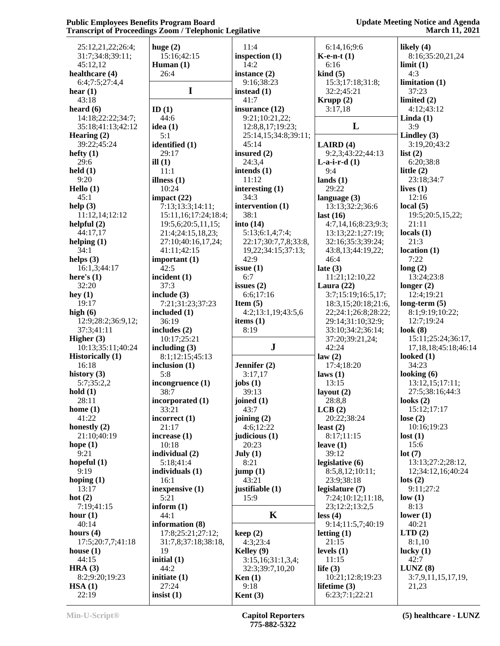| 25:12,21,22;26:4;       | huge $(2)$            | 11:4                 | 6:14,16;9:6                      | likely $(4)$               |
|-------------------------|-----------------------|----------------------|----------------------------------|----------------------------|
| 31:7;34:8;39:11;        | 15:16;42:15           | inspection (1)       | $K$ -e-n-t $(1)$                 | 8:16;35:20,21,24           |
| 45:12,12                | Human $(1)$           | 14:2                 | 6:16                             | limit(1)                   |
| healthcare (4)          | 26:4                  | instance $(2)$       | $\;$ kind $\;$ (5)               | 4:3                        |
| 6:4;7:5;27:4,4          |                       | 9:16;38:23           | 15:3;17:18;31:8;                 | limitation(1)              |
| hear $(1)$              | $\mathbf I$           | instead $(1)$        | 32:2;45:21                       | 37:23                      |
|                         |                       |                      |                                  |                            |
| 43:18                   |                       | 41:7                 | Krupp $(2)$                      | limited $(2)$              |
| heard $(6)$             | ID(1)                 | insurance (12)       | 3:17,18                          | 4:12;43:12                 |
| 14:18;22:22;34:7;       | 44:6                  | 9:21;10:21,22;       |                                  | Linda $(1)$                |
| 35:18;41:13;42:12       | idea $(1)$            | 12:8,8,17;19:23;     | L                                | 3:9                        |
| Hearing $(2)$           | 5:1                   | 25:14,15;34:8;39:11; |                                  | Lindley $(3)$              |
| 39:22;45:24             | identified (1)        | 45:14                | LAIRD $(4)$                      | 3:19,20;43:2               |
| hefty $(1)$             | 29:17                 | insured (2)          | 9:2,3;43:22;44:13                | list $(2)$                 |
| 29:6                    | ill $(1)$             | 24:3,4               | $L-a-i-r-d(1)$                   | 6:20;38:8                  |
| $\text{held}(1)$        | 11:1                  | intends $(1)$        | 9:4                              | little $(2)$               |
| 9:20                    | illness $(1)$         | 11:12                | lands $(1)$                      | 23:18;34:7                 |
| Hello (1)               | 10:24                 | interesting $(1)$    | 29:22                            | lives $(1)$                |
| 45:1                    |                       | 34:3                 |                                  | 12:16                      |
|                         | impact $(22)$         |                      | language $(3)$                   |                            |
| help $(3)$              | 7:13;13:3;14:11;      | intervention (1)     | 13:13;32:2;36:6                  | local $(5)$                |
| 11:12,14;12:12          | 15:11,16;17:24;18:4;  | 38:1                 | last $(16)$                      | 19:5;20:5,15,22;           |
| helpful $(2)$           | 19:5,6;20:5,11,15;    | into $(14)$          | 4:7,14,16;8:23;9:3;              | 21:11                      |
| 44:17,17                | 21:4;24:15,18,23;     | 5:13;6:1,4;7:4;      | 13:13;22:1;27:19;                | locals $(1)$               |
| helping $(1)$           | 27:10;40:16,17,24;    | 22:17;30:7,7,8;33:8, | 32:16;35:3;39:24;                | 21:3                       |
| 34:1                    | 41:11;42:15           | 19,22;34:15;37:13;   | 43:8,13;44:19,22;                | location(1)                |
| helps $(3)$             | important (1)         | 42:9                 | 46:4                             | 7:22                       |
| 16:1,3;44:17            | 42:5                  | issue $(1)$          | late $(3)$                       | long(2)                    |
| here's $(1)$            | incident (1)          | 6:7                  | 11:21;12:10,22                   | 13:24;23:8                 |
| 32:20                   | 37:3                  | issues $(2)$         | Laura $(22)$                     | longer $(2)$               |
| hey $(1)$               | include $(3)$         | 6:6;17:16            | 3:7;15:19;16:5,17;               | 12:4;19:21                 |
|                         |                       |                      |                                  |                            |
| 19:17                   | 7:21;31:23;37:23      | Item $(5)$           | 18:3,15;20:18;21:6,              | long-term $(5)$            |
| high $(6)$              | included (1)          | 4:2;13:1,19;43:5,6   | 22;24:1;26:8;28:22;              | 8:1;9:19;10:22;            |
| 12:9;28:2;36:9,12;      | 36:19                 | items $(1)$          | 29:14;31:10;32:9;                | 12:7;19:24                 |
|                         |                       |                      |                                  |                            |
| 37:3;41:11              | includes $(2)$        | 8:19                 | 33:10;34:2;36:14;                | look(8)                    |
| Higher $(3)$            | 10:17;25:21           |                      | 37:20;39:21,24;                  | 15:11;25:24;36:17,         |
| 10:13;35:11;40:24       |                       | ${\bf J}$            | 42:24                            | 17, 18, 18; 45: 18; 46: 14 |
|                         | including $(3)$       |                      |                                  |                            |
| <b>Historically</b> (1) | 8:1;12:15;45:13       |                      | law(2)                           | looked $(1)$               |
| 16:18                   | inclusion $(1)$       | Jennifer (2)         | 17:4;18:20                       | 34:23                      |
| history $(3)$           | 5:8                   | 3:17,17              | laws(1)                          | looking (6)                |
| 5:7;35:2,2              | incongruence (1)      | jobs $(1)$           | 13:15                            | 13:12,15;17:11;            |
| hold(1)                 | 38:7                  | 39:13                | layout $(2)$                     | 27:5;38:16;44:3            |
| 28:11                   | incorporated (1)      | joined (1)           | 28:8,8                           | looks $(2)$                |
| home $(1)$              | 33:21                 | 43:7                 | LCB(2)                           | 15:12;17:17                |
| 41:22                   | incorrect (1)         | joining $(2)$        | 20:22;38:24                      | lose $(2)$                 |
| honestly $(2)$          | 21:17                 | 4:6;12:22            | least $(2)$                      | 10:16;19:23                |
| 21:10;40:19             | increase $(1)$        | judicious (1)        | 8:17;11:15                       | lost(1)                    |
| hope $(1)$              | 10:18                 | 20:23                | leave $(1)$                      | 15:6                       |
| 9:21                    | individual (2)        | July (1)             | 39:12                            | lot(7)                     |
|                         |                       |                      |                                  |                            |
| hopeful $(1)$           | 5:18;41:4             | 8:21                 | legislative $(6)$                | 13:13;27:2;28:12,          |
| 9:19                    | individuals (1)       | jump(1)              | 8:5,8,12;10:11;                  | 12;34:12,16;40:24          |
| hoping $(1)$            | 16:1                  | 43:21                | 23:9;38:18                       | $\text{lots} (2)$          |
| 13:17                   | inexpensive (1)       | justifiable (1)      | legislature (7)                  | 9:11:27:2                  |
| hot $(2)$               | 5:21                  | 15:9                 | 7:24;10:12;11:18,                | low(1)                     |
| 7:19:41:15              | inform $(1)$          |                      | 23;12:2;13:2,5                   | 8:13                       |
| hour $(1)$              | 44:1                  | $\mathbf K$          | less (4)                         | lower $(1)$                |
| 40:14                   | information (8)       |                      | 9:14;11:5,7;40:19                | 40:21                      |
| hours $(4)$             | 17:8;25:21;27:12;     | keep(2)              | letting $(1)$                    | LTD(2)                     |
| 17:5;20:7,7;41:18       | 31:7,8;37:18;38:18,   | 4:3;23:4             | 21:15                            | 8:1,10                     |
| house $(1)$             | 19                    | Kelley $(9)$         | levels $(1)$                     | lucky $(1)$                |
| 44:15                   | initial $(1)$         | 3:15,16;31:1,3,4;    | 11:15                            | 42:7                       |
| HRA $(3)$               | 44:2                  | 32:3;39:7,10,20      |                                  | LUNZ(8)                    |
|                         |                       |                      | life $(3)$                       |                            |
| 8:2;9:20;19:23          | initiate $(1)$        | $\text{Ken}(1)$      | 10:21;12:8;19:23                 | 3:7,9,11,15,17,19,         |
| HSA(1)<br>22:19         | 27:24<br>insist $(1)$ | 9:18<br>Kent $(3)$   | lifetime $(3)$<br>6:23;7:1;22:21 | 21,23                      |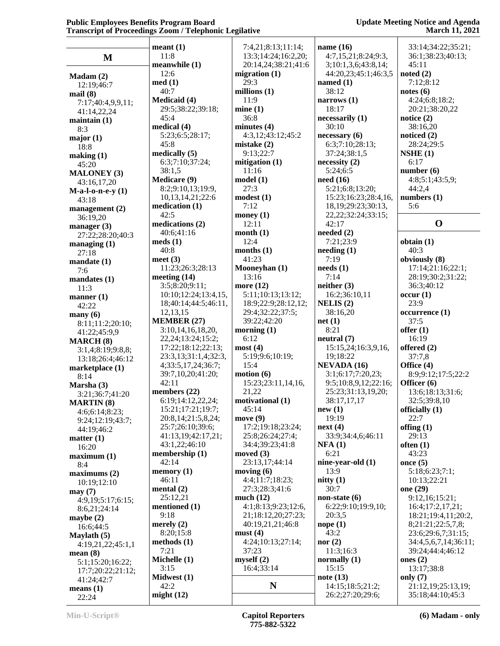#### **Update Meeting Notice and Agenda March 11, 2021**

|                        | meant(1)               | 7:4,21;8:13;11:14;  | name $(16)$                      | 33:14:34:22:35:21;   |
|------------------------|------------------------|---------------------|----------------------------------|----------------------|
| $\mathbf{M}$           | 11:8                   | 13:3;14:24;16:2,20; | 4:7,15,21;8:24;9:3,              | 36:1;38:23;40:13;    |
|                        | meanwhile (1)          | 20:14,24;38:21;41:6 | 3;10:1,3,6;43:8,14;              | 45:11                |
|                        | 12:6                   | migration $(1)$     | 44:20,23;45:1;46:3,5             | noted $(2)$          |
| Madam (2)              | med(1)                 | 29:3                | named $(1)$                      | 7:12;8:12            |
| 12:19;46:7             | 40:7                   | millions $(1)$      | 38:12                            | notes(6)             |
| mail(8)                | <b>Medicaid</b> (4)    | 11:9                | narrows $(1)$                    | 4:24;6:8;18:2;       |
| 7:17;40:4,9,9,11;      | 29:5;38:22;39:18;      | mine(1)             | 18:17                            | 20:21;38:20,22       |
| 41:14,22,24            | 45:4                   | 36:8                | necessarily (1)                  | notice $(2)$         |
| $main(1)$              | medical (4)            | minutes(4)          | 30:10                            | 38:16,20             |
| 8:3                    | 5:23;6:5;28:17;        | 4:3,12;43:12;45:2   | necessary (6)                    | noticed $(2)$        |
| major(1)               | 45:8                   | mistake $(2)$       | 6:3;7:10;28:13;                  | 28:24;29:5           |
| 18:8                   | medically (5)          | 9:13;22:7           | 37:24;38:1,5                     | NSHE(1)              |
| making (1)             |                        | mitigation $(1)$    |                                  | 6:17                 |
| 45:20                  | 6:3;7:10;37:24;        |                     | necessity(2)<br>5:24;6:5         | number(6)            |
| <b>MALONEY (3)</b>     | 38:1,5                 | 11:16               |                                  |                      |
| 43:16,17,20            | <b>Medicare (9)</b>    | model(1)            | need $(16)$                      | 4:8;5:1;43:5,9;      |
| $M-a-l-o-n-e-y(1)$     | 8:2;9:10,13;19:9,      | 27:3                | 5:21;6:8;13:20;                  | 44:2,4               |
| 43:18                  | 10,13,14,21;22:6       | modest(1)           | 15:23;16:23;28:4,16,             | numbers $(1)$        |
| management $(2)$       | medication $(1)$       | 7:12                | 18, 19; 29: 23; 30: 13,          | 5:6                  |
| 36:19,20               | 42:5                   | money $(1)$         | 22, 22; 32: 24; 33: 15;          |                      |
| manager $(3)$          | medications (2)        | 12:11               | 42:17                            | $\mathbf 0$          |
| 27:22;28:20;40:3       | 40:6:41:16             | month(1)            | needed $(2)$                     |                      |
| managing $(1)$         | meds(1)                | 12:4                | 7:21;23:9                        | obtain(1)            |
| 27:18                  | 40:8                   | months $(1)$        | $\mathbf{needing}\left(1\right)$ | 40:3                 |
| mandate(1)             | meet $(3)$             | 41:23               | 7:19                             | obviously (8)        |
| 7:6                    | 11:23;26:3;28:13       | Mooneyhan (1)       | needs(1)                         | 17:14;21:16;22:1;    |
| mandates (1)           | meeting $(14)$         | 13:16               | 7:14                             | 28:19;30:2;31:22;    |
| 11:3                   | 3:5;8:20;9:11;         | more $(12)$         | neither (3)                      | 36:3;40:12           |
| manner $(1)$           | 10:10;12:24;13:4,15,   | 5:11;10:13;13:12;   | 16:2;36:10,11                    | occur(1)             |
| 42:22                  | 18;40:14;44:5;46:11,   | 18:9;22:9;28:12,12; | NELIS(2)                         | 23:9                 |
| $\max(6)$              | 12,13,15               | 29:4;32:22;37:5;    | 38:16,20                         | occurrence (1)       |
| 8:11;11:2;20:10;       | <b>MEMBER (27)</b>     | 39:22;42:20         | net(1)                           | 37:5                 |
| 41:22;45:9,9           | 3:10,14,16,18,20,      | morning $(1)$       | 8:21                             | offer $(1)$          |
| <b>MARCH (8)</b>       | 22, 24; 13: 24; 15: 2; | 6:12                | neutral (7)                      | 16:19                |
| 3:1,4;8:19;9:8,8;      | 17:22;18:12;22:13;     | most(4)             | 15:15,24;16:3,9,16,              | offered (2)          |
| 13:18;26:4;46:12       | 23:3,13;31:1,4;32:3,   | 5:19;9:6;10:19;     | 19;18:22                         | 37:7,8               |
| marketplace (1)        | 4;33:5,17,24;36:7;     | 15:4                | NEVADA (16)                      | Office (4)           |
| 8:14                   | 39:7,10,20;41:20;      | motion(6)           | 3:1;6:17;7:20,23;                | 8:9;9:12;17:5;22:2   |
| Marsha (3)             | 42:11                  | 15:23;23:11,14,16,  | 9:5;10:8,9,12;22:16;             | Officer (6)          |
| 3:21;36:7;41:20        | members $(22)$         | 21,22               | 25:23;31:13,19,20;               | 13:6;18:13;31:6;     |
| <b>MARTIN</b> (8)      | 6:19;14:12,22,24;      | motivational (1)    | 38:17,17,17                      | 32:5;39:8,10         |
| 4:6;6:14;8:23;         | 15:21;17:21;19:7;      | 45:14               | new(1)                           | officially (1)       |
| 9:24;12:19;43:7;       | 20:8,14;21:5,8,24;     | move(9)             | 19:19                            | 22:7                 |
| 44:19;46:2             | 25:7;26:10;39:6;       | 17:2;19:18;23:24;   | next(4)                          | offing $(1)$         |
| matter $(1)$           | 41:13,19;42:17,21;     | 25:8;26:24;27:4;    | 33:9;34:4,6;46:11                | 29:13                |
| 16:20                  | 43:1,22;46:10          | 34:4;39:23;41:8     | NFA(1)                           | often $(1)$          |
| maximum <sub>(1)</sub> | membership (1)         | moved (3)           | 6:21                             | 43:23                |
| 8:4                    | 42:14                  | 23:13,17;44:14      | nine-year-old (1)                | once $(5)$           |
| maximums(2)            | memory $(1)$           | moving $(6)$        | 13:9                             | 5:18;6:23;7:1;       |
| 10:19;12:10            | 46:11                  | 4:4;11:7;18:23;     | nitty(1)                         | 10:13;22:21          |
| may(7)                 | mental $(2)$           | 27:3;28:3;41:6      | 30:7                             | one (29)             |
| 4:9,19;5:17;6:15;      | 25:12,21               | much $(12)$         | non-state $(6)$                  | 9:12,16;15:21;       |
|                        | mentioned (1)          | 4:1;8:13;9:23;12:6, | 6:22;9:10;19:9,10;               | 16:4;17:2,17,21;     |
| 8:6,21;24:14           | 9:18                   | 21;18:12,20;27:23;  | 20:3,5                           | 18:21;19:4,11;20:2,  |
| maybe $(2)$            | merely $(2)$           | 40:19,21,21;46:8    | nope(1)                          | 8;21:21;22:5,7,8;    |
| 16:6;44:5              | 8:20;15:8              | must(4)             | 43:2                             | 23:6;29:6,7;31:15;   |
| Maylath $(5)$          | methods (1)            | 4:24;10:13;27:14;   | nor $(2)$                        | 34:4,5,6,7,14;36:11; |
| 4:19,21,22;45:1,1      | 7:21                   | 37:23               | 11:3;16:3                        | 39:24;44:4;46:12     |
| mean(8)                | Michelle (1)           | myself(2)           | normally $(1)$                   | ones $(2)$           |
| 5:1;15:20;16:22;       | 3:15                   | 16:4;33:14          | 15:15                            | 13:17:38:8           |
| 17:7;20:22;21:12;      | Midwest (1)            |                     | note $(13)$                      | only $(7)$           |
| 41:24;42:7             | 42:2                   | N                   | 14:15;18:5;21:2;                 | 21:12,19;25:13,19;   |
| means $(1)$            | might $(12)$           |                     | 26:2;27:20;29:6;                 | 35:18;44:10;45:3     |
| 22.24                  |                        |                     |                                  |                      |

22:24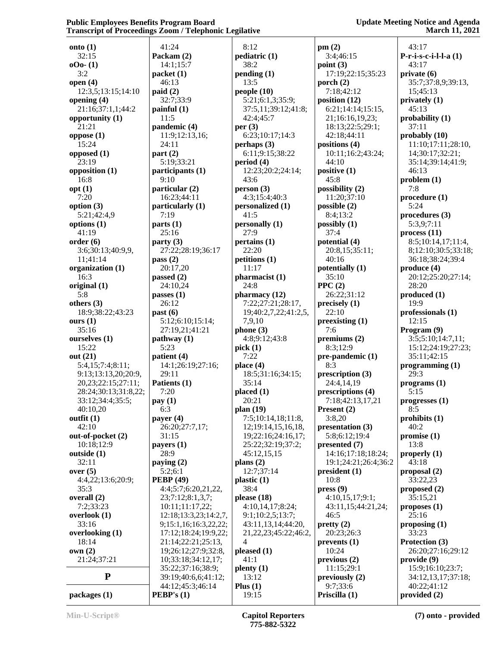**Update Meeting Notice and Agenda March 11, 2021**

| ×,                            |                  |
|-------------------------------|------------------|
| onto $(1)$                    | 41               |
| 32:15                         | Pack             |
| $000 - (1)$                   | 14               |
| 3:2                           | pack             |
| open $(4)$                    | 46               |
| 12:3,5;13:15;14:10            | paid             |
| opening (4)                   | 32               |
| 21:16;37:1,1;44:2             | painf            |
| opportunity (1)               | 11               |
| 21:21                         | pand             |
| oppose $(1)$                  | 11               |
| 15:24                         | 24               |
| opposed (1)                   | part             |
| 23:19                         | 5:1              |
| opposition (1)                | parti            |
| 16:8                          | 9:1              |
| opt(1)                        | parti            |
| 7:20                          | 16               |
| option (3)                    | parti            |
| 5:21;42:4,9                   | 7:1              |
| options (1)                   | parts            |
| 41:19                         | 25               |
| order(6)                      | party            |
| 3:6;30:13;40:9,9,<br>11;41:14 | 27               |
| organization (1)              | pass<br>20       |
| 16:3                          | passe            |
| original (1)                  | 24               |
| 5:8                           | passe            |
| others $(3)$                  | 26               |
| 18:9;38:22;43:23              | past             |
| ours $(1)$                    | 5:1              |
| 35:16                         | 27               |
| ourselves (1)                 | path             |
| 15:22                         | 5:2              |
| out (21)                      | patie            |
| 5:4,15;7:4;8:11;              | 14               |
| 9:13;13:13,20;20:9,           | 29               |
| 20,23;22:15;27:11;            | Patie            |
| 28:24;30:13;31:8,22;          | 7:2              |
| 33:12;34:4;35:5;              | pay (            |
| 40:10,20<br>outfit $(1)$      | 6:3              |
| 42:10                         | paye<br>26       |
| out-of-pocket (2)             | 31               |
| 10:18;12:9                    | paye             |
| outside (1)                   | 28               |
| 32:11                         | payir            |
| over $(5)$                    | 5:2              |
| 4:4,22;13:6;20:9;             | <b>PEB</b>       |
| 35:3                          | 4:4              |
| overall (2)                   | 23               |
| 7:2;33:23                     | 10               |
| overlook (1)                  | 12:              |
| 33:16                         | 9;1              |
| overlooking (1)               | 17               |
| 18:14                         | 21               |
| own(2)                        | 19               |
| 21:24;37:21                   | 10               |
| P                             | 35<br>39         |
| packages(1)                   | 44<br><b>PEB</b> |
|                               |                  |

 41:24 **Packam (2)** 14:1;15:7 **ket** (1) 46:13 **paid (2)** 32:7;33:9 **painful (1)**  $1:5$ **pandemic (4)** 11:9;12:13,16; 24:11 **pf**  $(2)$  5:19;33:21 **participants (1)** 9:10 ficular (2) 16:23;44:11 ficularly (1) 7:19 ts  $(1)$ 5:16 fy  $(3)$  27:22;28:19;36:17 **pass (2)** 20:17,20 **passed (2)** 24:10,24 **passes (1)** 26:12 **past (6)** 5:12;6:10;15:14; 27:19,21;41:21 **hway** (1) 5:23 **ient** (4) 14:1;26:19;27:16; 29:11 **Paris (1)**  7:20 **pay (1)** 6:3 **payer (4)** 26:20;27:7,17; 31:15 **payers (1)** 28:9 **paying (2)** 5:2;6:1 **PEBP (49)** 4:4;5:7;6:20,21,22, 23;7:12;8:1,3,7; 10:11;11:17,22; 12:18;13:3,23;14:2,7, 9;15:1,16;16:3,22,22; 17:12;18:24;19:9,22; 21:14;22:21;25:13, 19;26:12;27:9;32:8, 0;33:18;34:12,17; 35:22;37:16;38:9; 39:19;40:6,6;41:12; 44:12;45:3;46:14 **PEBP's (1)**

 8:12 **pediatric (1)** 38:2 **pending (1)** 13:5 **people (10)** 5:21;6:1,3;35:9; 37:5,11;39:12;41:8; 42:4;45:7 **per (3)** 6:23;10:17;14:3 **perhaps (3)** 6:11;9:15;38:22 **period (4)** 12:23;20:2;24:14; 43:6 **person (3)** 4:3;15:4;40:3 **personalized (1)** 41:5 **personally (1)** 27:9 **pertains (1)** 22:20 **petitions (1)** 11:17 **pharmacist (1)** 24:8 **pharmacy (12)** 7:22;27:21;28:17, 19;40:2,7,22;41:2,5, 7,9,10 **phone (3)** 4:8;9:12;43:8 **pick (1)** 7:22 **place (4)** 18:5;31:16;34:15; 35:14 **placed (1)** 20:21 **plan (19)** 7:5;10:14,18;11:8, 12;19:14,15,16,18, 19;22:16;24:16,17; 25:22;32:19;37:2; 45:12,15,15 **plans (2)** 12:7;37:14 **plastic (1)** 38:4 **please (18)** 4:10,14,17;8:24; 9:1;10:2,5;13:7; 43:11,13,14;44:20, 21,22,23;45:22;46:2, 4 **pleased (1)** 41:1 **plenty (1)** 13:12 **Plus (1)** 19:15

**pm (2)** 3:4;46:15 **point (3)** 17:19;22:15;35:23 **porch (2)** 7:18;42:12 **position (12)** 6:21;14:14;15:15, 21;16:16,19,23; 18:13;22:5;29:1; 42:18;44:11 **positions (4)** 10:11;16:2;43:24; 44:10 **positive (1)** 45:8 **possibility (2)** 11:20;37:10 **possible (2)** 8:4;13:2 **possibly (1)** 37:4 **potential (4)** 20:8,15;35:11; 40:16 **potentially (1)** 35:10 **PPC (2)** 26:22;31:12 **precisely (1)** 22:10 **preexisting (1)** 7:6 **premiums (2)** 8:3;12:9 **pre-pandemic (1)** 8:3 **prescription (3)** 24:4,14,19 **prescriptions (4)** 7:18;42:13,17,21 **Present (2)** 3:8,20 **presentation (3)** 5:8;6:12;19:4 **presented (7)** 14:16;17:18;18:24; 19:1;24:21;26:4;36:2 **president (1)** 10:8 **press (9)** 4:10,15,17;9:1; 43:11,15;44:21,24; 46:5 **pretty (2)** 20:23;26:3 **prevents (1)** 10:24 **previous (2)** 11:15;29:1 **previously (2)** 9:7;33:6 **Priscilla (1)**

 43:17 **P-r-i-s-c-i-l-l-a (1)** 43:17 **private (6)** 35:7;37:8,9;39:13, 15;45:13 **privately (1)** 45:13 **probability (1)** 37:11 **probably (10)** 11:10;17:11;28:10, 14;30:17;32:21; 35:14;39:14;41:9; 46:13 **problem (1)** 7:8 **procedure (1)** 5:24 **procedures (3)** 5:3,9;7:11 **process (11)** 8:5;10:14,17;11:4, 8;12:10;30:5;33:18; 36:18;38:24;39:4 **produce (4)** 20:12;25:20;27:14; 28:20 **produced (1)** 19:9 **professionals (1)** 12:15 **Program (9)** 3:5;5:10;14:7,11; 15:12;24:19;27:23; 35:11;42:15 **programming (1)** 29:3 **programs (1)** 5:15 **progresses (1)** 8:5 **prohibits (1)** 40:2 **promise (1)** 13:8 **properly (1)** 43:18 **proposal (2)** 33:22,23 **proposed (2)** 35:15,21 **proposes (1)** 25:16 **proposing (1)** 33:23 **Protection (3)** 26:20;27:16;29:12 **provide (9)** 15:9;16:10;23:7; 34:12,13,17;37:18; 40:22;41:12

**provided (2)**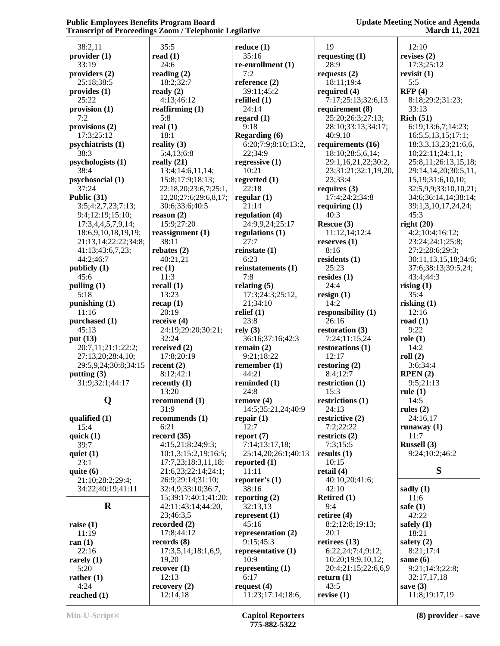| 38:2,11                          | 35:5                                      | reduce $(1)$                       | 19                              | 12:10                                           |
|----------------------------------|-------------------------------------------|------------------------------------|---------------------------------|-------------------------------------------------|
| provider (1)                     | read $(1)$                                | 35:16                              | requesting $(1)$                | revises $(2)$                                   |
| 33:19                            | 24:6                                      | re-enrollment (1)                  | 28:9                            | 17:3;25:12                                      |
| providers (2)                    | reading $(2)$                             | 7:2                                | requests $(2)$                  | revisit $(1)$                                   |
| 25:18:38:5                       | 18:2;32:7                                 | reference (2)                      | 18:11;19:4                      | 5:5                                             |
| provides (1)                     | ready $(2)$                               | 39:11;45:2                         | required $(4)$                  | RFP(4)                                          |
| 25:22                            | 4:13;46:12                                | refilled $(1)$                     | 7:17;25:13;32:6,13              | 8:18;29:2;31:23;                                |
| provision (1)                    | reaffirming $(1)$                         | 24:14                              | requirement (8)                 | 33:13                                           |
| 7:2                              | 5:8                                       | regard $(1)$                       | 25:20;26:3;27:13;               | Rich (51)                                       |
| provisions (2)                   | real $(1)$                                | 9:18                               | 28:10;33:13;34:17;              | 6:19;13:6,7;14:23;                              |
| 17:3;25:12                       | 18:1                                      | <b>Regarding (6)</b>               | 40:9,10                         | 16:5,5,13,15;17:1;                              |
| psychiatrists (1)                | reality $(3)$                             | 6:20;7:9;8:10;13:2,                | requirements (16)               | 18:3,3,13,23;21:6,6,                            |
| 38:3                             | 5:4,13;6:8                                | 22;34:9                            | 18:10;28:5,6,14;                | 10;22:11;24:1,1;                                |
| psychologists (1)                | really $(21)$                             | regressive $(1)$                   | 29:1,16,21,22;30:2,             | 25:8,11;26:13,15,18;                            |
| 38:4<br>psychosocial (1)         | 13:4;14:6,11,14;                          | 10:21                              | 23;31:21;32:1,19,20,<br>23;33:4 | 29:14,14,20;30:5,11,                            |
| 37:24                            | 15:8;17:9;18:13;<br>22:18,20;23:6,7;25:1, | regretted $(1)$<br>22:18           | requires $(3)$                  | 15, 19; 31: 6, 10, 10;<br>32:5,9,9;33:10,10,21; |
| Public (31)                      | 12, 20; 27: 6; 29: 6, 8, 17;              | regular $(1)$                      | 17:4;24:2;34:8                  | 34:6;36:14,14;38:14;                            |
| 3:5;4:2,7,23;7:13;               | 30:6;33:6;40:5                            | 21:14                              | requiring $(1)$                 | 39:1,3,10,17,24,24;                             |
| 9:4;12:19;15:10;                 | reason (2)                                | regulation (4)                     | 40:3                            | 45:3                                            |
| 17:3,4,4,5,7,9,14;               | 15:9;27:20                                | 24:9,9,24;25:17                    | Rescue (3)                      | right $(20)$                                    |
| 18:6,9,10,18,19,19;              | reassignment $(1)$                        | regulations $(1)$                  | 11:12,14;12:4                   | 4:2;10:4;16:12;                                 |
| 21:13,14;22:22;34:8;             | 38:11                                     | 27:7                               | reserves $(1)$                  | 23:24;24:1;25:8;                                |
| 41:13;43:6,7,23;                 | rebates $(2)$                             | reinstate $(1)$                    | 8:16                            | 27:2;28:6;29:3;                                 |
| 44:2;46:7                        | 40:21,21                                  | 6:23                               | residents $(1)$                 | 30:11,13,15,18;34:6;                            |
| publicly (1)                     | rec(1)                                    | reinstatements (1)                 | 25:23                           | 37:6;38:13;39:5,24;                             |
| 45:6                             | 11:3                                      | 7:8                                | resides $(1)$                   | 43:4;44:3                                       |
| pulling $(1)$                    | recall $(1)$                              | relating $(5)$                     | 24:4                            | rising $(1)$                                    |
| 5:18                             | 13:23                                     | 17:3;24:3;25:12,                   | resign $(1)$                    | 35:4                                            |
| punishing (1)                    | recap(1)                                  | 21;34:10                           | 14:2                            | risking $(1)$                                   |
| 11:16                            | 20:19                                     | relief $(1)$                       | responsibility (1)              | 12:16                                           |
| purchased (1)                    | receive $(4)$                             | 23:8                               | 26:16                           | road $(1)$                                      |
| 45:13                            | 24:19;29:20;30:21;                        | rely(3)                            | restoration $(3)$               | 9:22                                            |
| put (13)                         | 32:24                                     | 36:16;37:16;42:3                   | 7:24;11:15,24                   | role(1)                                         |
| 20:7,11;21:1;22:2;               | received $(2)$                            | remain $(2)$                       | restorations $(1)$              | 14:2                                            |
| 27:13,20;28:4,10;                | 17:8;20:19                                | 9:21;18:22                         | 12:17                           | roll(2)                                         |
| 29:5,9,24;30:8;34:15             | recent $(2)$                              | remember $(1)$<br>44:21            | restoring $(2)$                 | 3:6;34:4                                        |
| putting $(3)$<br>31:9;32:1;44:17 | 8:12;42:1                                 | reminded (1)                       | 8:4;12:7<br>restriction (1)     | RPEN(2)<br>9:5;21:13                            |
|                                  | recently $(1)$<br>13:20                   | 24:8                               | 15:3                            | rule $(1)$                                      |
| Q                                | recommend (1)                             | remove(4)                          | restrictions (1)                | 14:5                                            |
|                                  | 31:9                                      | 14:5;35:21,24;40:9                 | 24:13                           | rules $(2)$                                     |
| qualified $(1)$                  | recommends (1)                            | repair $(1)$                       | restrictive (2)                 | 24:16,17                                        |
| 15:4                             | 6:21                                      | 12:7                               | 7:2;22:22                       | runaway $(1)$                                   |
| quick $(1)$                      | record(35)                                | report $(7)$                       | restricts $(2)$                 | 11:7                                            |
| 39:7                             | 4:15,21;8:24;9:3;                         | 7:14;13:17,18;                     | 7:3;15:5                        | Russell (3)                                     |
| quiet $(1)$                      | 10:1,3;15:2,19;16:5;                      | 25:14,20;26:1;40:13                | results $(1)$                   | 9:24;10:2;46:2                                  |
| 23:1                             | 17:7,23;18:3,11,18;                       | reported $(1)$                     | 10:15                           |                                                 |
| quite $(6)$                      | 21:6,23;22:14;24:1;                       | 11:11                              | retail $(4)$                    | S                                               |
| 21:10;28:2;29:4;                 | 26:9;29:14;31:10;                         | reporter's $(1)$                   | 40:10,20;41:6;                  |                                                 |
| 34:22;40:19;41:11                |                                           |                                    |                                 |                                                 |
|                                  | 32:4,9;33:10;36:7,                        | 38:16                              | 42:10                           | sadly $(1)$                                     |
|                                  | 15;39:17;40:1;41:20;                      | reporting $(2)$                    | Retired $(1)$                   | 11:6                                            |
| $\mathbf R$                      | 42:11;43:14;44:20,                        | 32:13,13                           | 9:4                             | safe $(1)$                                      |
|                                  | 23;46:3,5                                 | represent $(1)$                    | retiree $(4)$                   | 42:22                                           |
| raise $(1)$                      | recorded $(2)$                            | 45:16                              | 8:2;12:8;19:13;                 | safely $(1)$                                    |
| 11:19                            | 17:8;44:12                                | representation (2)                 | 20:1                            | 18:21                                           |
| ran $(1)$                        | records $(8)$                             | 9:15;45:3                          | retirees $(13)$                 | safety $(2)$                                    |
| 22:16                            | 17:3,5,14;18:1,6,9,                       | representative (1)                 | 6:22,24;7:4;9:12;               | 8:21;17:4                                       |
| rarely $(1)$                     | 19,20                                     | 10:9                               | 10:20;19:9,10,12;               | same $(6)$                                      |
| 5:20                             | recover(1)                                | representing $(1)$                 | 20:4;21:15;22:6,6,9             | 9:21;14:3;22:8;                                 |
| rather $(1)$                     | 12:13                                     | 6:17                               | return $(1)$                    | 32:17,17,18                                     |
| 4:24<br>reached $(1)$            | recovery(2)<br>12:14,18                   | request $(4)$<br>11:23;17:14;18:6, | 43:5<br>revise $(1)$            | save $(3)$<br>11:8;19:17,19                     |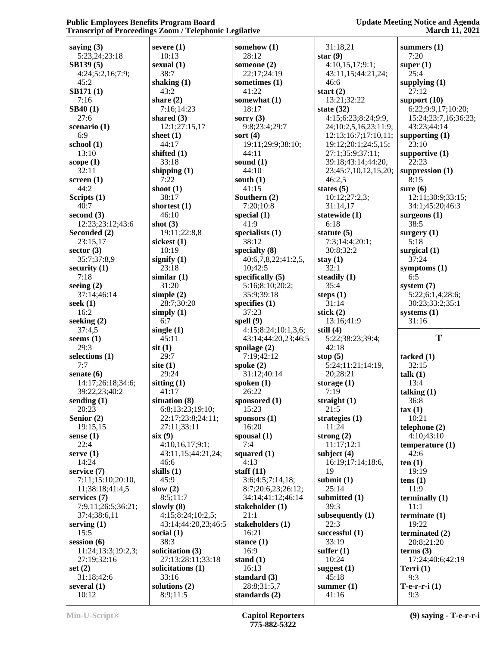| saying $(3)$<br>5:23,24;23:18 | severe $(1)$<br>10:13 | somehow $(1)$<br>28:12 | 31:18,21<br>star $(9)$ | summers $(1)$<br>7:20 |
|-------------------------------|-----------------------|------------------------|------------------------|-----------------------|
| SB139(5)                      | sexual $(1)$          | someone $(2)$          | 4:10,15,17;9:1;        | super $(1)$           |
|                               | 38:7                  |                        |                        | 25:4                  |
| 4:24;5:2,16;7:9;              |                       | 22:17;24:19            | 43:11,15;44:21,24;     |                       |
| 45:2                          | shaking $(1)$         | sometimes (1)          | 46:6                   | supplying $(1)$       |
| <b>SB171(1)</b>               | 43:2                  | 41:22                  | start $(2)$            | 27:12                 |
| 7:16                          | share $(2)$           | somewhat (1)           | 13:21;32:22            | support $(10)$        |
| <b>SB40(1)</b>                | 7:16;14:23            | 18:17                  | state $(32)$           | 6:22;9:9,17;10:20;    |
| 27:6                          | shared $(3)$          | sorry $(3)$            | 4:15;6:23;8:24;9:9,    | 15:24;23:7,16;36:23;  |
| scenario (1)                  | 12:1;27:15,17         | 9:8;23:4;29:7          | 24;10:2,5,16,23;11:9;  | 43:23;44:14           |
| 6:9                           | sheet $(1)$           | sort $(4)$             | 12:13;16:7;17:10,11;   | supporting $(1)$      |
| school(1)                     | 44:17                 | 19:11;29:9;38:10;      | 19:12;20:1;24:5,15;    | 23:10                 |
| 13:10                         | shifted $(1)$         | 44:11                  | 27:1;35:9;37:11;       | supportive $(1)$      |
| scope $(1)$                   | 33:18                 | sound $(1)$            | 39:18;43:14;44:20,     | 22:23                 |
| 32:11                         | shipping $(1)$        | 44:10                  | 23;45:7,10,12,15,20;   | suppression $(1)$     |
| screen $(1)$                  | 7:22                  | south $(1)$            | 46:2,5                 | 8:15                  |
| 44:2                          | shoot $(1)$           | 41:15                  | states $(5)$           | sure $(6)$            |
| Scripts $(1)$                 | 38:17                 | Southern (2)           | 10:12;27:2,3;          | 12:11;30:9;33:15;     |
| 40:7                          | shortest $(1)$        | 7:20;10:8              | 31:14,17               | 34:1;45:20;46:3       |
| second $(3)$                  | 46:10                 | special $(1)$          | statewide (1)          | surgeons (1)          |
| 12:23;23:12;43:6              | shot $(3)$            | 41:9                   | 6:18                   | 38:5                  |
|                               |                       |                        |                        |                       |
| Seconded (2)                  | 19:11;22:8,8          | specialists $(1)$      | statute $(5)$          | surgery $(1)$         |
| 23:15,17                      | sickest (1)           | 38:12                  | 7:3;14:4;20:1;         | 5:18                  |
| sector $(3)$                  | 10:19                 | specialty $(8)$        | 30:8;32:2              | surgical $(1)$        |
| 35:7;37:8,9                   | signify $(1)$         | 40:6,7,8,22;41:2,5,    | stay $(1)$             | 37:24                 |
| security $(1)$                | 23:18                 | 10;42:5                | 32:1                   | symptoms $(1)$        |
| 7:18                          | similar $(1)$         | specifically $(5)$     | steadily $(1)$         | 6:5                   |
| seeing $(2)$                  | 31:20                 | 5:16;8:10;20:2;        | 35:4                   | system $(7)$          |
| 37:14;46:14                   | simple $(2)$          | 35:9;39:18             | steps $(1)$            | 5:22;6:1,4;28:6;      |
| seek $(1)$                    | 28:7;30:20            | specifies $(1)$        | 31:14                  | 30:23;33:2;35:1       |
| 16:2                          | simply $(1)$          | 37:23                  | stick $(2)$            | systems $(1)$         |
| seeking $(2)$                 | 6:7                   | spell $(9)$            | 13:16;41:9             | 31:16                 |
| 37:4,5                        | single $(1)$          | 4:15;8:24;10:1,3,6;    | still $(4)$            |                       |
| seems $(1)$                   | 45:11                 | 43:14;44:20,23;46:5    | 5:22;38:23;39:4;       | T                     |
| 29:3                          | $s$ it $(1)$          | spoilage $(2)$         | 42:18                  |                       |
| selections (1)                | 29:7                  | 7:19;42:12             | stop $(5)$             | tacked $(1)$          |
| 7:7                           | site $(1)$            | spoke $(2)$            | 5:24;11:21;14:19,      | 32:15                 |
| senate $(6)$                  | 29:24                 | 31:12;40:14            | 20;28:21               | talk(1)               |
| 14:17;26:18;34:6;             | sitting $(1)$         | spoken $(1)$           | storage $(1)$          | 13:4                  |
| 39:22,23;40:2                 | 41:17                 | 26:22                  | 7:19                   |                       |
|                               |                       |                        | straight $(1)$         | talking $(1)$         |
| sending $(1)$                 | situation (8)         | sponsored (1)          |                        | 36:8                  |
| 20:23                         | 6:8;13:23;19:10;      | 15:23                  | 21:5                   | $\text{tax}(1)$       |
| Senior $(2)$                  | 22:17;23:8;24:11;     | sponsors $(1)$         | strategies $(1)$       | 10:21                 |
| 19:15,15                      | 27:11:33:11           | 16:20                  | 11:24                  | telephone $(2)$       |
| sense $(1)$                   | six(9)                | spousal $(1)$          | strong $(2)$           | 4:10;43:10            |
| 22:4                          | 4:10,16,17;9:1;       | 7:4                    | 11:17;12:1             | temperature $(1)$     |
| serve $(1)$                   | 43:11,15;44:21,24;    | squared $(1)$          | subject $(4)$          | 42:6                  |
| 14:24                         | 46:6                  | 4:13                   | 16:19;17:14;18:6,      | ten(1)                |
| service $(7)$                 | skills $(1)$          | staff $(11)$           | 19                     | 19:19                 |
| 7:11;15:10;20:10,             | 45:9                  | 3:6;4:5;7:14,18;       | submit $(1)$           | tens $(1)$            |
| 11;38:18;41:4,5               | slow $(2)$            | 8:7;20:6,23;26:12;     | 25:14                  | 11:9                  |
| services (7)                  | 8:5;11:7              | 34:14;41:12;46:14      | submitted (1)          | terminally $(1)$      |
| 7:9,11;26:5;36:21;            | slowly $(8)$          | stakeholder (1)        | 39:3                   | 11:1                  |
| 37:4;38:6,11                  | 4:15;8:24;10:2,5;     | 21:1                   | subsequently $(1)$     | terminate $(1)$       |
| serving $(1)$                 | 43:14;44:20,23;46:5   | stakeholders (1)       | 22:3                   | 19:22                 |
| 15:5                          | social $(1)$          | 16:21                  | successful (1)         | terminated (2)        |
| session $(6)$                 | 38:3                  | stance $(1)$           | 33:19                  | 20:8;21:20            |
| 11:24;13:3;19:2,3;            | solicitation (3)      | 16:9                   | suffer $(1)$           |                       |
|                               |                       |                        |                        | terms $(3)$           |
| 27:19;32:16                   | 27:13;28:11;33:18     | stand $(1)$            | 10:24                  | 17:24;40:6;42:19      |
| set $(2)$                     | solicitations (1)     | 16:13                  | suggest $(1)$          | Terri $(1)$           |
| 31:18;42:6                    | 33:16                 | standard $(3)$         | 45:18                  | 9:3                   |
| several $(1)$                 | solutions (2)         | 28:8;31:5,7            | summer $(1)$           | $T-e-r-r-i$ (1)       |
| 10:12                         | 8:9;11:5              | standards $(2)$        | 41:16                  | 9:3                   |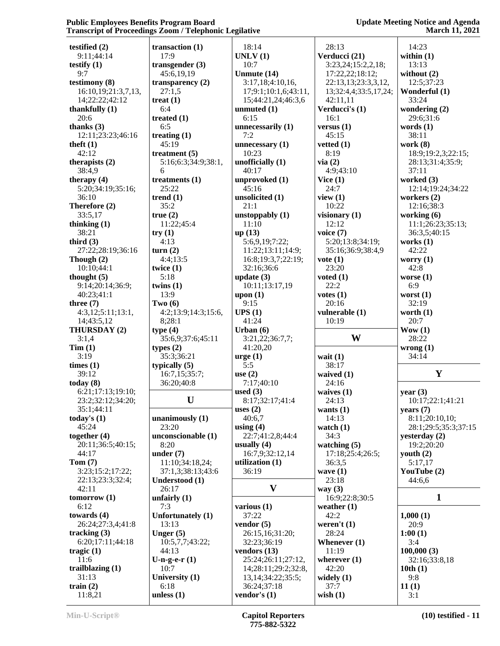| 18:14<br>28:13<br>14:23<br>testified $(2)$<br>transaction $(1)$<br>9:11;44:14<br>17:9<br>UNLV(1)<br>Verducci (21)<br>within $(1)$<br>10:7<br>3:23,24;15:2,2,18;<br>13:13<br>testify $(1)$<br>transgender $(3)$<br>9:7<br>Unmute (14)<br>without $(2)$<br>45:6,19,19<br>17:22,22;18:12;<br>testimony (8)<br>22:13,13;23:3,3,12,<br>12:5;37:23<br>transparency $(2)$<br>3:17,18;4:10,16,<br>27:1,5<br>16:10,19;21:3,7,13,<br>17;9:1;10:1,6;43:11,<br>13;32:4,4;33:5,17,24;<br>Wonderful (1)<br>33:24<br>14;22:22;42:12<br>treat $(1)$<br>42:11,11<br>15;44:21,24;46:3,6<br>6:4<br>Verducci's (1)<br>wondering $(2)$<br>thankfully $(1)$<br>unmuted $(1)$<br>20:6<br>6:15<br>16:1<br>29:6;31:6<br>treated $(1)$<br>thanks $(3)$<br>6:5<br>words $(1)$<br>unnecessarily (1)<br>versus $(1)$<br>7:2<br>12:11;23:23;46:16<br>treating $(1)$<br>45:15<br>38:11<br>45:19<br>theft $(1)$<br>unnecessary $(1)$<br>vetted $(1)$<br>work $(8)$<br>8:19<br>42:12<br>10:23<br>treatment $(5)$<br>unofficially $(1)$<br>via(2)<br>therapists $(2)$<br>5:16;6:3;34:9;38:1,<br>38:4,9<br>40:17<br>4:9;43:10<br>37:11<br>6<br>unprovoked (1)<br>worked (3)<br>therapy $(4)$<br>treatments $(1)$<br>Vice $(1)$<br>5:20;34:19;35:16;<br>25:22<br>45:16<br>24:7<br>36:10<br>trend $(1)$<br>unsolicited (1)<br>view $(1)$<br>workers $(2)$<br>21:1<br>Therefore (2)<br>35:2<br>10:22<br>12:16:38:3<br>33:5,17<br>true(2)<br>working (6)<br>unstoppably (1)<br>visionary $(1)$<br>11:10<br>12:12<br>thinking $(1)$<br>11:22;45:4<br>38:21<br>voice $(7)$<br>36:3,5;40:15<br>up(13)<br>try(1)<br>third $(3)$<br>4:13<br>5:6,9,19;7:22;<br>5:20;13:8;34:19;<br>works $(1)$<br>42:22<br>27:22;28:19;36:16<br>35:16;36:9;38:4,9<br>turn(2)<br>11:22;13:11;14:9;<br>Though (2)<br>4:4;13:5<br>16:8;19:3,7;22:19;<br>$\mathbf{vote}\left(1\right)$<br>worry $(1)$<br>32:16;36:6<br>23:20<br>42:8<br>10:10:44:1<br>twice $(1)$<br>5:18<br>thought $(5)$<br>update $(3)$<br>voted $(1)$<br>worse $(1)$<br>22:2<br>6:9<br>9:14;20:14;36:9;<br>twins $(1)$<br>10:11;13:17,19<br>13:9<br>40:23;41:1<br>upon (1)<br>votes $(1)$<br>worst $(1)$<br>9:15<br>20:16<br>32:19<br>three $(7)$<br>Two $(6)$<br>UPS(1)<br>vulnerable (1)<br>worth $(1)$<br>4:3,12;5:11;13:1,<br>4:2;13:9;14:3;15:6,<br>8;28:1<br>41:24<br>20:7<br>14;43:5,12<br>10:19<br>THURSDAY (2)<br>type(4)<br>Urban $(6)$<br>$\frac{Wow(1)}{W}$<br>W<br>28:22<br>3:1,4<br>35:6,9;37:6;45:11<br>3:21,22;36:7,7;<br>Tim(1)<br>41:20,20<br>wrong $(1)$<br>types $(2)$ | 18:9;19:2,3;22:15;<br>28:13;31:4;35:9;<br>12:14;19:24;34:22<br>11:1;26:23;35:13; |
|-----------------------------------------------------------------------------------------------------------------------------------------------------------------------------------------------------------------------------------------------------------------------------------------------------------------------------------------------------------------------------------------------------------------------------------------------------------------------------------------------------------------------------------------------------------------------------------------------------------------------------------------------------------------------------------------------------------------------------------------------------------------------------------------------------------------------------------------------------------------------------------------------------------------------------------------------------------------------------------------------------------------------------------------------------------------------------------------------------------------------------------------------------------------------------------------------------------------------------------------------------------------------------------------------------------------------------------------------------------------------------------------------------------------------------------------------------------------------------------------------------------------------------------------------------------------------------------------------------------------------------------------------------------------------------------------------------------------------------------------------------------------------------------------------------------------------------------------------------------------------------------------------------------------------------------------------------------------------------------------------------------------------------------------------------------------------------------------------------------------------------------------------------------------------------------------------------------------------------------------------------------------------------------------------------------------------------------------------------------------------------------------------------------------------------------------------------------------------------------------------|----------------------------------------------------------------------------------|
|                                                                                                                                                                                                                                                                                                                                                                                                                                                                                                                                                                                                                                                                                                                                                                                                                                                                                                                                                                                                                                                                                                                                                                                                                                                                                                                                                                                                                                                                                                                                                                                                                                                                                                                                                                                                                                                                                                                                                                                                                                                                                                                                                                                                                                                                                                                                                                                                                                                                                               |                                                                                  |
|                                                                                                                                                                                                                                                                                                                                                                                                                                                                                                                                                                                                                                                                                                                                                                                                                                                                                                                                                                                                                                                                                                                                                                                                                                                                                                                                                                                                                                                                                                                                                                                                                                                                                                                                                                                                                                                                                                                                                                                                                                                                                                                                                                                                                                                                                                                                                                                                                                                                                               |                                                                                  |
|                                                                                                                                                                                                                                                                                                                                                                                                                                                                                                                                                                                                                                                                                                                                                                                                                                                                                                                                                                                                                                                                                                                                                                                                                                                                                                                                                                                                                                                                                                                                                                                                                                                                                                                                                                                                                                                                                                                                                                                                                                                                                                                                                                                                                                                                                                                                                                                                                                                                                               |                                                                                  |
|                                                                                                                                                                                                                                                                                                                                                                                                                                                                                                                                                                                                                                                                                                                                                                                                                                                                                                                                                                                                                                                                                                                                                                                                                                                                                                                                                                                                                                                                                                                                                                                                                                                                                                                                                                                                                                                                                                                                                                                                                                                                                                                                                                                                                                                                                                                                                                                                                                                                                               |                                                                                  |
|                                                                                                                                                                                                                                                                                                                                                                                                                                                                                                                                                                                                                                                                                                                                                                                                                                                                                                                                                                                                                                                                                                                                                                                                                                                                                                                                                                                                                                                                                                                                                                                                                                                                                                                                                                                                                                                                                                                                                                                                                                                                                                                                                                                                                                                                                                                                                                                                                                                                                               |                                                                                  |
|                                                                                                                                                                                                                                                                                                                                                                                                                                                                                                                                                                                                                                                                                                                                                                                                                                                                                                                                                                                                                                                                                                                                                                                                                                                                                                                                                                                                                                                                                                                                                                                                                                                                                                                                                                                                                                                                                                                                                                                                                                                                                                                                                                                                                                                                                                                                                                                                                                                                                               |                                                                                  |
|                                                                                                                                                                                                                                                                                                                                                                                                                                                                                                                                                                                                                                                                                                                                                                                                                                                                                                                                                                                                                                                                                                                                                                                                                                                                                                                                                                                                                                                                                                                                                                                                                                                                                                                                                                                                                                                                                                                                                                                                                                                                                                                                                                                                                                                                                                                                                                                                                                                                                               |                                                                                  |
|                                                                                                                                                                                                                                                                                                                                                                                                                                                                                                                                                                                                                                                                                                                                                                                                                                                                                                                                                                                                                                                                                                                                                                                                                                                                                                                                                                                                                                                                                                                                                                                                                                                                                                                                                                                                                                                                                                                                                                                                                                                                                                                                                                                                                                                                                                                                                                                                                                                                                               |                                                                                  |
|                                                                                                                                                                                                                                                                                                                                                                                                                                                                                                                                                                                                                                                                                                                                                                                                                                                                                                                                                                                                                                                                                                                                                                                                                                                                                                                                                                                                                                                                                                                                                                                                                                                                                                                                                                                                                                                                                                                                                                                                                                                                                                                                                                                                                                                                                                                                                                                                                                                                                               |                                                                                  |
|                                                                                                                                                                                                                                                                                                                                                                                                                                                                                                                                                                                                                                                                                                                                                                                                                                                                                                                                                                                                                                                                                                                                                                                                                                                                                                                                                                                                                                                                                                                                                                                                                                                                                                                                                                                                                                                                                                                                                                                                                                                                                                                                                                                                                                                                                                                                                                                                                                                                                               |                                                                                  |
|                                                                                                                                                                                                                                                                                                                                                                                                                                                                                                                                                                                                                                                                                                                                                                                                                                                                                                                                                                                                                                                                                                                                                                                                                                                                                                                                                                                                                                                                                                                                                                                                                                                                                                                                                                                                                                                                                                                                                                                                                                                                                                                                                                                                                                                                                                                                                                                                                                                                                               |                                                                                  |
|                                                                                                                                                                                                                                                                                                                                                                                                                                                                                                                                                                                                                                                                                                                                                                                                                                                                                                                                                                                                                                                                                                                                                                                                                                                                                                                                                                                                                                                                                                                                                                                                                                                                                                                                                                                                                                                                                                                                                                                                                                                                                                                                                                                                                                                                                                                                                                                                                                                                                               |                                                                                  |
|                                                                                                                                                                                                                                                                                                                                                                                                                                                                                                                                                                                                                                                                                                                                                                                                                                                                                                                                                                                                                                                                                                                                                                                                                                                                                                                                                                                                                                                                                                                                                                                                                                                                                                                                                                                                                                                                                                                                                                                                                                                                                                                                                                                                                                                                                                                                                                                                                                                                                               |                                                                                  |
|                                                                                                                                                                                                                                                                                                                                                                                                                                                                                                                                                                                                                                                                                                                                                                                                                                                                                                                                                                                                                                                                                                                                                                                                                                                                                                                                                                                                                                                                                                                                                                                                                                                                                                                                                                                                                                                                                                                                                                                                                                                                                                                                                                                                                                                                                                                                                                                                                                                                                               |                                                                                  |
|                                                                                                                                                                                                                                                                                                                                                                                                                                                                                                                                                                                                                                                                                                                                                                                                                                                                                                                                                                                                                                                                                                                                                                                                                                                                                                                                                                                                                                                                                                                                                                                                                                                                                                                                                                                                                                                                                                                                                                                                                                                                                                                                                                                                                                                                                                                                                                                                                                                                                               |                                                                                  |
|                                                                                                                                                                                                                                                                                                                                                                                                                                                                                                                                                                                                                                                                                                                                                                                                                                                                                                                                                                                                                                                                                                                                                                                                                                                                                                                                                                                                                                                                                                                                                                                                                                                                                                                                                                                                                                                                                                                                                                                                                                                                                                                                                                                                                                                                                                                                                                                                                                                                                               |                                                                                  |
|                                                                                                                                                                                                                                                                                                                                                                                                                                                                                                                                                                                                                                                                                                                                                                                                                                                                                                                                                                                                                                                                                                                                                                                                                                                                                                                                                                                                                                                                                                                                                                                                                                                                                                                                                                                                                                                                                                                                                                                                                                                                                                                                                                                                                                                                                                                                                                                                                                                                                               |                                                                                  |
|                                                                                                                                                                                                                                                                                                                                                                                                                                                                                                                                                                                                                                                                                                                                                                                                                                                                                                                                                                                                                                                                                                                                                                                                                                                                                                                                                                                                                                                                                                                                                                                                                                                                                                                                                                                                                                                                                                                                                                                                                                                                                                                                                                                                                                                                                                                                                                                                                                                                                               |                                                                                  |
|                                                                                                                                                                                                                                                                                                                                                                                                                                                                                                                                                                                                                                                                                                                                                                                                                                                                                                                                                                                                                                                                                                                                                                                                                                                                                                                                                                                                                                                                                                                                                                                                                                                                                                                                                                                                                                                                                                                                                                                                                                                                                                                                                                                                                                                                                                                                                                                                                                                                                               |                                                                                  |
|                                                                                                                                                                                                                                                                                                                                                                                                                                                                                                                                                                                                                                                                                                                                                                                                                                                                                                                                                                                                                                                                                                                                                                                                                                                                                                                                                                                                                                                                                                                                                                                                                                                                                                                                                                                                                                                                                                                                                                                                                                                                                                                                                                                                                                                                                                                                                                                                                                                                                               |                                                                                  |
|                                                                                                                                                                                                                                                                                                                                                                                                                                                                                                                                                                                                                                                                                                                                                                                                                                                                                                                                                                                                                                                                                                                                                                                                                                                                                                                                                                                                                                                                                                                                                                                                                                                                                                                                                                                                                                                                                                                                                                                                                                                                                                                                                                                                                                                                                                                                                                                                                                                                                               |                                                                                  |
|                                                                                                                                                                                                                                                                                                                                                                                                                                                                                                                                                                                                                                                                                                                                                                                                                                                                                                                                                                                                                                                                                                                                                                                                                                                                                                                                                                                                                                                                                                                                                                                                                                                                                                                                                                                                                                                                                                                                                                                                                                                                                                                                                                                                                                                                                                                                                                                                                                                                                               |                                                                                  |
|                                                                                                                                                                                                                                                                                                                                                                                                                                                                                                                                                                                                                                                                                                                                                                                                                                                                                                                                                                                                                                                                                                                                                                                                                                                                                                                                                                                                                                                                                                                                                                                                                                                                                                                                                                                                                                                                                                                                                                                                                                                                                                                                                                                                                                                                                                                                                                                                                                                                                               |                                                                                  |
|                                                                                                                                                                                                                                                                                                                                                                                                                                                                                                                                                                                                                                                                                                                                                                                                                                                                                                                                                                                                                                                                                                                                                                                                                                                                                                                                                                                                                                                                                                                                                                                                                                                                                                                                                                                                                                                                                                                                                                                                                                                                                                                                                                                                                                                                                                                                                                                                                                                                                               |                                                                                  |
|                                                                                                                                                                                                                                                                                                                                                                                                                                                                                                                                                                                                                                                                                                                                                                                                                                                                                                                                                                                                                                                                                                                                                                                                                                                                                                                                                                                                                                                                                                                                                                                                                                                                                                                                                                                                                                                                                                                                                                                                                                                                                                                                                                                                                                                                                                                                                                                                                                                                                               |                                                                                  |
|                                                                                                                                                                                                                                                                                                                                                                                                                                                                                                                                                                                                                                                                                                                                                                                                                                                                                                                                                                                                                                                                                                                                                                                                                                                                                                                                                                                                                                                                                                                                                                                                                                                                                                                                                                                                                                                                                                                                                                                                                                                                                                                                                                                                                                                                                                                                                                                                                                                                                               |                                                                                  |
|                                                                                                                                                                                                                                                                                                                                                                                                                                                                                                                                                                                                                                                                                                                                                                                                                                                                                                                                                                                                                                                                                                                                                                                                                                                                                                                                                                                                                                                                                                                                                                                                                                                                                                                                                                                                                                                                                                                                                                                                                                                                                                                                                                                                                                                                                                                                                                                                                                                                                               |                                                                                  |
|                                                                                                                                                                                                                                                                                                                                                                                                                                                                                                                                                                                                                                                                                                                                                                                                                                                                                                                                                                                                                                                                                                                                                                                                                                                                                                                                                                                                                                                                                                                                                                                                                                                                                                                                                                                                                                                                                                                                                                                                                                                                                                                                                                                                                                                                                                                                                                                                                                                                                               |                                                                                  |
|                                                                                                                                                                                                                                                                                                                                                                                                                                                                                                                                                                                                                                                                                                                                                                                                                                                                                                                                                                                                                                                                                                                                                                                                                                                                                                                                                                                                                                                                                                                                                                                                                                                                                                                                                                                                                                                                                                                                                                                                                                                                                                                                                                                                                                                                                                                                                                                                                                                                                               |                                                                                  |
|                                                                                                                                                                                                                                                                                                                                                                                                                                                                                                                                                                                                                                                                                                                                                                                                                                                                                                                                                                                                                                                                                                                                                                                                                                                                                                                                                                                                                                                                                                                                                                                                                                                                                                                                                                                                                                                                                                                                                                                                                                                                                                                                                                                                                                                                                                                                                                                                                                                                                               |                                                                                  |
|                                                                                                                                                                                                                                                                                                                                                                                                                                                                                                                                                                                                                                                                                                                                                                                                                                                                                                                                                                                                                                                                                                                                                                                                                                                                                                                                                                                                                                                                                                                                                                                                                                                                                                                                                                                                                                                                                                                                                                                                                                                                                                                                                                                                                                                                                                                                                                                                                                                                                               |                                                                                  |
|                                                                                                                                                                                                                                                                                                                                                                                                                                                                                                                                                                                                                                                                                                                                                                                                                                                                                                                                                                                                                                                                                                                                                                                                                                                                                                                                                                                                                                                                                                                                                                                                                                                                                                                                                                                                                                                                                                                                                                                                                                                                                                                                                                                                                                                                                                                                                                                                                                                                                               |                                                                                  |
|                                                                                                                                                                                                                                                                                                                                                                                                                                                                                                                                                                                                                                                                                                                                                                                                                                                                                                                                                                                                                                                                                                                                                                                                                                                                                                                                                                                                                                                                                                                                                                                                                                                                                                                                                                                                                                                                                                                                                                                                                                                                                                                                                                                                                                                                                                                                                                                                                                                                                               |                                                                                  |
|                                                                                                                                                                                                                                                                                                                                                                                                                                                                                                                                                                                                                                                                                                                                                                                                                                                                                                                                                                                                                                                                                                                                                                                                                                                                                                                                                                                                                                                                                                                                                                                                                                                                                                                                                                                                                                                                                                                                                                                                                                                                                                                                                                                                                                                                                                                                                                                                                                                                                               |                                                                                  |
|                                                                                                                                                                                                                                                                                                                                                                                                                                                                                                                                                                                                                                                                                                                                                                                                                                                                                                                                                                                                                                                                                                                                                                                                                                                                                                                                                                                                                                                                                                                                                                                                                                                                                                                                                                                                                                                                                                                                                                                                                                                                                                                                                                                                                                                                                                                                                                                                                                                                                               |                                                                                  |
|                                                                                                                                                                                                                                                                                                                                                                                                                                                                                                                                                                                                                                                                                                                                                                                                                                                                                                                                                                                                                                                                                                                                                                                                                                                                                                                                                                                                                                                                                                                                                                                                                                                                                                                                                                                                                                                                                                                                                                                                                                                                                                                                                                                                                                                                                                                                                                                                                                                                                               |                                                                                  |
|                                                                                                                                                                                                                                                                                                                                                                                                                                                                                                                                                                                                                                                                                                                                                                                                                                                                                                                                                                                                                                                                                                                                                                                                                                                                                                                                                                                                                                                                                                                                                                                                                                                                                                                                                                                                                                                                                                                                                                                                                                                                                                                                                                                                                                                                                                                                                                                                                                                                                               |                                                                                  |
| 3:19<br>35:3;36:21<br>34:14<br>$\text{urge} (1)$<br>wait $(1)$                                                                                                                                                                                                                                                                                                                                                                                                                                                                                                                                                                                                                                                                                                                                                                                                                                                                                                                                                                                                                                                                                                                                                                                                                                                                                                                                                                                                                                                                                                                                                                                                                                                                                                                                                                                                                                                                                                                                                                                                                                                                                                                                                                                                                                                                                                                                                                                                                                |                                                                                  |
| times (1)<br>5:5<br>typically $(5)$<br>38:17                                                                                                                                                                                                                                                                                                                                                                                                                                                                                                                                                                                                                                                                                                                                                                                                                                                                                                                                                                                                                                                                                                                                                                                                                                                                                                                                                                                                                                                                                                                                                                                                                                                                                                                                                                                                                                                                                                                                                                                                                                                                                                                                                                                                                                                                                                                                                                                                                                                  |                                                                                  |
| 39:12<br>16:7,15:35:7;                                                                                                                                                                                                                                                                                                                                                                                                                                                                                                                                                                                                                                                                                                                                                                                                                                                                                                                                                                                                                                                                                                                                                                                                                                                                                                                                                                                                                                                                                                                                                                                                                                                                                                                                                                                                                                                                                                                                                                                                                                                                                                                                                                                                                                                                                                                                                                                                                                                                        | Y                                                                                |
| use $(2)$<br>waived $(1)$<br>today $(8)$                                                                                                                                                                                                                                                                                                                                                                                                                                                                                                                                                                                                                                                                                                                                                                                                                                                                                                                                                                                                                                                                                                                                                                                                                                                                                                                                                                                                                                                                                                                                                                                                                                                                                                                                                                                                                                                                                                                                                                                                                                                                                                                                                                                                                                                                                                                                                                                                                                                      |                                                                                  |
| 7:17;40:10<br>36:20;40:8<br>24:16                                                                                                                                                                                                                                                                                                                                                                                                                                                                                                                                                                                                                                                                                                                                                                                                                                                                                                                                                                                                                                                                                                                                                                                                                                                                                                                                                                                                                                                                                                                                                                                                                                                                                                                                                                                                                                                                                                                                                                                                                                                                                                                                                                                                                                                                                                                                                                                                                                                             |                                                                                  |
| 6:21;17:13;19:10;<br>used $(3)$<br>waives $(1)$<br>year $(3)$                                                                                                                                                                                                                                                                                                                                                                                                                                                                                                                                                                                                                                                                                                                                                                                                                                                                                                                                                                                                                                                                                                                                                                                                                                                                                                                                                                                                                                                                                                                                                                                                                                                                                                                                                                                                                                                                                                                                                                                                                                                                                                                                                                                                                                                                                                                                                                                                                                 |                                                                                  |
| U<br>23:2;32:12;34:20;<br>8:17;32:17;41:4<br>24:13                                                                                                                                                                                                                                                                                                                                                                                                                                                                                                                                                                                                                                                                                                                                                                                                                                                                                                                                                                                                                                                                                                                                                                                                                                                                                                                                                                                                                                                                                                                                                                                                                                                                                                                                                                                                                                                                                                                                                                                                                                                                                                                                                                                                                                                                                                                                                                                                                                            | 10:17;22:1;41:21                                                                 |
| 35:1;44:11<br>uses $(2)$<br>years $(7)$<br>wants $(1)$                                                                                                                                                                                                                                                                                                                                                                                                                                                                                                                                                                                                                                                                                                                                                                                                                                                                                                                                                                                                                                                                                                                                                                                                                                                                                                                                                                                                                                                                                                                                                                                                                                                                                                                                                                                                                                                                                                                                                                                                                                                                                                                                                                                                                                                                                                                                                                                                                                        |                                                                                  |
| 40:6.7<br>today's $(1)$<br>14:13<br>unanimously $(1)$                                                                                                                                                                                                                                                                                                                                                                                                                                                                                                                                                                                                                                                                                                                                                                                                                                                                                                                                                                                                                                                                                                                                                                                                                                                                                                                                                                                                                                                                                                                                                                                                                                                                                                                                                                                                                                                                                                                                                                                                                                                                                                                                                                                                                                                                                                                                                                                                                                         | 8:11;20:10,10;                                                                   |
| 23:20<br>45:24<br>using $(4)$<br>watch $(1)$                                                                                                                                                                                                                                                                                                                                                                                                                                                                                                                                                                                                                                                                                                                                                                                                                                                                                                                                                                                                                                                                                                                                                                                                                                                                                                                                                                                                                                                                                                                                                                                                                                                                                                                                                                                                                                                                                                                                                                                                                                                                                                                                                                                                                                                                                                                                                                                                                                                  | 28:1;29:5;35:3;37:15                                                             |
| unconscionable (1)<br>together $(4)$<br>22:7;41:2,8;44:4<br>34:3<br>yesterday $(2)$                                                                                                                                                                                                                                                                                                                                                                                                                                                                                                                                                                                                                                                                                                                                                                                                                                                                                                                                                                                                                                                                                                                                                                                                                                                                                                                                                                                                                                                                                                                                                                                                                                                                                                                                                                                                                                                                                                                                                                                                                                                                                                                                                                                                                                                                                                                                                                                                           |                                                                                  |
| 8:20<br>19:2;20:20<br>20:11;36:5;40:15;<br>usually $(4)$<br>watching $(5)$                                                                                                                                                                                                                                                                                                                                                                                                                                                                                                                                                                                                                                                                                                                                                                                                                                                                                                                                                                                                                                                                                                                                                                                                                                                                                                                                                                                                                                                                                                                                                                                                                                                                                                                                                                                                                                                                                                                                                                                                                                                                                                                                                                                                                                                                                                                                                                                                                    |                                                                                  |
| 44:17<br>16:7,9;32:12,14<br>under $(7)$<br>17:18;25:4;26:5;<br>youth $(2)$                                                                                                                                                                                                                                                                                                                                                                                                                                                                                                                                                                                                                                                                                                                                                                                                                                                                                                                                                                                                                                                                                                                                                                                                                                                                                                                                                                                                                                                                                                                                                                                                                                                                                                                                                                                                                                                                                                                                                                                                                                                                                                                                                                                                                                                                                                                                                                                                                    |                                                                                  |
| Tom(7)<br>utilization (1)<br>11:10;34:18,24;<br>36:3,5<br>5:17,17                                                                                                                                                                                                                                                                                                                                                                                                                                                                                                                                                                                                                                                                                                                                                                                                                                                                                                                                                                                                                                                                                                                                                                                                                                                                                                                                                                                                                                                                                                                                                                                                                                                                                                                                                                                                                                                                                                                                                                                                                                                                                                                                                                                                                                                                                                                                                                                                                             |                                                                                  |
| 3:23;15:2;17:22;<br>36:19<br>YouTube (2)<br>37:1,3;38:13;43:6<br>wave $(1)$                                                                                                                                                                                                                                                                                                                                                                                                                                                                                                                                                                                                                                                                                                                                                                                                                                                                                                                                                                                                                                                                                                                                                                                                                                                                                                                                                                                                                                                                                                                                                                                                                                                                                                                                                                                                                                                                                                                                                                                                                                                                                                                                                                                                                                                                                                                                                                                                                   |                                                                                  |
| 22:13;23:3;32:4;<br>23:18<br>44:6,6<br>Understood (1)                                                                                                                                                                                                                                                                                                                                                                                                                                                                                                                                                                                                                                                                                                                                                                                                                                                                                                                                                                                                                                                                                                                                                                                                                                                                                                                                                                                                                                                                                                                                                                                                                                                                                                                                                                                                                                                                                                                                                                                                                                                                                                                                                                                                                                                                                                                                                                                                                                         |                                                                                  |
| V<br>42:11<br>26:17<br>way $(3)$                                                                                                                                                                                                                                                                                                                                                                                                                                                                                                                                                                                                                                                                                                                                                                                                                                                                                                                                                                                                                                                                                                                                                                                                                                                                                                                                                                                                                                                                                                                                                                                                                                                                                                                                                                                                                                                                                                                                                                                                                                                                                                                                                                                                                                                                                                                                                                                                                                                              |                                                                                  |
| unfairly $(1)$<br>16:9;22:8;30:5<br>tomorrow(1)                                                                                                                                                                                                                                                                                                                                                                                                                                                                                                                                                                                                                                                                                                                                                                                                                                                                                                                                                                                                                                                                                                                                                                                                                                                                                                                                                                                                                                                                                                                                                                                                                                                                                                                                                                                                                                                                                                                                                                                                                                                                                                                                                                                                                                                                                                                                                                                                                                               | $\mathbf{1}$                                                                     |
| 6:12<br>7:3<br>various $(1)$<br>weather $(1)$                                                                                                                                                                                                                                                                                                                                                                                                                                                                                                                                                                                                                                                                                                                                                                                                                                                                                                                                                                                                                                                                                                                                                                                                                                                                                                                                                                                                                                                                                                                                                                                                                                                                                                                                                                                                                                                                                                                                                                                                                                                                                                                                                                                                                                                                                                                                                                                                                                                 |                                                                                  |
|                                                                                                                                                                                                                                                                                                                                                                                                                                                                                                                                                                                                                                                                                                                                                                                                                                                                                                                                                                                                                                                                                                                                                                                                                                                                                                                                                                                                                                                                                                                                                                                                                                                                                                                                                                                                                                                                                                                                                                                                                                                                                                                                                                                                                                                                                                                                                                                                                                                                                               |                                                                                  |
|                                                                                                                                                                                                                                                                                                                                                                                                                                                                                                                                                                                                                                                                                                                                                                                                                                                                                                                                                                                                                                                                                                                                                                                                                                                                                                                                                                                                                                                                                                                                                                                                                                                                                                                                                                                                                                                                                                                                                                                                                                                                                                                                                                                                                                                                                                                                                                                                                                                                                               |                                                                                  |
| <b>Unfortunately (1)</b><br>37:22<br>42:2<br>1,000(1)                                                                                                                                                                                                                                                                                                                                                                                                                                                                                                                                                                                                                                                                                                                                                                                                                                                                                                                                                                                                                                                                                                                                                                                                                                                                                                                                                                                                                                                                                                                                                                                                                                                                                                                                                                                                                                                                                                                                                                                                                                                                                                                                                                                                                                                                                                                                                                                                                                         |                                                                                  |
| towards $(4)$<br>13:13<br>26:24;27:3,4;41:8<br>vendor $(5)$<br>weren't $(1)$<br>20:9                                                                                                                                                                                                                                                                                                                                                                                                                                                                                                                                                                                                                                                                                                                                                                                                                                                                                                                                                                                                                                                                                                                                                                                                                                                                                                                                                                                                                                                                                                                                                                                                                                                                                                                                                                                                                                                                                                                                                                                                                                                                                                                                                                                                                                                                                                                                                                                                          |                                                                                  |
| tracking $(3)$<br>28:24<br>Unger $(5)$<br>26:15,16;31:20;<br>1:00(1)                                                                                                                                                                                                                                                                                                                                                                                                                                                                                                                                                                                                                                                                                                                                                                                                                                                                                                                                                                                                                                                                                                                                                                                                                                                                                                                                                                                                                                                                                                                                                                                                                                                                                                                                                                                                                                                                                                                                                                                                                                                                                                                                                                                                                                                                                                                                                                                                                          |                                                                                  |
| 6:20;17:11;44:18<br>3:4<br>10:5,7,7;43:22;<br>32:23;36:19<br>Whenever $(1)$                                                                                                                                                                                                                                                                                                                                                                                                                                                                                                                                                                                                                                                                                                                                                                                                                                                                                                                                                                                                                                                                                                                                                                                                                                                                                                                                                                                                                                                                                                                                                                                                                                                                                                                                                                                                                                                                                                                                                                                                                                                                                                                                                                                                                                                                                                                                                                                                                   |                                                                                  |
| tragic $(1)$<br>44:13<br>vendors $(13)$<br>11:19<br>100,000(3)                                                                                                                                                                                                                                                                                                                                                                                                                                                                                                                                                                                                                                                                                                                                                                                                                                                                                                                                                                                                                                                                                                                                                                                                                                                                                                                                                                                                                                                                                                                                                                                                                                                                                                                                                                                                                                                                                                                                                                                                                                                                                                                                                                                                                                                                                                                                                                                                                                |                                                                                  |
| 11:6<br>U-n-g-e- $r(1)$<br>25:24;26:11;27:12,<br>wherever $(1)$                                                                                                                                                                                                                                                                                                                                                                                                                                                                                                                                                                                                                                                                                                                                                                                                                                                                                                                                                                                                                                                                                                                                                                                                                                                                                                                                                                                                                                                                                                                                                                                                                                                                                                                                                                                                                                                                                                                                                                                                                                                                                                                                                                                                                                                                                                                                                                                                                               | 32:16;33:8,18                                                                    |
| trailblazing $(1)$<br>42:20<br>10:7<br>14;28:11;29:2;32:8,<br>10th(1)                                                                                                                                                                                                                                                                                                                                                                                                                                                                                                                                                                                                                                                                                                                                                                                                                                                                                                                                                                                                                                                                                                                                                                                                                                                                                                                                                                                                                                                                                                                                                                                                                                                                                                                                                                                                                                                                                                                                                                                                                                                                                                                                                                                                                                                                                                                                                                                                                         |                                                                                  |
| University (1)<br>31:13<br>9:8<br>13, 14; 34: 22; 35: 5;<br>widely $(1)$                                                                                                                                                                                                                                                                                                                                                                                                                                                                                                                                                                                                                                                                                                                                                                                                                                                                                                                                                                                                                                                                                                                                                                                                                                                                                                                                                                                                                                                                                                                                                                                                                                                                                                                                                                                                                                                                                                                                                                                                                                                                                                                                                                                                                                                                                                                                                                                                                      |                                                                                  |
| train $(2)$<br>6:18<br>36:24;37:18<br>37:7<br>11(1)<br>unless $(1)$                                                                                                                                                                                                                                                                                                                                                                                                                                                                                                                                                                                                                                                                                                                                                                                                                                                                                                                                                                                                                                                                                                                                                                                                                                                                                                                                                                                                                                                                                                                                                                                                                                                                                                                                                                                                                                                                                                                                                                                                                                                                                                                                                                                                                                                                                                                                                                                                                           |                                                                                  |